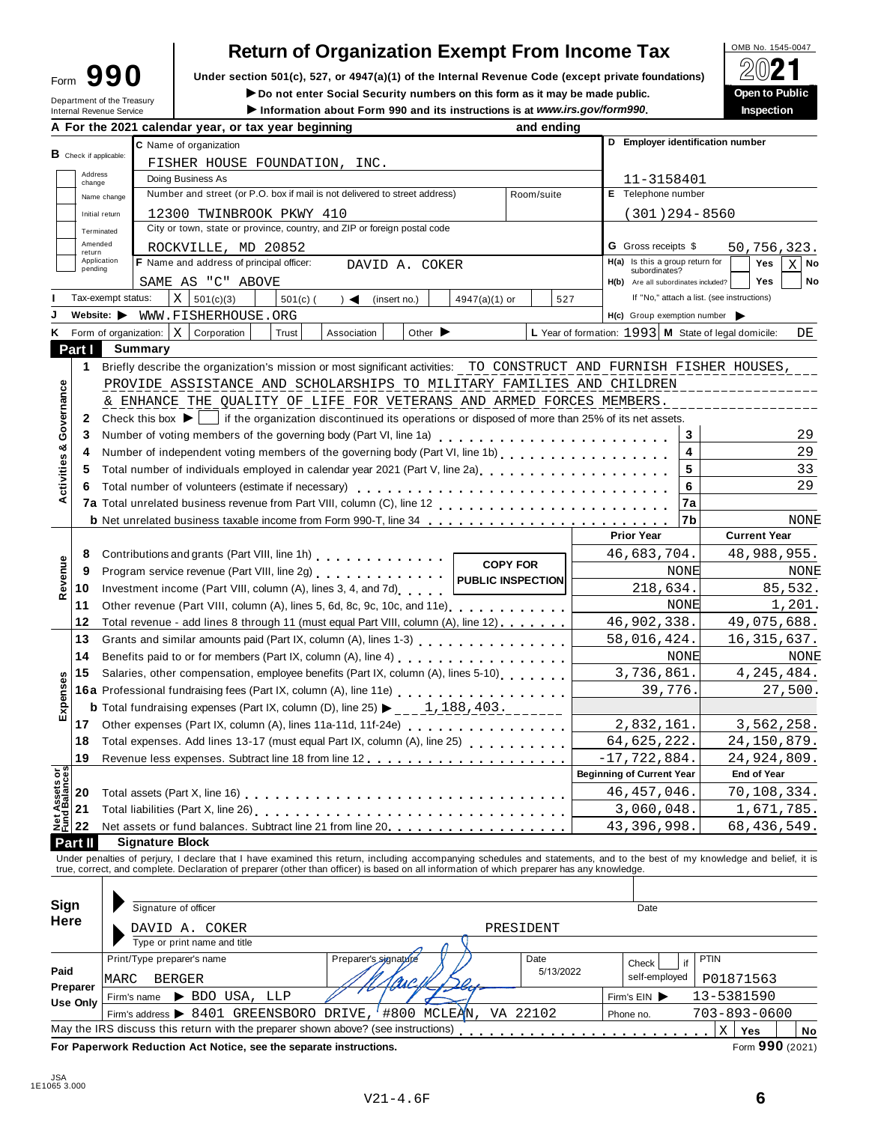| orm | 990 |  |
|-----|-----|--|
|     |     |  |

# **Return of Organization Exempt From Income Tax**

Form 990 Under section 501(c), 527, or 4947(a)(1) of the Internal Revenue Code (except private foundations) <u>Z</u>UZ **New York of Allah Devenue Code (except private foundations) <b>A** 

**IDEPARTMENT CONCILED SECUTE OF A SECUTE OF A SECUTE OF A SECUTE OF A SECUTE OF A SECURITY OF A SECURITY OF A SECURITY OF A SECURITY OF A SECURITY OF A SECURITY OF A SECURITY OF A SECURITY OF A SECURITY OF A SECURITY OF A** 

|                                              | Department of the Treasury<br>Internal Revenue Service |                                                                                                                                                                                                                                   | Information about Form 990 and its instructions is at www.irs.gov/form990. |                      |                             |                          |                 |                                                      |                    |                                  |                                                                                   |             | <b>Inspection</b>               | <b>Open to Public</b> |  |
|----------------------------------------------|--------------------------------------------------------|-----------------------------------------------------------------------------------------------------------------------------------------------------------------------------------------------------------------------------------|----------------------------------------------------------------------------|----------------------|-----------------------------|--------------------------|-----------------|------------------------------------------------------|--------------------|----------------------------------|-----------------------------------------------------------------------------------|-------------|---------------------------------|-----------------------|--|
|                                              |                                                        | A For the 2021 calendar year, or tax year beginning                                                                                                                                                                               |                                                                            |                      |                             |                          |                 | and ending                                           |                    |                                  |                                                                                   |             |                                 |                       |  |
|                                              |                                                        | C Name of organization                                                                                                                                                                                                            |                                                                            |                      |                             |                          |                 |                                                      |                    |                                  | D Employer identification number                                                  |             |                                 |                       |  |
| <b>B</b> Check if applicable:                |                                                        | FISHER HOUSE FOUNDATION, INC.                                                                                                                                                                                                     |                                                                            |                      |                             |                          |                 |                                                      |                    |                                  |                                                                                   |             |                                 |                       |  |
| Address<br>change                            |                                                        | Doing Business As                                                                                                                                                                                                                 |                                                                            |                      |                             |                          |                 |                                                      |                    | 11-3158401                       |                                                                                   |             |                                 |                       |  |
|                                              | Name change                                            | Number and street (or P.O. box if mail is not delivered to street address)                                                                                                                                                        |                                                                            |                      |                             |                          | Room/suite      |                                                      | E Telephone number |                                  |                                                                                   |             |                                 |                       |  |
|                                              | Initial return                                         | 12300 TWINBROOK PKWY 410                                                                                                                                                                                                          |                                                                            |                      |                             |                          |                 |                                                      |                    |                                  | $(301)$ 294 - 8560                                                                |             |                                 |                       |  |
|                                              | Terminated                                             | City or town, state or province, country, and ZIP or foreign postal code                                                                                                                                                          |                                                                            |                      |                             |                          |                 |                                                      |                    |                                  |                                                                                   |             |                                 |                       |  |
|                                              | Amended                                                | ROCKVILLE, MD 20852                                                                                                                                                                                                               |                                                                            |                      |                             |                          |                 |                                                      |                    | <b>G</b> Gross receipts \$       |                                                                                   |             | 50,756,323.                     |                       |  |
| return                                       | Application                                            | <b>F</b> Name and address of principal officer:                                                                                                                                                                                   |                                                                            | DAVID A. COKER       |                             |                          |                 |                                                      |                    |                                  | H(a) Is this a group return for                                                   |             | Yes                             | No<br>xΙ              |  |
| pending                                      |                                                        |                                                                                                                                                                                                                                   |                                                                            |                      |                             |                          |                 |                                                      |                    | subordinates?                    |                                                                                   |             |                                 |                       |  |
|                                              |                                                        | SAME AS "C" ABOVE                                                                                                                                                                                                                 |                                                                            |                      |                             |                          |                 |                                                      |                    |                                  | H(b) Are all subordinates included?<br>If "No," attach a list. (see instructions) |             | <b>Yes</b>                      | No                    |  |
|                                              | Tax-exempt status:                                     | $X \mid 501(c)(3)$                                                                                                                                                                                                                | $501(c)$ (                                                                 | $\rightarrow$        | (insert no.)                | 4947(a)(1) or            |                 | 527                                                  |                    |                                  |                                                                                   |             |                                 |                       |  |
|                                              | Website: $\blacktriangleright$                         | WWW.FISHERHOUSE.ORG                                                                                                                                                                                                               |                                                                            |                      |                             |                          |                 |                                                      |                    |                                  | H(c) Group exemption number                                                       |             |                                 |                       |  |
|                                              | <b>K</b> Form of organization: $ X $                   | Corporation                                                                                                                                                                                                                       | Trust                                                                      | Association          | Other $\blacktriangleright$ |                          |                 | L Year of formation: 1993 M State of legal domicile: |                    |                                  |                                                                                   |             |                                 | DE                    |  |
| Part I                                       | Summary                                                |                                                                                                                                                                                                                                   |                                                                            |                      |                             |                          |                 |                                                      |                    |                                  |                                                                                   |             |                                 |                       |  |
| 1.                                           |                                                        | Briefly describe the organization's mission or most significant activities: TO CONSTRUCT AND FURNISH FISHER HOUSES,                                                                                                               |                                                                            |                      |                             |                          |                 |                                                      |                    |                                  |                                                                                   |             |                                 |                       |  |
|                                              |                                                        | PROVIDE ASSISTANCE AND SCHOLARSHIPS TO MILITARY FAMILIES AND CHILDREN                                                                                                                                                             |                                                                            |                      |                             |                          |                 |                                                      |                    |                                  |                                                                                   |             | <u> 1999 – Alban Alban III.</u> |                       |  |
| Governance                                   |                                                        | & ENHANCE THE QUALITY OF LIFE FOR VETERANS AND ARMED FORCES MEMBERS.                                                                                                                                                              |                                                                            |                      |                             |                          |                 |                                                      |                    |                                  |                                                                                   |             | ____________                    |                       |  |
| 2                                            |                                                        | Check this box $\blacktriangleright$   if the organization discontinued its operations or disposed of more than 25% of its net assets.                                                                                            |                                                                            |                      |                             |                          |                 |                                                      |                    |                                  |                                                                                   |             |                                 |                       |  |
| 3                                            |                                                        |                                                                                                                                                                                                                                   |                                                                            |                      |                             |                          |                 |                                                      |                    |                                  | 3                                                                                 |             |                                 | 29                    |  |
| 4                                            |                                                        | Number of independent voting members of the governing body (Part VI, line 1b)                                                                                                                                                     |                                                                            |                      |                             |                          |                 |                                                      |                    |                                  | 4                                                                                 |             |                                 | 29                    |  |
| Activities &<br>5                            |                                                        |                                                                                                                                                                                                                                   |                                                                            |                      |                             |                          |                 |                                                      |                    |                                  | 5                                                                                 |             |                                 | 33                    |  |
| 6                                            |                                                        | Total number of volunteers (estimate if necessary)                                                                                                                                                                                |                                                                            |                      |                             |                          |                 |                                                      |                    |                                  | 6                                                                                 |             |                                 | 29                    |  |
|                                              |                                                        |                                                                                                                                                                                                                                   |                                                                            |                      |                             |                          |                 |                                                      |                    |                                  | 7a                                                                                |             |                                 |                       |  |
|                                              |                                                        | <b>b</b> Net unrelated business taxable income from Form 990-T, line 34                                                                                                                                                           |                                                                            |                      |                             |                          |                 |                                                      |                    |                                  | 7b                                                                                |             |                                 | NONE                  |  |
|                                              |                                                        |                                                                                                                                                                                                                                   |                                                                            |                      |                             |                          |                 |                                                      |                    | <b>Prior Year</b>                |                                                                                   |             | <b>Current Year</b>             |                       |  |
| 8                                            |                                                        | Contributions and grants (Part VIII, line 1h)                                                                                                                                                                                     |                                                                            |                      |                             |                          |                 |                                                      |                    | 46,683,704.                      |                                                                                   |             | 48,988,955.                     |                       |  |
| 9                                            |                                                        |                                                                                                                                                                                                                                   |                                                                            |                      |                             |                          | <b>COPY FOR</b> |                                                      |                    |                                  | NONE                                                                              |             |                                 | NONE                  |  |
| Revenue                                      |                                                        |                                                                                                                                                                                                                                   |                                                                            |                      |                             | <b>PUBLIC INSPECTION</b> |                 |                                                      |                    | 218,634.                         |                                                                                   |             |                                 |                       |  |
| 10                                           |                                                        | Investment income (Part VIII, column (A), lines 3, 4, and 7d)                                                                                                                                                                     |                                                                            |                      |                             |                          |                 |                                                      |                    |                                  |                                                                                   |             |                                 | 85,532.               |  |
| 11                                           |                                                        | Other revenue (Part VIII, column (A), lines 5, 6d, 8c, 9c, 10c, and 11e)                                                                                                                                                          |                                                                            |                      |                             |                          |                 |                                                      |                    |                                  | NONE                                                                              |             |                                 | 1,201.                |  |
| 12                                           |                                                        | Total revenue - add lines 8 through 11 (must equal Part VIII, column (A), line 12)                                                                                                                                                |                                                                            |                      |                             |                          |                 |                                                      |                    | 46,902,338.                      |                                                                                   |             | 49,075,688.                     |                       |  |
| 13                                           |                                                        | Grants and similar amounts paid (Part IX, column (A), lines 1-3)                                                                                                                                                                  |                                                                            |                      |                             |                          |                 |                                                      |                    | 58,016,424.                      |                                                                                   |             | 16, 315, 637.                   |                       |  |
| 14                                           |                                                        | Benefits paid to or for members (Part IX, column (A), line 4)                                                                                                                                                                     |                                                                            |                      |                             |                          |                 |                                                      |                    |                                  | NONE                                                                              |             |                                 | NONE                  |  |
| 15                                           |                                                        | Salaries, other compensation, employee benefits (Part IX, column (A), lines 5-10)                                                                                                                                                 |                                                                            |                      |                             |                          |                 |                                                      |                    | 3,736,861.                       |                                                                                   |             | 4, 245, 484.                    |                       |  |
| Expenses                                     |                                                        | 16a Professional fundraising fees (Part IX, column (A), line 11e)                                                                                                                                                                 |                                                                            |                      |                             |                          |                 |                                                      |                    | 39,776.                          |                                                                                   |             |                                 | 27,500.               |  |
|                                              |                                                        | <b>b</b> Total fundraising expenses (Part IX, column (D), line 25) $\rightarrow$ ___1, 188, 403.                                                                                                                                  |                                                                            |                      |                             |                          |                 |                                                      |                    |                                  |                                                                                   |             |                                 |                       |  |
|                                              |                                                        | 17 Other expenses (Part IX, column (A), lines 11a-11d, 11f-24e)                                                                                                                                                                   |                                                                            |                      |                             |                          |                 |                                                      |                    | 2,832,161                        |                                                                                   |             | 3,562,258.                      |                       |  |
| 18                                           |                                                        | Total expenses. Add lines 13-17 (must equal Part IX, column (A), line 25)                                                                                                                                                         |                                                                            |                      |                             |                          |                 |                                                      |                    | 64,625,222.                      |                                                                                   |             | 24,150,879.                     |                       |  |
| 19                                           |                                                        |                                                                                                                                                                                                                                   |                                                                            |                      |                             |                          |                 |                                                      |                    | -17,722,884.                     |                                                                                   |             | 24,924,809.                     |                       |  |
|                                              |                                                        |                                                                                                                                                                                                                                   |                                                                            |                      |                             |                          |                 |                                                      |                    | <b>Beginning of Current Year</b> |                                                                                   |             | <b>End of Year</b>              |                       |  |
| <b>Net Assets or<br/>Fund Balances</b><br>20 |                                                        |                                                                                                                                                                                                                                   |                                                                            |                      |                             |                          |                 |                                                      |                    | 46, 457, 046.                    |                                                                                   |             | 70,108,334.                     |                       |  |
| 21                                           |                                                        |                                                                                                                                                                                                                                   |                                                                            |                      |                             |                          |                 |                                                      |                    | 3,060,048.                       |                                                                                   |             | 1,671,785.                      |                       |  |
| 22                                           |                                                        | Net assets or fund balances. Subtract line 21 from line 20.                                                                                                                                                                       |                                                                            |                      |                             |                          |                 |                                                      |                    | 43,396,998.                      |                                                                                   |             | 68, 436, 549.                   |                       |  |
| Part II                                      |                                                        | <b>Signature Block</b>                                                                                                                                                                                                            |                                                                            |                      |                             |                          |                 |                                                      |                    |                                  |                                                                                   |             |                                 |                       |  |
|                                              |                                                        | Under penalties of perjury, I declare that I have examined this return, including accompanying schedules and statements, and to the best of my knowledge and belief, it is<br>true, correct, and complete. Declaration of prepare |                                                                            |                      |                             |                          |                 |                                                      |                    |                                  |                                                                                   |             |                                 |                       |  |
|                                              |                                                        |                                                                                                                                                                                                                                   |                                                                            |                      |                             |                          |                 |                                                      |                    |                                  |                                                                                   |             |                                 |                       |  |
|                                              |                                                        |                                                                                                                                                                                                                                   |                                                                            |                      |                             |                          |                 |                                                      |                    |                                  |                                                                                   |             |                                 |                       |  |
|                                              |                                                        |                                                                                                                                                                                                                                   |                                                                            |                      |                             |                          |                 |                                                      |                    |                                  |                                                                                   |             |                                 |                       |  |
|                                              |                                                        | Signature of officer                                                                                                                                                                                                              |                                                                            |                      |                             |                          |                 |                                                      |                    | Date                             |                                                                                   |             |                                 |                       |  |
|                                              |                                                        |                                                                                                                                                                                                                                   |                                                                            |                      |                             |                          |                 |                                                      |                    |                                  |                                                                                   |             |                                 |                       |  |
|                                              |                                                        | DAVID A. COKER                                                                                                                                                                                                                    |                                                                            |                      |                             |                          | PRESIDENT       |                                                      |                    |                                  |                                                                                   |             |                                 |                       |  |
|                                              |                                                        | Type or print name and title                                                                                                                                                                                                      |                                                                            |                      |                             |                          |                 |                                                      |                    |                                  |                                                                                   |             |                                 |                       |  |
|                                              |                                                        | Print/Type preparer's name                                                                                                                                                                                                        |                                                                            | Preparer's signature |                             |                          | Date            |                                                      |                    | Check                            | <b>PTIN</b><br>if                                                                 |             |                                 |                       |  |
|                                              | MARC                                                   | <b>BERGER</b>                                                                                                                                                                                                                     |                                                                            |                      |                             |                          |                 | 5/13/2022                                            |                    | self-employed                    |                                                                                   | P01871563   |                                 |                       |  |
| Sign<br>Here<br>Paid<br>Preparer             | Firm's name                                            | $\blacktriangleright$ BDO USA, LLP                                                                                                                                                                                                |                                                                            |                      |                             |                          |                 |                                                      |                    | Firm's $EIN$                     |                                                                                   | 13-5381590  |                                 |                       |  |
| <b>Use Only</b>                              |                                                        | Firm's address > 8401 GREENSBORO DRIVE,                                                                                                                                                                                           |                                                                            |                      | $#800$ MCLEAN               |                          | VA 22102        |                                                      | Phone no.          |                                  |                                                                                   |             | 703-893-0600                    |                       |  |
|                                              |                                                        | May the IRS discuss this return with the preparer shown above? (see instructions)                                                                                                                                                 |                                                                            |                      |                             |                          |                 |                                                      |                    |                                  |                                                                                   | $\mathbf X$ | Yes                             | No                    |  |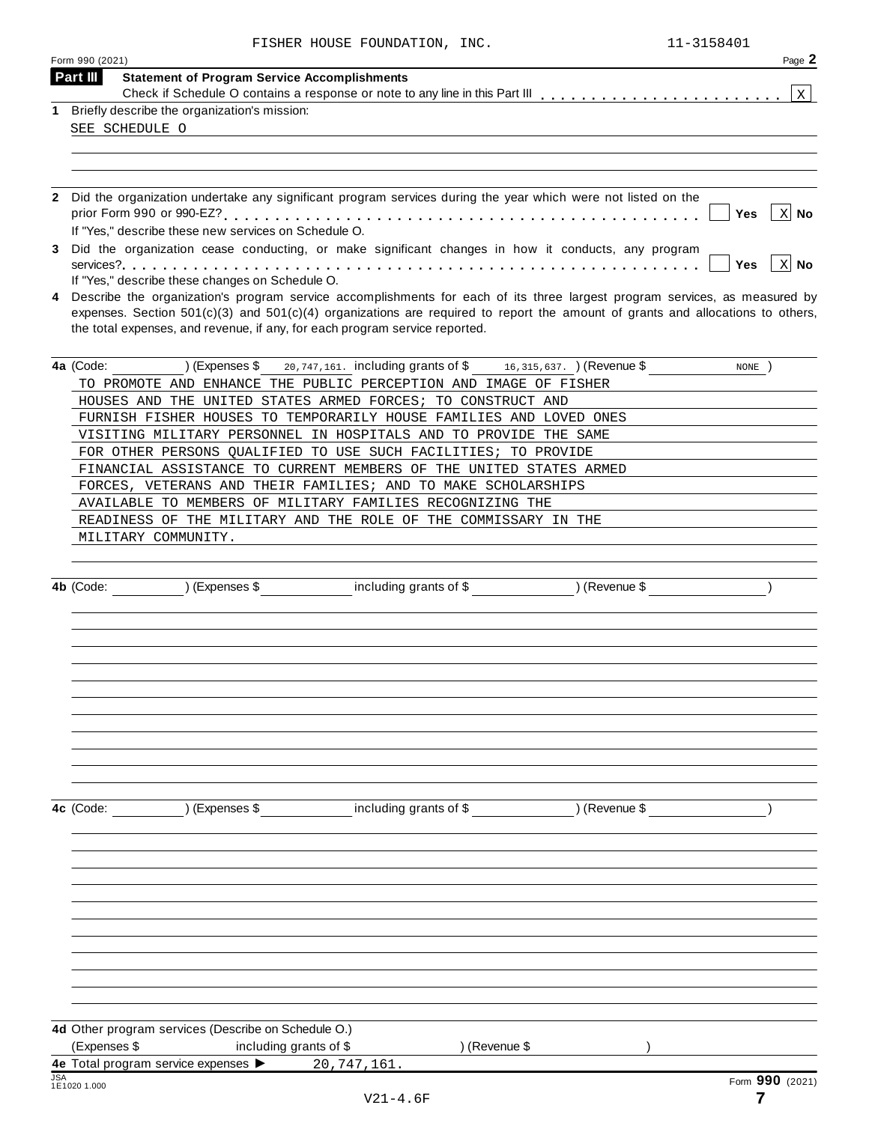| Form 990 (2021)<br>Part III |                                                      | FISHER HOUSE FOUNDATION, INC.                                                                                                                                                                                                                                                                                                                     |                        |               | 11-3158401    |
|-----------------------------|------------------------------------------------------|---------------------------------------------------------------------------------------------------------------------------------------------------------------------------------------------------------------------------------------------------------------------------------------------------------------------------------------------------|------------------------|---------------|---------------|
|                             |                                                      | <b>Statement of Program Service Accomplishments</b>                                                                                                                                                                                                                                                                                               |                        |               | Page 2<br>X   |
| 1.                          | Briefly describe the organization's mission:         |                                                                                                                                                                                                                                                                                                                                                   |                        |               |               |
|                             | SEE SCHEDULE O                                       |                                                                                                                                                                                                                                                                                                                                                   |                        |               |               |
|                             |                                                      |                                                                                                                                                                                                                                                                                                                                                   |                        |               |               |
|                             | If "Yes," describe these new services on Schedule O. | 2 Did the organization undertake any significant program services during the year which were not listed on the                                                                                                                                                                                                                                    |                        |               | $X$ No<br>Yes |
|                             |                                                      | 3 Did the organization cease conducting, or make significant changes in how it conducts, any program                                                                                                                                                                                                                                              |                        |               | $X$ No<br>Yes |
|                             | If "Yes," describe these changes on Schedule O.      | 4 Describe the organization's program service accomplishments for each of its three largest program services, as measured by<br>expenses. Section $501(c)(3)$ and $501(c)(4)$ organizations are required to report the amount of grants and allocations to others,<br>the total expenses, and revenue, if any, for each program service reported. |                        |               |               |
| 4a (Code:                   | ) (Expenses \$                                       | 20, 747, 161. including grants of \$16, 315, 637. ) (Revenue \$                                                                                                                                                                                                                                                                                   |                        |               | NONE          |
|                             |                                                      | TO PROMOTE AND ENHANCE THE PUBLIC PERCEPTION AND IMAGE OF FISHER                                                                                                                                                                                                                                                                                  |                        |               |               |
|                             |                                                      | HOUSES AND THE UNITED STATES ARMED FORCES; TO CONSTRUCT AND                                                                                                                                                                                                                                                                                       |                        |               |               |
|                             |                                                      | FURNISH FISHER HOUSES TO TEMPORARILY HOUSE FAMILIES AND LOVED ONES                                                                                                                                                                                                                                                                                |                        |               |               |
|                             |                                                      | VISITING MILITARY PERSONNEL IN HOSPITALS AND TO PROVIDE THE SAME                                                                                                                                                                                                                                                                                  |                        |               |               |
|                             |                                                      | FOR OTHER PERSONS OUALIFIED TO USE SUCH FACILITIES; TO PROVIDE                                                                                                                                                                                                                                                                                    |                        |               |               |
|                             |                                                      | FINANCIAL ASSISTANCE TO CURRENT MEMBERS OF THE UNITED STATES ARMED                                                                                                                                                                                                                                                                                |                        |               |               |
|                             |                                                      | FORCES, VETERANS AND THEIR FAMILIES; AND TO MAKE SCHOLARSHIPS                                                                                                                                                                                                                                                                                     |                        |               |               |
|                             |                                                      | AVAILABLE TO MEMBERS OF MILITARY FAMILIES RECOGNIZING THE                                                                                                                                                                                                                                                                                         |                        |               |               |
|                             |                                                      | READINESS OF THE MILITARY AND THE ROLE OF THE COMMISSARY IN THE                                                                                                                                                                                                                                                                                   |                        |               |               |
|                             | MILITARY COMMUNITY.                                  |                                                                                                                                                                                                                                                                                                                                                   |                        |               |               |
|                             |                                                      |                                                                                                                                                                                                                                                                                                                                                   |                        |               |               |
| 4b (Code:                   | ) (Expenses \$                                       | including grants of \$                                                                                                                                                                                                                                                                                                                            |                        | ) (Revenue \$ |               |
|                             |                                                      |                                                                                                                                                                                                                                                                                                                                                   |                        |               |               |
|                             |                                                      |                                                                                                                                                                                                                                                                                                                                                   |                        |               |               |
|                             |                                                      |                                                                                                                                                                                                                                                                                                                                                   |                        |               |               |
|                             | ) (Expenses \$                                       |                                                                                                                                                                                                                                                                                                                                                   | including grants of \$ | ) (Revenue \$ |               |
|                             |                                                      |                                                                                                                                                                                                                                                                                                                                                   |                        |               |               |
|                             |                                                      |                                                                                                                                                                                                                                                                                                                                                   |                        |               |               |
| 4c (Code:                   |                                                      |                                                                                                                                                                                                                                                                                                                                                   |                        |               |               |
|                             | 4d Other program services (Describe on Schedule O.)  |                                                                                                                                                                                                                                                                                                                                                   |                        |               |               |
| (Expenses \$                | 4e Total program service expenses >                  | including grants of \$<br>20,747,161.                                                                                                                                                                                                                                                                                                             | ) (Revenue \$          |               |               |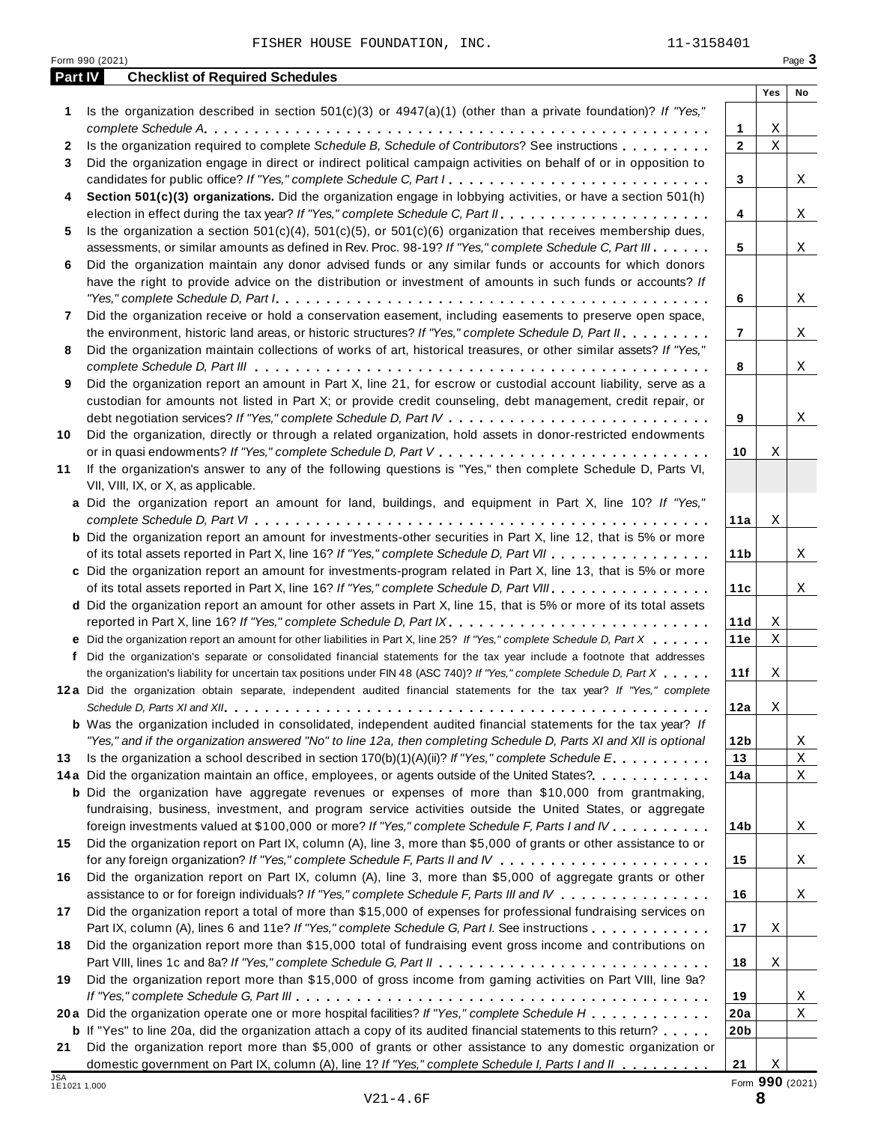|    | Form 990 (2021)                                                                                                                                                                                                                                      |                 |             | Page 3 |
|----|------------------------------------------------------------------------------------------------------------------------------------------------------------------------------------------------------------------------------------------------------|-----------------|-------------|--------|
|    | Part IV<br><b>Checklist of Required Schedules</b>                                                                                                                                                                                                    |                 | Yes         | No     |
| 1. | Is the organization described in section $501(c)(3)$ or $4947(a)(1)$ (other than a private foundation)? If "Yes,"                                                                                                                                    |                 |             |        |
|    |                                                                                                                                                                                                                                                      | 1               | Χ           |        |
| 2  | Is the organization required to complete Schedule B, Schedule of Contributors? See instructions                                                                                                                                                      | $\mathbf{2}$    | $\mathbf X$ |        |
| 3  | Did the organization engage in direct or indirect political campaign activities on behalf of or in opposition to                                                                                                                                     |                 |             |        |
|    | candidates for public office? If "Yes," complete Schedule C, Part I.                                                                                                                                                                                 | 3               |             | Χ      |
| 4  | Section 501(c)(3) organizations. Did the organization engage in lobbying activities, or have a section 501(h)                                                                                                                                        |                 |             |        |
|    |                                                                                                                                                                                                                                                      | 4               |             | X      |
| 5  | Is the organization a section $501(c)(4)$ , $501(c)(5)$ , or $501(c)(6)$ organization that receives membership dues,<br>assessments, or similar amounts as defined in Rev. Proc. 98-19? If "Yes," complete Schedule C, Part III.                     | 5               |             | Χ      |
| 6  | Did the organization maintain any donor advised funds or any similar funds or accounts for which donors                                                                                                                                              |                 |             |        |
|    | have the right to provide advice on the distribution or investment of amounts in such funds or accounts? If                                                                                                                                          |                 |             |        |
|    |                                                                                                                                                                                                                                                      | 6               |             | X      |
| 7  | Did the organization receive or hold a conservation easement, including easements to preserve open space,                                                                                                                                            |                 |             |        |
|    | the environment, historic land areas, or historic structures? If "Yes," complete Schedule D, Part II.                                                                                                                                                | $\overline{7}$  |             | Χ      |
| 8  | Did the organization maintain collections of works of art, historical treasures, or other similar assets? If "Yes,"                                                                                                                                  |                 |             |        |
|    |                                                                                                                                                                                                                                                      | 8               |             | Χ      |
| 9  | Did the organization report an amount in Part X, line 21, for escrow or custodial account liability, serve as a                                                                                                                                      |                 |             |        |
|    | custodian for amounts not listed in Part X; or provide credit counseling, debt management, credit repair, or                                                                                                                                         |                 |             |        |
|    |                                                                                                                                                                                                                                                      | 9               |             | X      |
| 10 | Did the organization, directly or through a related organization, hold assets in donor-restricted endowments                                                                                                                                         | 10              | Χ           |        |
| 11 | If the organization's answer to any of the following questions is "Yes," then complete Schedule D, Parts VI,                                                                                                                                         |                 |             |        |
|    | VII, VIII, IX, or X, as applicable.                                                                                                                                                                                                                  |                 |             |        |
|    | a Did the organization report an amount for land, buildings, and equipment in Part X, line 10? If "Yes,"                                                                                                                                             |                 |             |        |
|    |                                                                                                                                                                                                                                                      | 11a             | Χ           |        |
|    | <b>b</b> Did the organization report an amount for investments-other securities in Part X, line 12, that is 5% or more                                                                                                                               |                 |             |        |
|    | of its total assets reported in Part X, line 16? If "Yes," complete Schedule D, Part VII                                                                                                                                                             | 11 <sub>b</sub> |             | X      |
|    | c Did the organization report an amount for investments-program related in Part X, line 13, that is 5% or more                                                                                                                                       |                 |             |        |
|    | of its total assets reported in Part X, line 16? If "Yes," complete Schedule D, Part VIII                                                                                                                                                            | 11c             |             | Χ      |
|    | d Did the organization report an amount for other assets in Part X, line 15, that is 5% or more of its total assets                                                                                                                                  |                 |             |        |
|    |                                                                                                                                                                                                                                                      | 11d<br>11e      | Χ<br>Χ      |        |
|    | e Did the organization report an amount for other liabilities in Part X, line 25? If "Yes," complete Schedule D, Part X<br>f Did the organization's separate or consolidated financial statements for the tax year include a footnote that addresses |                 |             |        |
|    | the organization's liability for uncertain tax positions under FIN 48 (ASC 740)? If "Yes," complete Schedule D, Part X                                                                                                                               | 11f             | X           |        |
|    | 12a Did the organization obtain separate, independent audited financial statements for the tax year? If "Yes," complete                                                                                                                              |                 |             |        |
|    |                                                                                                                                                                                                                                                      | 12a             | Χ           |        |
|    | <b>b</b> Was the organization included in consolidated, independent audited financial statements for the tax year? If                                                                                                                                |                 |             |        |
|    | "Yes," and if the organization answered "No" to line 12a, then completing Schedule D, Parts XI and XII is optional                                                                                                                                   | 12b             |             | X      |
| 13 | Is the organization a school described in section $170(b)(1)(A)(ii)$ ? If "Yes," complete Schedule E.                                                                                                                                                | 13              |             | X      |
|    | 14a Did the organization maintain an office, employees, or agents outside of the United States?.                                                                                                                                                     | 14a             |             | X      |
|    | <b>b</b> Did the organization have aggregate revenues or expenses of more than \$10,000 from grantmaking,                                                                                                                                            |                 |             |        |
|    | fundraising, business, investment, and program service activities outside the United States, or aggregate                                                                                                                                            |                 |             |        |
| 15 | foreign investments valued at \$100,000 or more? If "Yes," complete Schedule F, Parts I and IV<br>Did the organization report on Part IX, column (A), line 3, more than \$5,000 of grants or other assistance to or                                  | 14b             |             | Χ      |
|    |                                                                                                                                                                                                                                                      | 15              |             | Χ      |
| 16 | Did the organization report on Part IX, column (A), line 3, more than \$5,000 of aggregate grants or other                                                                                                                                           |                 |             |        |
|    | assistance to or for foreign individuals? If "Yes," complete Schedule F, Parts III and IV                                                                                                                                                            | 16              |             | Χ      |
| 17 | Did the organization report a total of more than \$15,000 of expenses for professional fundraising services on                                                                                                                                       |                 |             |        |
|    | Part IX, column (A), lines 6 and 11e? If "Yes," complete Schedule G, Part I. See instructions                                                                                                                                                        | 17              | Χ           |        |
| 18 | Did the organization report more than \$15,000 total of fundraising event gross income and contributions on                                                                                                                                          |                 |             |        |
|    |                                                                                                                                                                                                                                                      | 18              | Χ           |        |
| 19 | Did the organization report more than \$15,000 of gross income from gaming activities on Part VIII, line 9a?                                                                                                                                         |                 |             |        |
|    |                                                                                                                                                                                                                                                      | 19              |             | Χ      |
|    | 20a Did the organization operate one or more hospital facilities? If "Yes," complete Schedule H                                                                                                                                                      | 20a             |             | X      |
| 21 | <b>b</b> If "Yes" to line 20a, did the organization attach a copy of its audited financial statements to this return?                                                                                                                                | 20 <sub>b</sub> |             |        |
|    | Did the organization report more than \$5,000 of grants or other assistance to any domestic organization or<br>domestic government on Part IX, column (A), line 1? If "Yes," complete Schedule I, Parts I and II                                     | 21              | X           |        |
|    |                                                                                                                                                                                                                                                      |                 |             |        |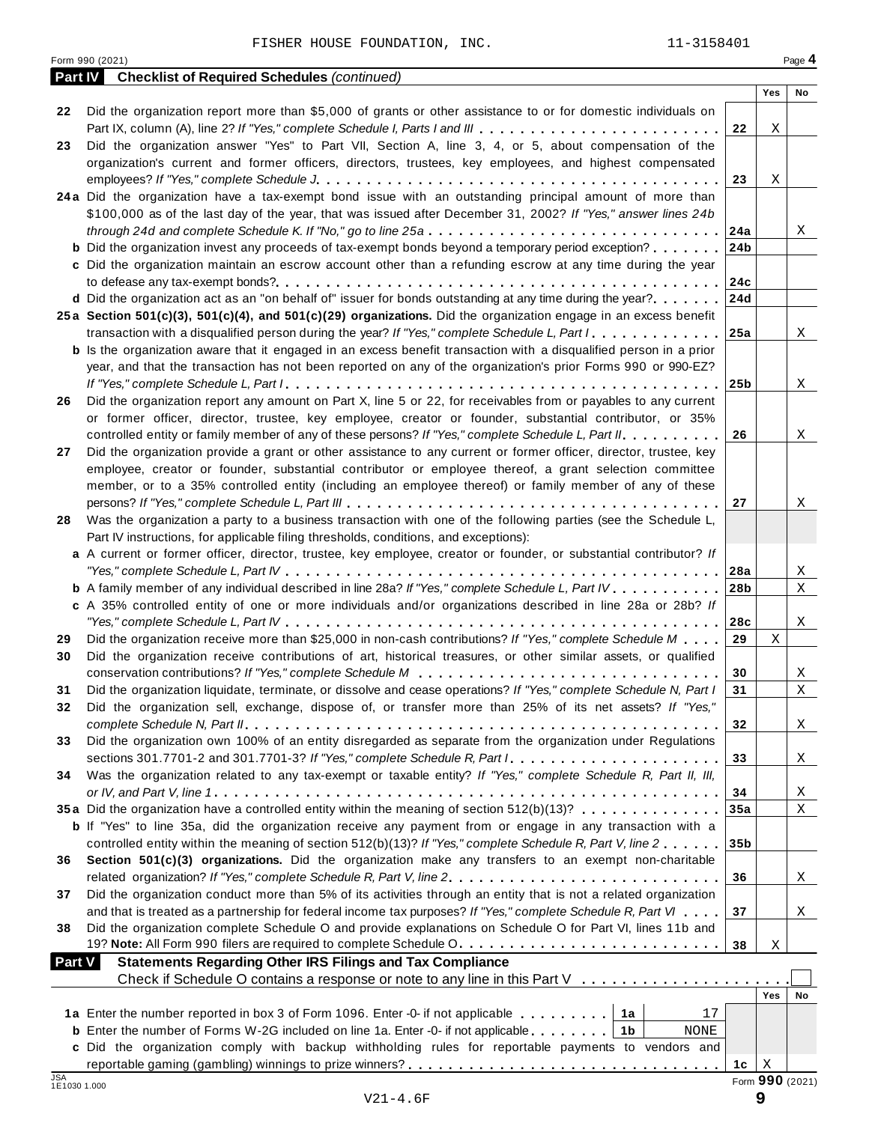|    | Form 990 (2021)                                                                                                           |                 |             | Page 4      |
|----|---------------------------------------------------------------------------------------------------------------------------|-----------------|-------------|-------------|
|    | <b>Part IV</b><br><b>Checklist of Required Schedules (continued)</b>                                                      |                 | Yes         | No          |
| 22 | Did the organization report more than \$5,000 of grants or other assistance to or for domestic individuals on             |                 |             |             |
|    | Part IX, column (A), line 2? If "Yes," complete Schedule I, Parts I and III                                               | 22              | Χ           |             |
|    | Did the organization answer "Yes" to Part VII, Section A, line 3, 4, or 5, about compensation of the                      |                 |             |             |
|    | organization's current and former officers, directors, trustees, key employees, and highest compensated                   |                 |             |             |
|    |                                                                                                                           | 23              | Χ           |             |
|    | 24a Did the organization have a tax-exempt bond issue with an outstanding principal amount of more than                   |                 |             |             |
|    | \$100,000 as of the last day of the year, that was issued after December 31, 2002? If "Yes," answer lines 24b             |                 |             |             |
|    | through 24d and complete Schedule K. If "No," go to line 25a                                                              | 24a             |             | X           |
|    | <b>b</b> Did the organization invest any proceeds of tax-exempt bonds beyond a temporary period exception?                | 24b             |             |             |
|    | c Did the organization maintain an escrow account other than a refunding escrow at any time during the year               |                 |             |             |
|    |                                                                                                                           | 24c             |             |             |
|    | d Did the organization act as an "on behalf of" issuer for bonds outstanding at any time during the year?                 | 24d             |             |             |
|    | 25a Section 501(c)(3), 501(c)(4), and 501(c)(29) organizations. Did the organization engage in an excess benefit          |                 |             |             |
|    | transaction with a disqualified person during the year? If "Yes," complete Schedule L, Part I.                            | 25a             |             | X           |
|    | <b>b</b> Is the organization aware that it engaged in an excess benefit transaction with a disqualified person in a prior |                 |             |             |
|    | year, and that the transaction has not been reported on any of the organization's prior Forms 990 or 990-EZ?              |                 |             |             |
|    |                                                                                                                           | 25 <sub>b</sub> |             | Χ           |
|    | Did the organization report any amount on Part X, line 5 or 22, for receivables from or payables to any current           |                 |             |             |
|    | or former officer, director, trustee, key employee, creator or founder, substantial contributor, or 35%                   |                 |             |             |
|    | controlled entity or family member of any of these persons? If "Yes," complete Schedule L, Part II.                       | 26              |             | Χ           |
|    | Did the organization provide a grant or other assistance to any current or former officer, director, trustee, key         |                 |             |             |
|    | employee, creator or founder, substantial contributor or employee thereof, a grant selection committee                    |                 |             |             |
|    | member, or to a 35% controlled entity (including an employee thereof) or family member of any of these                    |                 |             |             |
|    |                                                                                                                           | 27              |             | Χ           |
|    | Was the organization a party to a business transaction with one of the following parties (see the Schedule L,             |                 |             |             |
|    | Part IV instructions, for applicable filing thresholds, conditions, and exceptions):                                      |                 |             |             |
|    | a A current or former officer, director, trustee, key employee, creator or founder, or substantial contributor? If        |                 |             |             |
|    |                                                                                                                           | 28a             |             | X           |
|    | <b>b</b> A family member of any individual described in line 28a? If "Yes," complete Schedule L, Part IV.                 | 28 <sub>b</sub> |             | $\mathbf X$ |
|    | c A 35% controlled entity of one or more individuals and/or organizations described in line 28a or 28b? If                |                 |             |             |
|    |                                                                                                                           | 28c             |             | X           |
|    | Did the organization receive more than \$25,000 in non-cash contributions? If "Yes," complete Schedule M                  | 29              | X           |             |
|    | Did the organization receive contributions of art, historical treasures, or other similar assets, or qualified            |                 |             |             |
|    |                                                                                                                           | 30              |             | Χ           |
|    | Did the organization liquidate, terminate, or dissolve and cease operations? If "Yes," complete Schedule N, Part I        | 31              |             | $\mathbf X$ |
|    | Did the organization sell, exchange, dispose of, or transfer more than 25% of its net assets? If "Yes,"                   |                 |             |             |
|    |                                                                                                                           | 32              |             | X           |
|    | Did the organization own 100% of an entity disregarded as separate from the organization under Regulations                |                 |             |             |
|    | sections 301.7701-2 and 301.7701-3? If "Yes," complete Schedule R, Part /                                                 | 33              |             | X           |
| 34 | Was the organization related to any tax-exempt or taxable entity? If "Yes," complete Schedule R, Part II, III,            |                 |             |             |
|    |                                                                                                                           | 34              |             | X           |
|    | 35a Did the organization have a controlled entity within the meaning of section 512(b)(13)?                               | 35a             |             | X           |
|    | <b>b</b> If "Yes" to line 35a, did the organization receive any payment from or engage in any transaction with a          |                 |             |             |
|    | controlled entity within the meaning of section 512(b)(13)? If "Yes," complete Schedule R, Part V, line 2                 | 35 <sub>b</sub> |             |             |
| 36 | Section 501(c)(3) organizations. Did the organization make any transfers to an exempt non-charitable                      |                 |             |             |
|    | related organization? If "Yes," complete Schedule R, Part V, line 2.                                                      | 36              |             | X           |
|    | Did the organization conduct more than 5% of its activities through an entity that is not a related organization          |                 |             |             |
|    | and that is treated as a partnership for federal income tax purposes? If "Yes," complete Schedule R, Part VI              | 37              |             | X           |
|    | Did the organization complete Schedule O and provide explanations on Schedule O for Part VI, lines 11b and                |                 |             |             |
|    | 19? Note: All Form 990 filers are required to complete Schedule O.                                                        | 38              | Χ           |             |
|    | <b>Part V</b><br><b>Statements Regarding Other IRS Filings and Tax Compliance</b>                                         |                 |             |             |
|    | Check if Schedule O contains a response or note to any line in this Part V                                                |                 |             |             |
|    |                                                                                                                           |                 | <b>Yes</b>  | No          |
|    | 1a Enter the number reported in box 3 of Form 1096. Enter -0- if not applicable   1a<br>17                                |                 |             |             |
|    | <b>b</b> Enter the number of Forms W-2G included on line 1a. Enter -0- if not applicable 1b<br>NONE                       |                 |             |             |
|    | c Did the organization comply with backup withholding rules for reportable payments to vendors and                        |                 |             |             |
|    |                                                                                                                           | 1c              | $\mathbf X$ |             |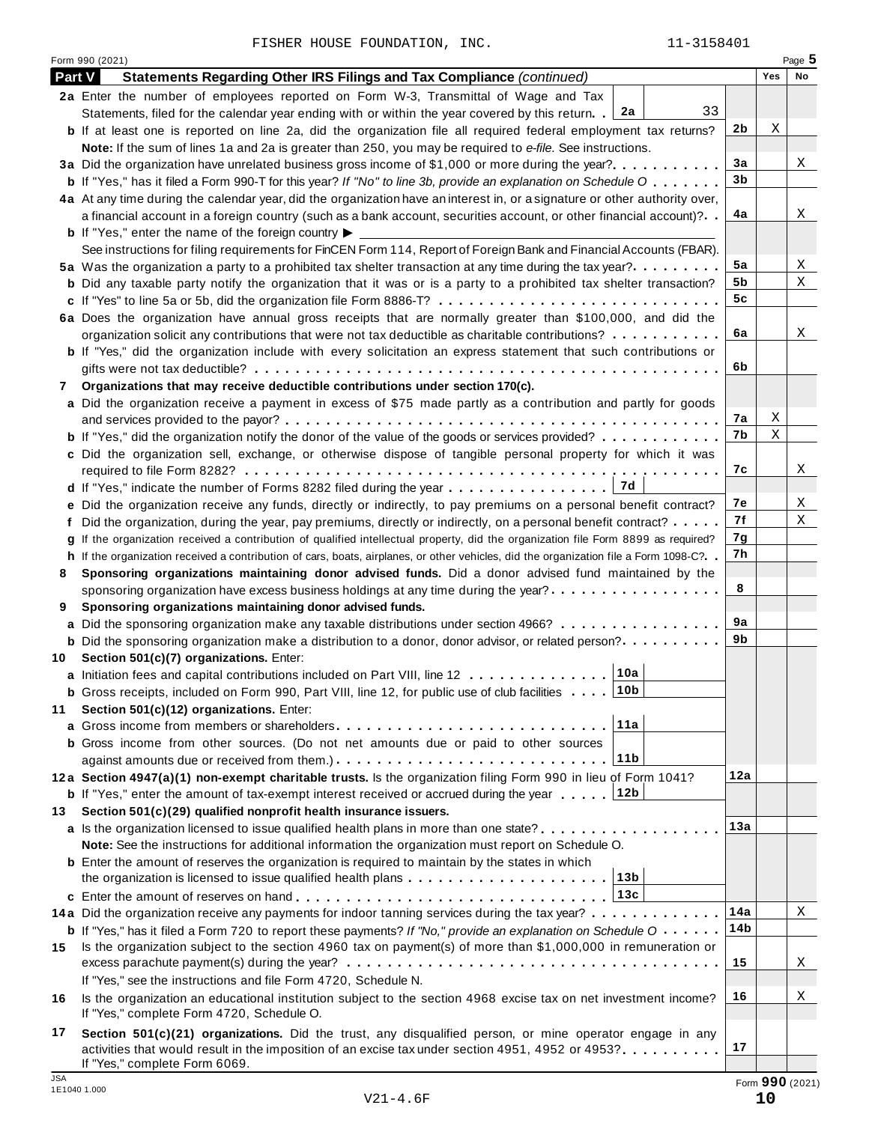Form <sup>990</sup> (2021) Page **5**

| Part V                     | Statements Regarding Other IRS Filings and Tax Compliance (continued)                                                                        |     | Yes | No              |
|----------------------------|----------------------------------------------------------------------------------------------------------------------------------------------|-----|-----|-----------------|
|                            | 2a Enter the number of employees reported on Form W-3, Transmittal of Wage and Tax                                                           |     |     |                 |
|                            | 33<br>2a<br>Statements, filed for the calendar year ending with or within the year covered by this return. . [                               |     |     |                 |
|                            | <b>b</b> If at least one is reported on line 2a, did the organization file all required federal employment tax returns?                      | 2b  | Χ   |                 |
|                            | Note: If the sum of lines 1a and 2a is greater than 250, you may be required to e-file. See instructions.                                    |     |     |                 |
|                            | 3a Did the organization have unrelated business gross income of \$1,000 or more during the year?                                             | За  |     | Χ               |
|                            | <b>b</b> If "Yes," has it filed a Form 990-T for this year? If "No" to line 3b, provide an explanation on Schedule O                         | 3b  |     |                 |
|                            | 4a At any time during the calendar year, did the organization have an interest in, or a signature or other authority over,                   |     |     |                 |
|                            | a financial account in a foreign country (such as a bank account, securities account, or other financial account)?                           | 4a  |     | Χ               |
|                            | <b>b</b> If "Yes," enter the name of the foreign country $\blacktriangleright$ $\equiv$                                                      |     |     |                 |
|                            | See instructions for filing requirements for FinCEN Form 114, Report of Foreign Bank and Financial Accounts (FBAR).                          |     |     |                 |
|                            | 5a Was the organization a party to a prohibited tax shelter transaction at any time during the tax year?                                     | 5a  |     | Χ               |
|                            | <b>b</b> Did any taxable party notify the organization that it was or is a party to a prohibited tax shelter transaction?                    | 5b  |     | Χ               |
|                            | c If "Yes" to line 5a or 5b, did the organization file Form 8886-T? $\ldots \ldots \ldots \ldots \ldots \ldots \ldots$                       | 5c  |     |                 |
|                            | 6a Does the organization have annual gross receipts that are normally greater than \$100,000, and did the                                    |     |     |                 |
|                            | organization solicit any contributions that were not tax deductible as charitable contributions?                                             | 6a  |     | Χ               |
|                            | <b>b</b> If "Yes," did the organization include with every solicitation an express statement that such contributions or                      |     |     |                 |
|                            |                                                                                                                                              | 6b  |     |                 |
| 7                          | Organizations that may receive deductible contributions under section 170(c).                                                                |     |     |                 |
|                            | a Did the organization receive a payment in excess of \$75 made partly as a contribution and partly for goods                                |     |     |                 |
|                            |                                                                                                                                              | 7a  | Χ   |                 |
|                            | <b>b</b> If "Yes," did the organization notify the donor of the value of the goods or services provided?                                     | 7b  | X   |                 |
|                            | c Did the organization sell, exchange, or otherwise dispose of tangible personal property for which it was                                   |     |     |                 |
|                            |                                                                                                                                              | 7c  |     | Χ               |
|                            |                                                                                                                                              |     |     |                 |
|                            | e Did the organization receive any funds, directly or indirectly, to pay premiums on a personal benefit contract?                            | 7e  |     | Χ               |
|                            | f Did the organization, during the year, pay premiums, directly or indirectly, on a personal benefit contract?                               | 7f  |     | Χ               |
|                            | g If the organization received a contribution of qualified intellectual property, did the organization file Form 8899 as required?           | 7g  |     |                 |
|                            | h If the organization received a contribution of cars, boats, airplanes, or other vehicles, did the organization file a Form 1098-C?         | 7h  |     |                 |
| 8                          | Sponsoring organizations maintaining donor advised funds. Did a donor advised fund maintained by the                                         |     |     |                 |
|                            | sponsoring organization have excess business holdings at any time during the year?                                                           | 8   |     |                 |
| 9                          | Sponsoring organizations maintaining donor advised funds.                                                                                    |     |     |                 |
|                            | <b>a</b> Did the sponsoring organization make any taxable distributions under section 4966?                                                  | 9а  |     |                 |
|                            | <b>b</b> Did the sponsoring organization make a distribution to a donor, donor advisor, or related person?                                   | 9b  |     |                 |
| 10                         | Section 501(c)(7) organizations. Enter:                                                                                                      |     |     |                 |
|                            | 10a<br>a Initiation fees and capital contributions included on Part VIII, line 12                                                            |     |     |                 |
|                            | 10 <sub>b</sub><br><b>b</b> Gross receipts, included on Form 990, Part VIII, line 12, for public use of club facilities                      |     |     |                 |
| 11                         | Section 501(c)(12) organizations. Enter:                                                                                                     |     |     |                 |
|                            | 11a<br>a Gross income from members or shareholders                                                                                           |     |     |                 |
|                            | b Gross income from other sources. (Do not net amounts due or paid to other sources                                                          |     |     |                 |
|                            | 11 <sub>b</sub>                                                                                                                              |     |     |                 |
|                            | 12a Section 4947(a)(1) non-exempt charitable trusts. Is the organization filing Form 990 in lieu of Form 1041?                               | 12a |     |                 |
|                            | 12b<br><b>b</b> If "Yes," enter the amount of tax-exempt interest received or accrued during the year                                        |     |     |                 |
| 13                         | Section 501(c)(29) qualified nonprofit health insurance issuers.                                                                             |     |     |                 |
|                            | a Is the organization licensed to issue qualified health plans in more than one state?                                                       | 13a |     |                 |
|                            | Note: See the instructions for additional information the organization must report on Schedule O.                                            |     |     |                 |
|                            | <b>b</b> Enter the amount of reserves the organization is required to maintain by the states in which                                        |     |     |                 |
|                            | the organization is licensed to issue qualified health plans $\ldots \ldots \ldots \ldots \ldots \ldots \ldots$                              |     |     |                 |
|                            | 13c                                                                                                                                          |     |     |                 |
|                            | 14a Did the organization receive any payments for indoor tanning services during the tax year?                                               | 14a |     | Χ               |
|                            | <b>b</b> If "Yes," has it filed a Form 720 to report these payments? If "No," provide an explanation on Schedule $0 \cdot \cdot \cdot \cdot$ | 14b |     |                 |
| 15                         | Is the organization subject to the section 4960 tax on payment(s) of more than \$1,000,000 in remuneration or                                |     |     |                 |
|                            |                                                                                                                                              | 15  |     | Χ               |
|                            | If "Yes," see the instructions and file Form 4720, Schedule N.                                                                               |     |     |                 |
| 16                         | Is the organization an educational institution subject to the section 4968 excise tax on net investment income?                              | 16  |     | Χ               |
|                            | If "Yes," complete Form 4720, Schedule O.                                                                                                    |     |     |                 |
| 17                         | Section 501(c)(21) organizations. Did the trust, any disqualified person, or mine operator engage in any                                     |     |     |                 |
|                            | activities that would result in the imposition of an excise tax under section 4951, 4952 or 4953?                                            | 17  |     |                 |
|                            | If "Yes," complete Form 6069.                                                                                                                |     |     |                 |
| <b>JSA</b><br>1E1040 1.000 |                                                                                                                                              |     |     | Form 990 (2021) |
|                            | $V21 - 4.6F$                                                                                                                                 |     | 10  |                 |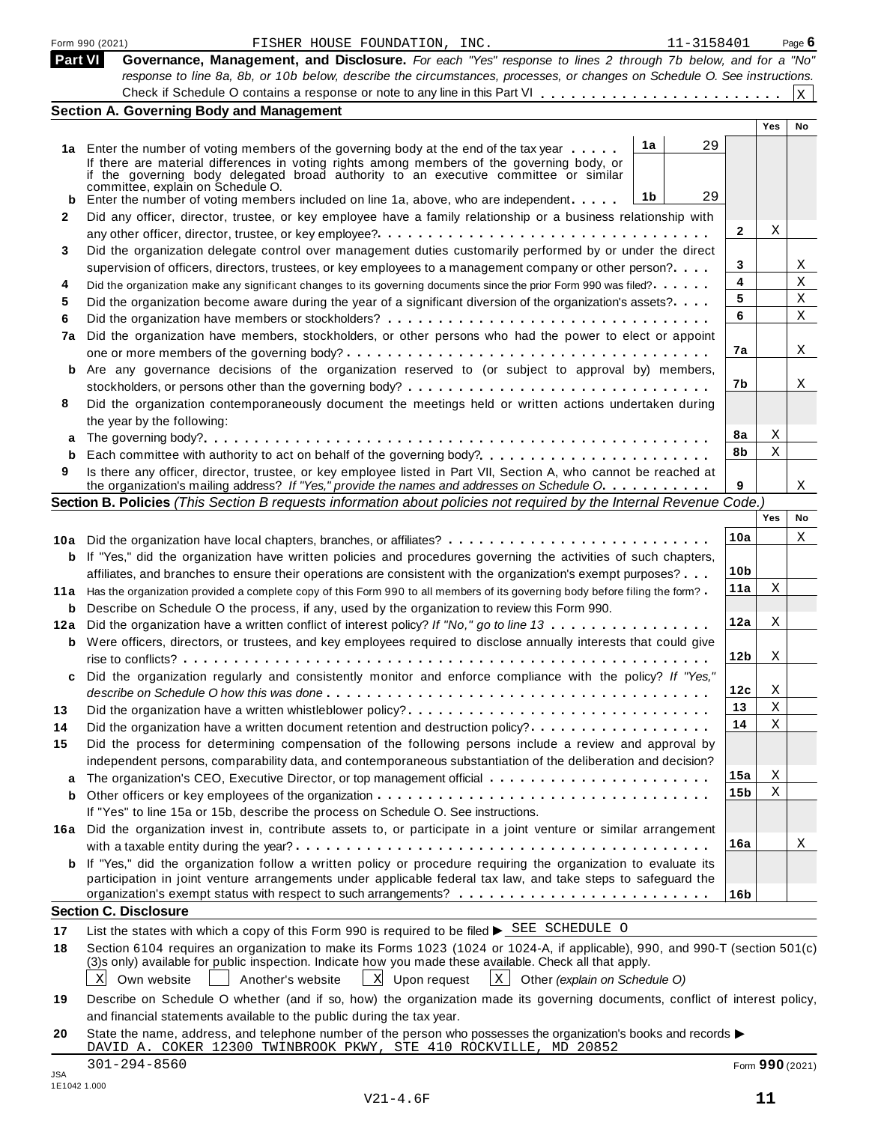|                | Form 990 (2021)<br>11-3158401<br>FISHER HOUSE FOUNDATION, INC.                                                                                                                                                      |                 |                 | Page 6 |
|----------------|---------------------------------------------------------------------------------------------------------------------------------------------------------------------------------------------------------------------|-----------------|-----------------|--------|
| <b>Part VI</b> | Governance, Management, and Disclosure. For each "Yes" response to lines 2 through 7b below, and for a "No"                                                                                                         |                 |                 |        |
|                | response to line 8a, 8b, or 10b below, describe the circumstances, processes, or changes on Schedule O. See instructions.                                                                                           |                 |                 |        |
|                |                                                                                                                                                                                                                     |                 |                 | lx.    |
|                | <b>Section A. Governing Body and Management</b>                                                                                                                                                                     |                 |                 |        |
|                |                                                                                                                                                                                                                     |                 | Yes             | No     |
|                | 1a<br>29<br>1a Enter the number of voting members of the governing body at the end of the tax year                                                                                                                  |                 |                 |        |
|                | If there are material differences in voting rights among members of the governing body, or                                                                                                                          |                 |                 |        |
|                | if the governing body delegated broad authority to an executive committee or similar                                                                                                                                |                 |                 |        |
| b              | committee, explain on Schedule O.<br>1b<br>29<br>Enter the number of voting members included on line 1a, above, who are independent                                                                                 |                 |                 |        |
| $\mathbf{2}$   | Did any officer, director, trustee, or key employee have a family relationship or a business relationship with                                                                                                      |                 |                 |        |
|                |                                                                                                                                                                                                                     | 2               | Χ               |        |
| 3              | Did the organization delegate control over management duties customarily performed by or under the direct                                                                                                           |                 |                 |        |
|                | supervision of officers, directors, trustees, or key employees to a management company or other person?                                                                                                             | 3               |                 | X      |
| 4              | Did the organization make any significant changes to its governing documents since the prior Form 990 was filed?                                                                                                    | 4               |                 | Χ      |
| 5              | Did the organization become aware during the year of a significant diversion of the organization's assets?                                                                                                          | 5               |                 | Χ      |
| 6              |                                                                                                                                                                                                                     | 6               |                 | Χ      |
| 7a             | Did the organization have members, stockholders, or other persons who had the power to elect or appoint                                                                                                             |                 |                 |        |
|                |                                                                                                                                                                                                                     | 7а              |                 | X      |
|                |                                                                                                                                                                                                                     |                 |                 |        |
| b              | Are any governance decisions of the organization reserved to (or subject to approval by) members,                                                                                                                   | 7b              |                 | Χ      |
|                |                                                                                                                                                                                                                     |                 |                 |        |
| 8              | Did the organization contemporaneously document the meetings held or written actions undertaken during                                                                                                              |                 |                 |        |
|                | the year by the following:                                                                                                                                                                                          | 8a              | Χ               |        |
| a              |                                                                                                                                                                                                                     | 8b              | Χ               |        |
| b              |                                                                                                                                                                                                                     |                 |                 |        |
| 9              | Is there any officer, director, trustee, or key employee listed in Part VII, Section A, who cannot be reached at                                                                                                    | 9               |                 |        |
|                | the organization's mailing address? If "Yes," provide the names and addresses on Schedule O.<br>Section B. Policies (This Section B requests information about policies not required by the Internal Revenue Code.) |                 |                 | X      |
|                |                                                                                                                                                                                                                     |                 | <b>Yes</b>      | No     |
|                |                                                                                                                                                                                                                     |                 |                 |        |
|                |                                                                                                                                                                                                                     | 10a             |                 | Χ      |
| b              | If "Yes," did the organization have written policies and procedures governing the activities of such chapters,                                                                                                      |                 |                 |        |
|                | affiliates, and branches to ensure their operations are consistent with the organization's exempt purposes?                                                                                                         | 10b             |                 |        |
|                | 11a Has the organization provided a complete copy of this Form 990 to all members of its governing body before filing the form?                                                                                     | 11a             | Χ               |        |
| b              | Describe on Schedule O the process, if any, used by the organization to review this Form 990.                                                                                                                       |                 |                 |        |
|                | 12a Did the organization have a written conflict of interest policy? If "No," go to line 13                                                                                                                         | 12a             | Χ               |        |
| b              | Were officers, directors, or trustees, and key employees required to disclose annually interests that could give                                                                                                    |                 |                 |        |
|                |                                                                                                                                                                                                                     | 12 <sub>b</sub> | Χ               |        |
| c              | Did the organization regularly and consistently monitor and enforce compliance with the policy? If "Yes,"                                                                                                           |                 |                 |        |
|                |                                                                                                                                                                                                                     | 12c             | Χ               |        |
| 13             | Did the organization have a written whistleblower policy?                                                                                                                                                           | 13              | Χ               |        |
| 14             | Did the organization have a written document retention and destruction policy?                                                                                                                                      | 14              | Χ               |        |
| 15             | Did the process for determining compensation of the following persons include a review and approval by                                                                                                              |                 |                 |        |
|                | independent persons, comparability data, and contemporaneous substantiation of the deliberation and decision?                                                                                                       |                 |                 |        |
| a              |                                                                                                                                                                                                                     | 15a             | Χ               |        |
| b              |                                                                                                                                                                                                                     | 15 <sub>b</sub> | $\mathbf X$     |        |
|                | If "Yes" to line 15a or 15b, describe the process on Schedule O. See instructions.                                                                                                                                  |                 |                 |        |
|                | 16a Did the organization invest in, contribute assets to, or participate in a joint venture or similar arrangement                                                                                                  |                 |                 |        |
|                |                                                                                                                                                                                                                     | 16a             |                 | Χ      |
| b              | If "Yes," did the organization follow a written policy or procedure requiring the organization to evaluate its                                                                                                      |                 |                 |        |
|                | participation in joint venture arrangements under applicable federal tax law, and take steps to safeguard the                                                                                                       |                 |                 |        |
|                |                                                                                                                                                                                                                     | 16 <sub>b</sub> |                 |        |
|                | <b>Section C. Disclosure</b>                                                                                                                                                                                        |                 |                 |        |
| 17             | List the states with which a copy of this Form 990 is required to be filed ▶ SEE SCHEDULE O                                                                                                                         |                 |                 |        |
| 18             | Section 6104 requires an organization to make its Forms 1023 (1024 or 1024-A, if applicable), 990, and 990-T (section 501(c)                                                                                        |                 |                 |        |
|                | (3)s only) available for public inspection. Indicate how you made these available. Check all that apply.                                                                                                            |                 |                 |        |
|                | X Upon request<br>Own website<br>Another's website<br>$\vert x \vert$<br>Other (explain on Schedule O)<br>xl                                                                                                        |                 |                 |        |
|                | Describe on Schedule O whether (and if so, how) the organization made its governing documents, conflict of interest policy,                                                                                         |                 |                 |        |
| 19             |                                                                                                                                                                                                                     |                 |                 |        |
|                | and financial statements available to the public during the tax year.                                                                                                                                               |                 |                 |        |
| 20             | State the name, address, and telephone number of the person who possesses the organization's books and records $\blacktriangleright$<br>DAVID A. COKER 12300 TWINBROOK PKWY, STE 410 ROCKVILLE, MD 20852            |                 |                 |        |
|                | $301 - 294 - 8560$                                                                                                                                                                                                  |                 | Form 990 (2021) |        |
| <b>JSA</b>     |                                                                                                                                                                                                                     |                 |                 |        |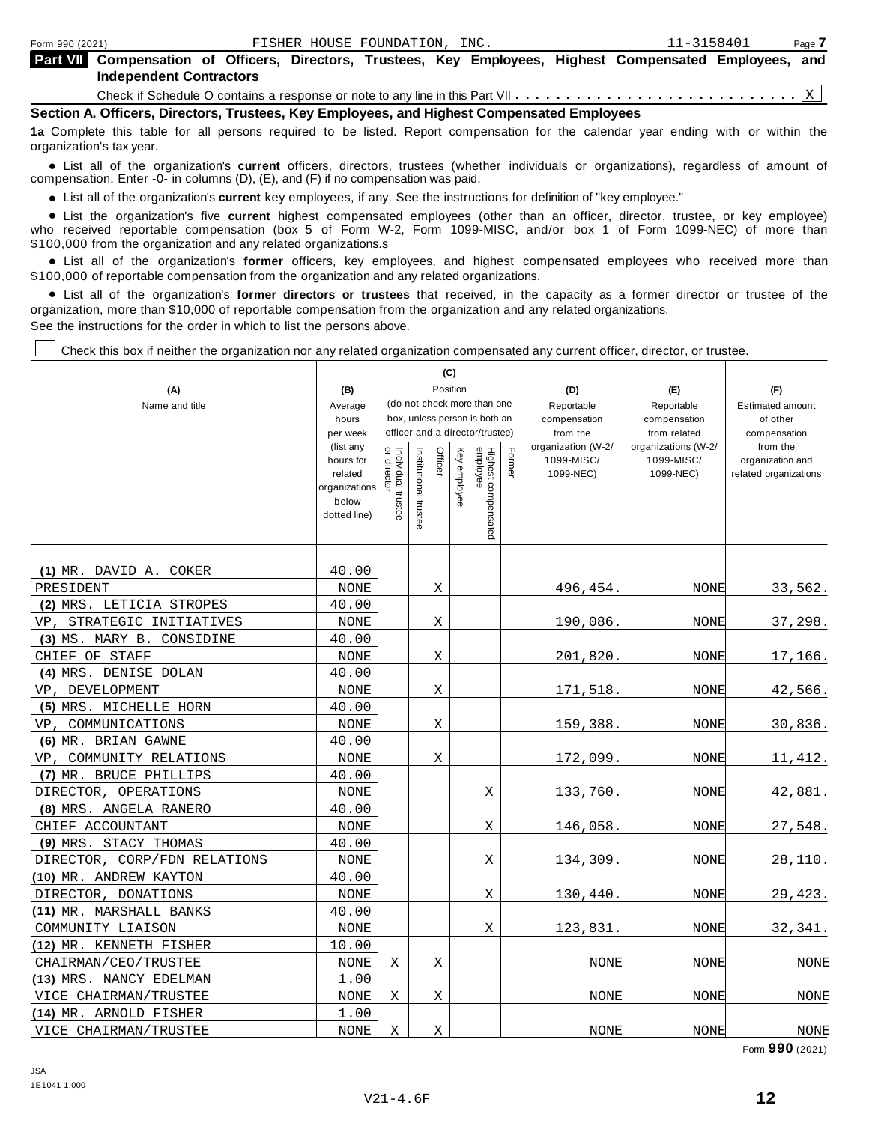| Part VII Compensation of Officers, Directors, Trustees, Key Employees, Highest Compensated Employees, and |  |  |  |  |  |
|-----------------------------------------------------------------------------------------------------------|--|--|--|--|--|
| <b>Independent Contractors</b>                                                                            |  |  |  |  |  |
|                                                                                                           |  |  |  |  |  |

**Section A. Officers, Directors, Trustees, Key Employees, and Highest Compensated Employees**

**1a** Complete this table for all persons required to be listed. Report compensation for the calendar year ending with or within the organization's tax year.

anization's lax year.<br>● List all of the organization's **current** officers, directors, trustees (whether individuals or organizations), regardless of amount of<br>nnensation Enter -0- in columns (D) (E) and (E) if no compensa compensation. Enter -0- in columns (D), (E), and (F) if no compensation was paid.

• List all of the organization's current key employees, if any. See the instructions for definition of "key employee."

■ List all of the organization's current key employees, if any. See the instructions for definition of "key employee."<br>■ List the organization's five current highest compensated employees (other than an officer, director, who received reportable compensation (box 5 of Form W-2, Form 1099-MISC, and/or box 1 of Form 1099-NEC) of more than

\$100,000 from the organization and any related organizations.s<br>• List all of the organization's **former** officers, key employees, and highest compensated employees who received more than<br>\$1.00.000 of reportable componentio \$100,000 of reportable compensation from the organization and any related organizations.

% List all of the organization's **former directors or trustees** that received, in the capacity as a former director or trustee of the organization, more than \$10,000 of reportable compensation from the organization and any related organizations. See the instructions for the order in which to list the persons above.

Check this box if neither the organization nor any related organization compensated any current officer, director, or trustee.

|                              |                       |                                   |                       |             | (C)          |                                 |        |                                |                                     |                          |
|------------------------------|-----------------------|-----------------------------------|-----------------------|-------------|--------------|---------------------------------|--------|--------------------------------|-------------------------------------|--------------------------|
| (A)                          | (B)                   |                                   |                       |             | Position     |                                 |        | (D)                            | (E)                                 | (F)                      |
| Name and title               | Average               |                                   |                       |             |              | (do not check more than one     |        | Reportable                     | Reportable                          | <b>Estimated amount</b>  |
|                              | hours                 |                                   |                       |             |              | box, unless person is both an   |        | compensation                   | compensation                        | of other                 |
|                              | per week<br>(list any |                                   |                       |             |              | officer and a director/trustee) |        | from the<br>organization (W-2/ | from related<br>organizations (W-2/ | compensation<br>from the |
|                              | hours for             | Individual trustee<br>or director | Institutional trustee | Officer     | Key employee |                                 | Former | 1099-MISC/                     | 1099-MISC/                          | organization and         |
|                              | related               |                                   |                       |             |              |                                 |        | 1099-NEC)                      | 1099-NEC)                           | related organizations    |
|                              | organizations         |                                   |                       |             |              |                                 |        |                                |                                     |                          |
|                              | below<br>dotted line) |                                   |                       |             |              |                                 |        |                                |                                     |                          |
|                              |                       |                                   |                       |             |              | Highest compensated<br>employee |        |                                |                                     |                          |
|                              |                       |                                   |                       |             |              |                                 |        |                                |                                     |                          |
| (1) MR. DAVID A. COKER       | 40.00                 |                                   |                       |             |              |                                 |        |                                |                                     |                          |
| PRESIDENT                    | <b>NONE</b>           |                                   |                       | Χ           |              |                                 |        | 496,454.                       | <b>NONE</b>                         | 33,562.                  |
| (2) MRS. LETICIA STROPES     | 40.00                 |                                   |                       |             |              |                                 |        |                                |                                     |                          |
| VP, STRATEGIC INITIATIVES    | NONE                  |                                   |                       | $\mathbf X$ |              |                                 |        | 190,086.                       | NONE                                | 37,298.                  |
| (3) MS. MARY B. CONSIDINE    | 40.00                 |                                   |                       |             |              |                                 |        |                                |                                     |                          |
| CHIEF OF STAFF               | NONE                  |                                   |                       | Χ           |              |                                 |        | 201,820.                       | NONE                                | 17,166.                  |
| (4) MRS. DENISE DOLAN        | 40.00                 |                                   |                       |             |              |                                 |        |                                |                                     |                          |
| VP, DEVELOPMENT              | <b>NONE</b>           |                                   |                       | X           |              |                                 |        | 171,518.                       | <b>NONE</b>                         | 42,566.                  |
| (5) MRS. MICHELLE HORN       | 40.00                 |                                   |                       |             |              |                                 |        |                                |                                     |                          |
| VP, COMMUNICATIONS           | NONE                  |                                   |                       | Χ           |              |                                 |        | 159,388.                       | NONE                                | 30,836.                  |
| (6) MR. BRIAN GAWNE          | 40.00                 |                                   |                       |             |              |                                 |        |                                |                                     |                          |
| VP, COMMUNITY RELATIONS      | <b>NONE</b>           |                                   |                       | Χ           |              |                                 |        | 172,099.                       | <b>NONE</b>                         | 11,412.                  |
| (7) MR. BRUCE PHILLIPS       | 40.00                 |                                   |                       |             |              |                                 |        |                                |                                     |                          |
| DIRECTOR, OPERATIONS         | NONE                  |                                   |                       |             |              | Χ                               |        | 133,760.                       | <b>NONE</b>                         | 42,881.                  |
| (8) MRS. ANGELA RANERO       | 40.00                 |                                   |                       |             |              |                                 |        |                                |                                     |                          |
| CHIEF ACCOUNTANT             | NONE                  |                                   |                       |             |              | X                               |        | 146,058.                       | <b>NONE</b>                         | 27,548.                  |
| (9) MRS. STACY THOMAS        | 40.00                 |                                   |                       |             |              |                                 |        |                                |                                     |                          |
| DIRECTOR, CORP/FDN RELATIONS | <b>NONE</b>           |                                   |                       |             |              | X                               |        | 134,309.                       | <b>NONE</b>                         | 28,110.                  |
| (10) MR. ANDREW KAYTON       | 40.00                 |                                   |                       |             |              |                                 |        |                                |                                     |                          |
| DIRECTOR, DONATIONS          | <b>NONE</b>           |                                   |                       |             |              | X                               |        | 130,440.                       | NONE                                | 29,423.                  |
| (11) MR. MARSHALL BANKS      | 40.00                 |                                   |                       |             |              |                                 |        |                                |                                     |                          |
| COMMUNITY LIAISON            | <b>NONE</b>           |                                   |                       |             |              | Χ                               |        | 123,831.                       | <b>NONE</b>                         | 32,341.                  |
| (12) MR. KENNETH FISHER      | 10.00                 |                                   |                       |             |              |                                 |        |                                |                                     |                          |
| CHAIRMAN/CEO/TRUSTEE         | NONE                  | Χ                                 |                       | $\mathbf X$ |              |                                 |        | NONE                           | NONE                                | NONE                     |
| (13) MRS. NANCY EDELMAN      | 1.00                  |                                   |                       |             |              |                                 |        |                                |                                     |                          |
| VICE CHAIRMAN/TRUSTEE        | NONE                  | Χ                                 |                       | Χ           |              |                                 |        | NONE                           | NONE                                | <b>NONE</b>              |
| (14) MR. ARNOLD FISHER       | 1.00                  |                                   |                       |             |              |                                 |        |                                |                                     |                          |
| VICE CHAIRMAN/TRUSTEE        | <b>NONE</b>           | Χ                                 |                       | $\mathbf X$ |              |                                 |        | <b>NONE</b>                    | <b>NONE</b>                         | NONE                     |

Form **990** (2021)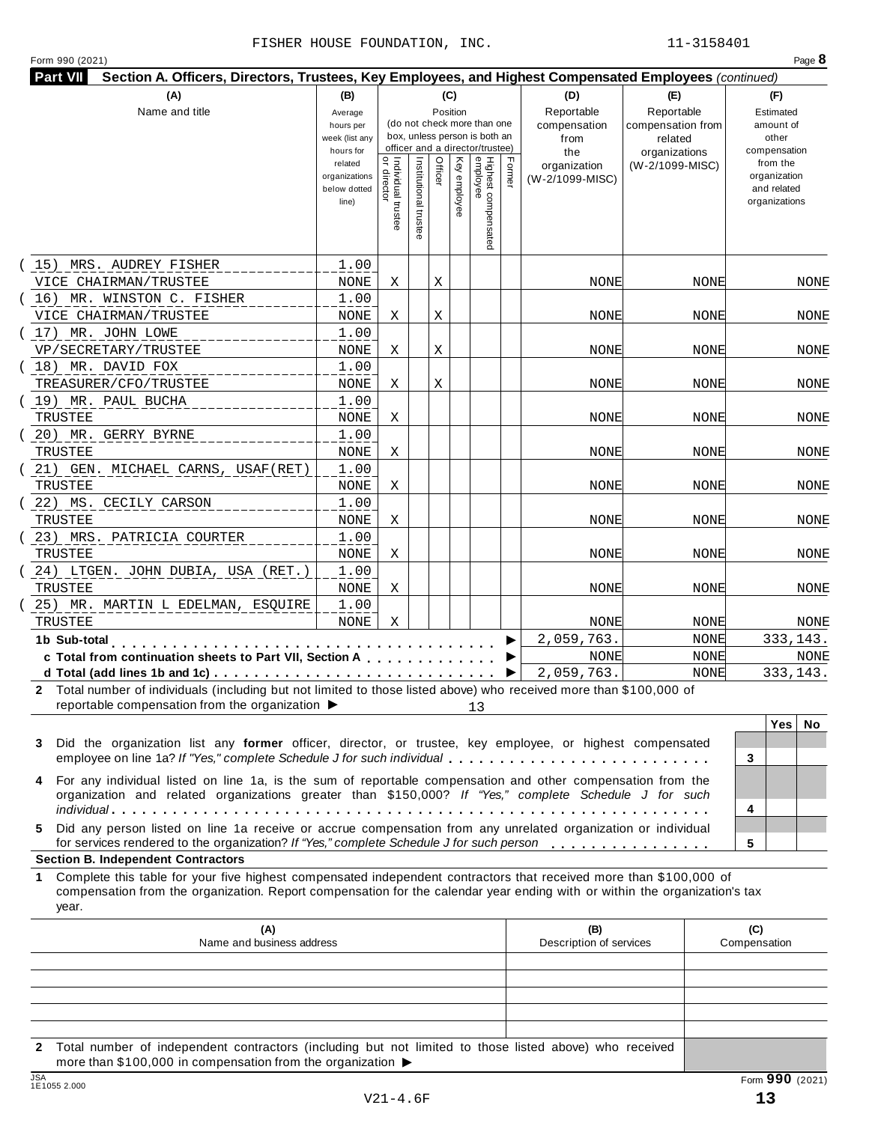|  | Form 990 (2021) |
|--|-----------------|
|  |                 |

| (A)                                                     | (B)                                                 |                                   |                       | (C)         |              |                                                                                                 |        | (D)                                       | (E)                                                         | (F)                                                      |
|---------------------------------------------------------|-----------------------------------------------------|-----------------------------------|-----------------------|-------------|--------------|-------------------------------------------------------------------------------------------------|--------|-------------------------------------------|-------------------------------------------------------------|----------------------------------------------------------|
| Name and title                                          | Average<br>hours per<br>week (list any<br>hours for |                                   |                       | Position    |              | (do not check more than one<br>box, unless person is both an<br>officer and a director/trustee) |        | Reportable<br>compensation<br>from<br>the | Reportable<br>compensation from<br>related<br>organizations | Estimated<br>amount of<br>other<br>compensation          |
|                                                         | related<br>organizations<br>below dotted<br>line)   | Individual trustee<br>or director | Institutional trustee | Officer     | Key employee | Highest compensated<br>employee                                                                 | Former | organization<br>(W-2/1099-MISC)           | (W-2/1099-MISC)                                             | from the<br>organization<br>and related<br>organizations |
| (15) MRS. AUDREY FISHER                                 | 1.00                                                |                                   |                       |             |              |                                                                                                 |        |                                           |                                                             |                                                          |
| VICE CHAIRMAN/TRUSTEE                                   | NONE                                                | Χ                                 |                       | Χ           |              |                                                                                                 |        | <b>NONE</b>                               | NONE                                                        | NONE                                                     |
| (16) MR. WINSTON C. FISHER                              | 1.00                                                |                                   |                       |             |              |                                                                                                 |        |                                           |                                                             |                                                          |
| VICE CHAIRMAN/TRUSTEE                                   | $\rm{NONE}$                                         | X                                 |                       | $\mathbf X$ |              |                                                                                                 |        | NONE                                      | NONE                                                        | NONE                                                     |
| (17) MR. JOHN LOWE                                      | 1.00                                                |                                   |                       |             |              |                                                                                                 |        |                                           |                                                             |                                                          |
| VP/SECRETARY/TRUSTEE                                    | <b>NONE</b>                                         | Χ                                 |                       | X           |              |                                                                                                 |        | <b>NONE</b>                               | <b>NONE</b>                                                 | <b>NONE</b>                                              |
| (18) MR. DAVID FOX                                      | 1.00                                                |                                   |                       |             |              |                                                                                                 |        |                                           |                                                             |                                                          |
| TREASURER/CFO/TRUSTEE                                   | <b>NONE</b>                                         | Χ                                 |                       | $\mathbf X$ |              |                                                                                                 |        | NONE                                      | NONE                                                        | NONE                                                     |
| (19) MR. PAUL BUCHA                                     | 1.00                                                |                                   |                       |             |              |                                                                                                 |        |                                           |                                                             |                                                          |
| TRUSTEE                                                 | NONE                                                | Χ                                 |                       |             |              |                                                                                                 |        | NONE                                      | NONE                                                        | NONE                                                     |
| (20) MR. GERRY BYRNE                                    | 1.00                                                |                                   |                       |             |              |                                                                                                 |        |                                           |                                                             |                                                          |
| TRUSTEE                                                 | NONE                                                | Χ                                 |                       |             |              |                                                                                                 |        | NONE                                      | NONE                                                        | NONE                                                     |
| (21) GEN. MICHAEL CARNS, USAF(RET)                      | 1.00                                                |                                   |                       |             |              |                                                                                                 |        |                                           |                                                             |                                                          |
| TRUSTEE                                                 | NONE                                                | Χ                                 |                       |             |              |                                                                                                 |        | NONE                                      | NONE                                                        | NONE                                                     |
| (22) MS. CECILY CARSON                                  | 1.00                                                |                                   |                       |             |              |                                                                                                 |        |                                           |                                                             |                                                          |
| TRUSTEE                                                 | <b>NONE</b>                                         | Χ                                 |                       |             |              |                                                                                                 |        | <b>NONE</b>                               | <b>NONE</b>                                                 | <b>NONE</b>                                              |
| (23) MRS. PATRICIA COURTER                              | 1.00                                                |                                   |                       |             |              |                                                                                                 |        |                                           |                                                             |                                                          |
| TRUSTEE                                                 | NONE                                                | Χ                                 |                       |             |              |                                                                                                 |        | NONE                                      | NONE                                                        | <b>NONE</b>                                              |
| (24) LTGEN. JOHN DUBIA, USA (RET.)                      | 1.00                                                |                                   |                       |             |              |                                                                                                 |        |                                           |                                                             |                                                          |
| TRUSTEE                                                 | $\rm{NONE}$                                         | Χ                                 |                       |             |              |                                                                                                 |        | NONE                                      | <b>NONE</b>                                                 | <b>NONE</b>                                              |
| (25) MR. MARTIN L EDELMAN, ESQUIRE                      | 1.00                                                |                                   |                       |             |              |                                                                                                 |        |                                           |                                                             |                                                          |
| TRUSTEE                                                 | <b>NONE</b>                                         | Χ                                 |                       |             |              |                                                                                                 |        | <b>NONE</b>                               | <b>NONE</b>                                                 | <b>NONE</b>                                              |
|                                                         |                                                     |                                   |                       |             |              |                                                                                                 | ▶      | 2,059,763.                                | <b>NONE</b>                                                 | 333, 143.                                                |
| c Total from continuation sheets to Part VII, Section A |                                                     |                                   |                       |             |              |                                                                                                 | ▶      | NONE                                      | <b>NONE</b>                                                 | <b>NONE</b>                                              |
|                                                         |                                                     |                                   |                       |             |              |                                                                                                 |        | 2,059,763.                                | <b>NONE</b>                                                 | 333,143.                                                 |

| 3 Did the organization list any former officer, director, or trustee, key employee, or highest compensated                                                                                                             |     |  |
|------------------------------------------------------------------------------------------------------------------------------------------------------------------------------------------------------------------------|-----|--|
| employee on line 1a? If "Yes," complete Schedule J for such individual                                                                                                                                                 |     |  |
| 4 For any individual listed on line 1a, is the sum of reportable compensation and other compensation from the<br>organization and related organizations greater than \$150,000? If "Yes," complete Schedule J for such |     |  |
|                                                                                                                                                                                                                        |     |  |
| 5 Did any person listed on line 1a receive or accrue compensation from any unrelated organization or individual                                                                                                        |     |  |
| for services rendered to the organization? If "Yes," complete Schedule J for such person                                                                                                                               | - 5 |  |
|                                                                                                                                                                                                                        |     |  |

#### **Section B. Independent Contractors**

**1** Complete this table for your five highest compensated independent contractors that received more than \$100,000 of compensation from the organization. Report compensation for the calendar year ending with or within the organization's tax year.

|            | (A)<br>Name and business address                                                                                                                                                            | (B)<br>Description of services | (C)<br>Compensation |
|------------|---------------------------------------------------------------------------------------------------------------------------------------------------------------------------------------------|--------------------------------|---------------------|
|            |                                                                                                                                                                                             |                                |                     |
|            |                                                                                                                                                                                             |                                |                     |
|            |                                                                                                                                                                                             |                                |                     |
|            |                                                                                                                                                                                             |                                |                     |
|            |                                                                                                                                                                                             |                                |                     |
|            | 2 Total number of independent contractors (including but not limited to those listed above) who received<br>more than \$100,000 in compensation from the organization $\blacktriangleright$ |                                |                     |
| <b>JSA</b> | 1E1055 2.000                                                                                                                                                                                |                                | Form 990 (2021)     |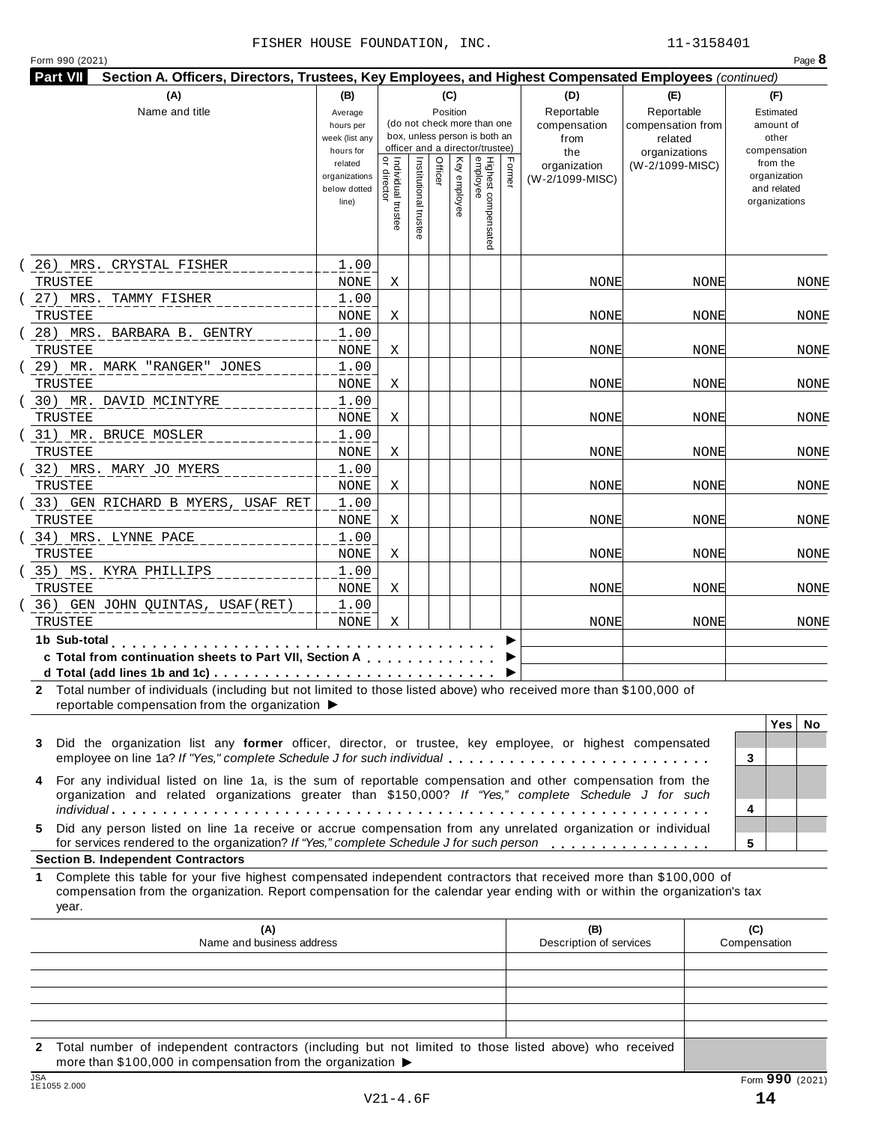|  | Form 990 (2021) |  |
|--|-----------------|--|

| (A)                                                                    | (B)                                                 |                                   |                       |          | (C)          |                                                                                                 |        | (D)                                       | (E)                                                         | (F)                                                      |
|------------------------------------------------------------------------|-----------------------------------------------------|-----------------------------------|-----------------------|----------|--------------|-------------------------------------------------------------------------------------------------|--------|-------------------------------------------|-------------------------------------------------------------|----------------------------------------------------------|
| Name and title                                                         | Average<br>hours per<br>week (list any<br>hours for |                                   |                       | Position |              | (do not check more than one<br>box, unless person is both an<br>officer and a director/trustee) |        | Reportable<br>compensation<br>from<br>the | Reportable<br>compensation from<br>related<br>organizations | Estimated<br>amount of<br>other<br>compensation          |
|                                                                        | related<br>organizations<br>below dotted<br>line)   | Individual trustee<br>or director | Institutional trustee | Office   | Key employee | Highest compensated<br>employee                                                                 | Former | organization<br>(W-2/1099-MISC)           | (W-2/1099-MISC)                                             | from the<br>organization<br>and related<br>organizations |
| (26) MRS. CRYSTAL FISHER                                               | 1.00                                                |                                   |                       |          |              |                                                                                                 |        |                                           |                                                             |                                                          |
| TRUSTEE                                                                | <b>NONE</b>                                         | Χ                                 |                       |          |              |                                                                                                 |        | <b>NONE</b>                               | <b>NONE</b>                                                 | <b>NONE</b>                                              |
| (27) MRS. TAMMY FISHER                                                 | 1.00                                                |                                   |                       |          |              |                                                                                                 |        |                                           |                                                             |                                                          |
| TRUSTEE                                                                | <b>NONE</b>                                         | Χ                                 |                       |          |              |                                                                                                 |        | <b>NONE</b>                               | NONE                                                        | NONE                                                     |
| (28) MRS. BARBARA B. GENTRY                                            | 1.00                                                |                                   |                       |          |              |                                                                                                 |        |                                           |                                                             |                                                          |
| TRUSTEE                                                                | <b>NONE</b>                                         | Χ                                 |                       |          |              |                                                                                                 |        | <b>NONE</b>                               | <b>NONE</b>                                                 | NONE                                                     |
| (29) MR. MARK "RANGER" JONES                                           | 1.00                                                |                                   |                       |          |              |                                                                                                 |        |                                           |                                                             |                                                          |
| TRUSTEE                                                                | $\rm{NONE}$                                         | X                                 |                       |          |              |                                                                                                 |        | NONE                                      | NONE                                                        | NONE                                                     |
| (30) MR. DAVID MCINTYRE                                                | 1.00                                                |                                   |                       |          |              |                                                                                                 |        |                                           |                                                             |                                                          |
| TRUSTEE                                                                | $\rm{NONE}$                                         | Χ                                 |                       |          |              |                                                                                                 |        | <b>NONE</b>                               | <b>NONE</b>                                                 | <b>NONE</b>                                              |
| (31) MR. BRUCE MOSLER                                                  | 1.00                                                |                                   |                       |          |              |                                                                                                 |        |                                           |                                                             |                                                          |
| TRUSTEE                                                                | <b>NONE</b>                                         | Χ                                 |                       |          |              |                                                                                                 |        | <b>NONE</b>                               | <b>NONE</b>                                                 | <b>NONE</b>                                              |
| (32) MRS. MARY JO MYERS                                                | 1.00                                                |                                   |                       |          |              |                                                                                                 |        |                                           |                                                             |                                                          |
| TRUSTEE                                                                | <b>NONE</b>                                         | Χ                                 |                       |          |              |                                                                                                 |        | <b>NONE</b>                               | <b>NONE</b>                                                 | <b>NONE</b>                                              |
| (33) GEN RICHARD B MYERS, USAF RET                                     | 1.00                                                |                                   |                       |          |              |                                                                                                 |        |                                           |                                                             |                                                          |
| TRUSTEE                                                                | <b>NONE</b>                                         | Χ                                 |                       |          |              |                                                                                                 |        | <b>NONE</b>                               | NONE                                                        | <b>NONE</b>                                              |
| (34) MRS. LYNNE PACE                                                   | 1.00                                                |                                   |                       |          |              |                                                                                                 |        |                                           |                                                             |                                                          |
| TRUSTEE                                                                | <b>NONE</b>                                         | Χ                                 |                       |          |              |                                                                                                 |        | NONE                                      | NONE                                                        | <b>NONE</b>                                              |
| (35) MS. KYRA PHILLIPS                                                 | 1.00                                                |                                   |                       |          |              |                                                                                                 |        |                                           |                                                             |                                                          |
| TRUSTEE                                                                | NONE                                                | Χ                                 |                       |          |              |                                                                                                 |        | NONE                                      | <b>NONE</b>                                                 | NONE                                                     |
| 36) GEN JOHN QUINTAS, USAF(RET)                                        | 1.00                                                |                                   |                       |          |              |                                                                                                 |        |                                           |                                                             |                                                          |
| TRUSTEE                                                                | $\rm{NONE}$                                         | Χ                                 |                       |          |              |                                                                                                 |        | <b>NONE</b>                               | NONE                                                        | <b>NONE</b>                                              |
| 1b Sub-total<br><u>. </u><br>$\alpha$ , $\alpha$ , $\alpha$ , $\alpha$ |                                                     |                                   |                       |          |              |                                                                                                 |        |                                           |                                                             |                                                          |
| c Total from continuation sheets to Part VII, Section A                |                                                     |                                   |                       |          |              |                                                                                                 |        |                                           |                                                             |                                                          |
|                                                                        |                                                     |                                   |                       |          |              |                                                                                                 |        |                                           |                                                             |                                                          |

|                                                                                                                                                                                                                        | res | <b>No</b> |
|------------------------------------------------------------------------------------------------------------------------------------------------------------------------------------------------------------------------|-----|-----------|
| 3 Did the organization list any former officer, director, or trustee, key employee, or highest compensated                                                                                                             |     |           |
| employee on line 1a? If "Yes," complete Schedule J for such individual                                                                                                                                                 |     |           |
| 4 For any individual listed on line 1a, is the sum of reportable compensation and other compensation from the<br>organization and related organizations greater than \$150,000? If "Yes," complete Schedule J for such |     |           |
| 5 Did any person listed on line 1a receive or accrue compensation from any unrelated organization or individual                                                                                                        |     |           |
| for services rendered to the organization? If "Yes," complete Schedule J for such person                                                                                                                               |     |           |

#### **Section B. Independent Contractors**

**1** Complete this table for your five highest compensated independent contractors that received more than \$100,000 of compensation from the organization. Report compensation for the calendar year ending with or within the organization's tax year.

|            | (A)<br>Name and business address                                                                                                                                                            | (B)<br>Description of services | (C)<br>Compensation |
|------------|---------------------------------------------------------------------------------------------------------------------------------------------------------------------------------------------|--------------------------------|---------------------|
|            |                                                                                                                                                                                             |                                |                     |
|            |                                                                                                                                                                                             |                                |                     |
|            |                                                                                                                                                                                             |                                |                     |
|            |                                                                                                                                                                                             |                                |                     |
|            |                                                                                                                                                                                             |                                |                     |
|            | 2 Total number of independent contractors (including but not limited to those listed above) who received<br>more than \$100,000 in compensation from the organization $\blacktriangleright$ |                                |                     |
| <b>JSA</b> | 1E1055 2.000                                                                                                                                                                                |                                | Form 990 (2021)     |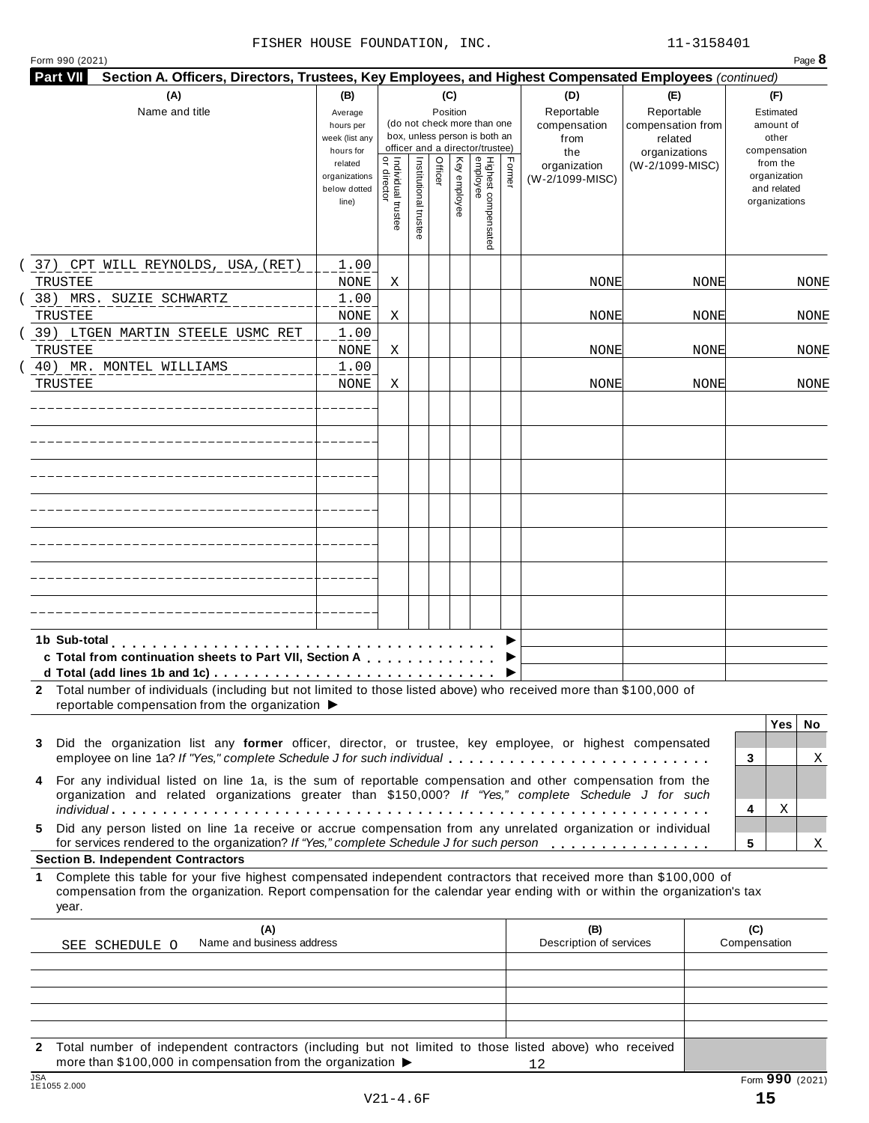|  | Form 990 (2021) |
|--|-----------------|
|  |                 |

| <b>Part VII</b><br>Section A. Officers, Directors, Trustees, Key Employees, and Highest Compensated Employees (continued)  |                             |                                   |                       |          |              |                                 |        |                            |                                 |                        |      |         |       |
|----------------------------------------------------------------------------------------------------------------------------|-----------------------------|-----------------------------------|-----------------------|----------|--------------|---------------------------------|--------|----------------------------|---------------------------------|------------------------|------|---------|-------|
| (A)                                                                                                                        | (B)                         |                                   |                       |          | (C)          |                                 |        | (D)                        | (E)                             | (F)                    |      |         |       |
| Name and title                                                                                                             | Average                     |                                   |                       | Position |              | (do not check more than one     |        | Reportable<br>compensation | Reportable<br>compensation from | Estimated<br>amount of |      |         |       |
|                                                                                                                            | hours per<br>week (list any |                                   |                       |          |              |                                 |        |                            | box, unless person is both an   |                        | from | related | other |
|                                                                                                                            | hours for                   |                                   |                       |          |              | officer and a director/trustee) |        | the                        | organizations                   | compensation           |      |         |       |
|                                                                                                                            | related                     |                                   |                       |          |              |                                 |        | organization               | (W-2/1099-MISC)                 | from the               |      |         |       |
|                                                                                                                            | organizations               |                                   |                       | Officer  |              |                                 | Former | (W-2/1099-MISC)            |                                 | organization           |      |         |       |
|                                                                                                                            | below dotted                | director                          |                       |          |              |                                 |        |                            |                                 | and related            |      |         |       |
|                                                                                                                            | line)                       |                                   |                       |          | Key employee |                                 |        |                            |                                 | organizations          |      |         |       |
|                                                                                                                            |                             | Individual trustee<br>or director |                       |          |              |                                 |        |                            |                                 |                        |      |         |       |
|                                                                                                                            |                             |                                   | Institutional trustee |          |              | Highest compensated<br>employee |        |                            |                                 |                        |      |         |       |
|                                                                                                                            |                             |                                   |                       |          |              |                                 |        |                            |                                 |                        |      |         |       |
| (37) CPT WILL REYNOLDS, USA, (RET)                                                                                         | 1.00                        |                                   |                       |          |              |                                 |        |                            |                                 |                        |      |         |       |
| TRUSTEE                                                                                                                    | <b>NONE</b>                 | Χ                                 |                       |          |              |                                 |        | NONE                       | NONE                            | NONE                   |      |         |       |
|                                                                                                                            |                             |                                   |                       |          |              |                                 |        |                            |                                 |                        |      |         |       |
| (38) MRS. SUZIE SCHWARTZ                                                                                                   | 1.00                        |                                   |                       |          |              |                                 |        |                            |                                 |                        |      |         |       |
| TRUSTEE                                                                                                                    | <b>NONE</b>                 | Χ                                 |                       |          |              |                                 |        | NONE                       | NONE                            | NONE                   |      |         |       |
| 39) LTGEN MARTIN STEELE USMC RET                                                                                           | 1.00                        |                                   |                       |          |              |                                 |        |                            |                                 |                        |      |         |       |
| TRUSTEE                                                                                                                    | <b>NONE</b>                 | Χ                                 |                       |          |              |                                 |        | NONE                       | NONE                            | NONE                   |      |         |       |
| 40) MR. MONTEL WILLIAMS                                                                                                    | 1.00                        |                                   |                       |          |              |                                 |        |                            |                                 |                        |      |         |       |
|                                                                                                                            |                             |                                   |                       |          |              |                                 |        |                            |                                 |                        |      |         |       |
| TRUSTEE                                                                                                                    | <b>NONE</b>                 | Χ                                 |                       |          |              |                                 |        | NONE                       | NONE                            | NONE                   |      |         |       |
|                                                                                                                            |                             |                                   |                       |          |              |                                 |        |                            |                                 |                        |      |         |       |
|                                                                                                                            |                             |                                   |                       |          |              |                                 |        |                            |                                 |                        |      |         |       |
|                                                                                                                            |                             |                                   |                       |          |              |                                 |        |                            |                                 |                        |      |         |       |
|                                                                                                                            |                             |                                   |                       |          |              |                                 |        |                            |                                 |                        |      |         |       |
|                                                                                                                            |                             |                                   |                       |          |              |                                 |        |                            |                                 |                        |      |         |       |
|                                                                                                                            |                             |                                   |                       |          |              |                                 |        |                            |                                 |                        |      |         |       |
|                                                                                                                            |                             |                                   |                       |          |              |                                 |        |                            |                                 |                        |      |         |       |
|                                                                                                                            |                             |                                   |                       |          |              |                                 |        |                            |                                 |                        |      |         |       |
|                                                                                                                            |                             |                                   |                       |          |              |                                 |        |                            |                                 |                        |      |         |       |
|                                                                                                                            |                             |                                   |                       |          |              |                                 |        |                            |                                 |                        |      |         |       |
|                                                                                                                            |                             |                                   |                       |          |              |                                 |        |                            |                                 |                        |      |         |       |
|                                                                                                                            |                             |                                   |                       |          |              |                                 |        |                            |                                 |                        |      |         |       |
|                                                                                                                            |                             |                                   |                       |          |              |                                 |        |                            |                                 |                        |      |         |       |
|                                                                                                                            |                             |                                   |                       |          |              |                                 |        |                            |                                 |                        |      |         |       |
|                                                                                                                            |                             |                                   |                       |          |              |                                 |        |                            |                                 |                        |      |         |       |
|                                                                                                                            |                             |                                   |                       |          |              |                                 |        |                            |                                 |                        |      |         |       |
|                                                                                                                            |                             |                                   |                       |          |              |                                 |        |                            |                                 |                        |      |         |       |
| 1b Sub-total                                                                                                               |                             |                                   |                       |          |              |                                 |        |                            |                                 |                        |      |         |       |
| c Total from continuation sheets to Part VII, Section A                                                                    |                             |                                   |                       |          |              |                                 |        |                            |                                 |                        |      |         |       |
|                                                                                                                            |                             |                                   |                       |          |              |                                 | ▶      |                            |                                 |                        |      |         |       |
| 2 Total number of individuals (including but not limited to those listed above) who received more than \$100,000 of        |                             |                                   |                       |          |              |                                 |        |                            |                                 |                        |      |         |       |
| reportable compensation from the organization ▶                                                                            |                             |                                   |                       |          |              |                                 |        |                            |                                 |                        |      |         |       |
|                                                                                                                            |                             |                                   |                       |          |              |                                 |        |                            |                                 | Yes <sup></sup><br>No. |      |         |       |
|                                                                                                                            |                             |                                   |                       |          |              |                                 |        |                            |                                 |                        |      |         |       |
| Did the organization list any former officer, director, or trustee, key employee, or highest compensated<br>3              |                             |                                   |                       |          |              |                                 |        |                            |                                 |                        |      |         |       |
| employee on line 1a? If "Yes," complete Schedule J for such individual                                                     |                             |                                   |                       |          |              |                                 |        |                            |                                 | 3<br>Χ                 |      |         |       |
| For any individual listed on line 1a, is the sum of reportable compensation and other compensation from the<br>4           |                             |                                   |                       |          |              |                                 |        |                            |                                 |                        |      |         |       |
| organization and related organizations greater than \$150,000? If "Yes," complete Schedule J for such                      |                             |                                   |                       |          |              |                                 |        |                            |                                 |                        |      |         |       |
|                                                                                                                            |                             |                                   |                       |          |              |                                 |        |                            |                                 |                        |      |         |       |
|                                                                                                                            |                             |                                   |                       |          |              |                                 |        |                            |                                 | 4<br>Χ                 |      |         |       |
| Did any person listed on line 1a receive or accrue compensation from any unrelated organization or individual<br>5         |                             |                                   |                       |          |              |                                 |        |                            |                                 |                        |      |         |       |
| for services rendered to the organization? If "Yes," complete Schedule J for such person                                   |                             |                                   |                       |          |              |                                 |        |                            |                                 | 5<br>Χ                 |      |         |       |
| <b>Section B. Independent Contractors</b>                                                                                  |                             |                                   |                       |          |              |                                 |        |                            |                                 |                        |      |         |       |
| Complete this table for your five highest compensated independent contractors that received more than \$100,000 of<br>1.   |                             |                                   |                       |          |              |                                 |        |                            |                                 |                        |      |         |       |
| compensation from the organization. Report compensation for the calendar year ending with or within the organization's tax |                             |                                   |                       |          |              |                                 |        |                            |                                 |                        |      |         |       |
| year.                                                                                                                      |                             |                                   |                       |          |              |                                 |        |                            |                                 |                        |      |         |       |
|                                                                                                                            |                             |                                   |                       |          |              |                                 |        |                            |                                 |                        |      |         |       |
| (A)                                                                                                                        |                             |                                   |                       |          |              |                                 |        | (B)                        |                                 | (C)                    |      |         |       |
| Name and business address<br>SEE SCHEDULE O                                                                                |                             |                                   |                       |          |              |                                 |        | Description of services    |                                 | Compensation           |      |         |       |
|                                                                                                                            |                             |                                   |                       |          |              |                                 |        |                            |                                 |                        |      |         |       |
|                                                                                                                            |                             |                                   |                       |          |              |                                 |        |                            |                                 |                        |      |         |       |
|                                                                                                                            |                             |                                   |                       |          |              |                                 |        |                            |                                 |                        |      |         |       |
|                                                                                                                            |                             |                                   |                       |          |              |                                 |        |                            |                                 |                        |      |         |       |
|                                                                                                                            |                             |                                   |                       |          |              |                                 |        |                            |                                 |                        |      |         |       |

**2** Total number of independent contractors (including but not limited to those listed above) who received more than \$100,000 in compensation from the organization  $\rightarrow$  12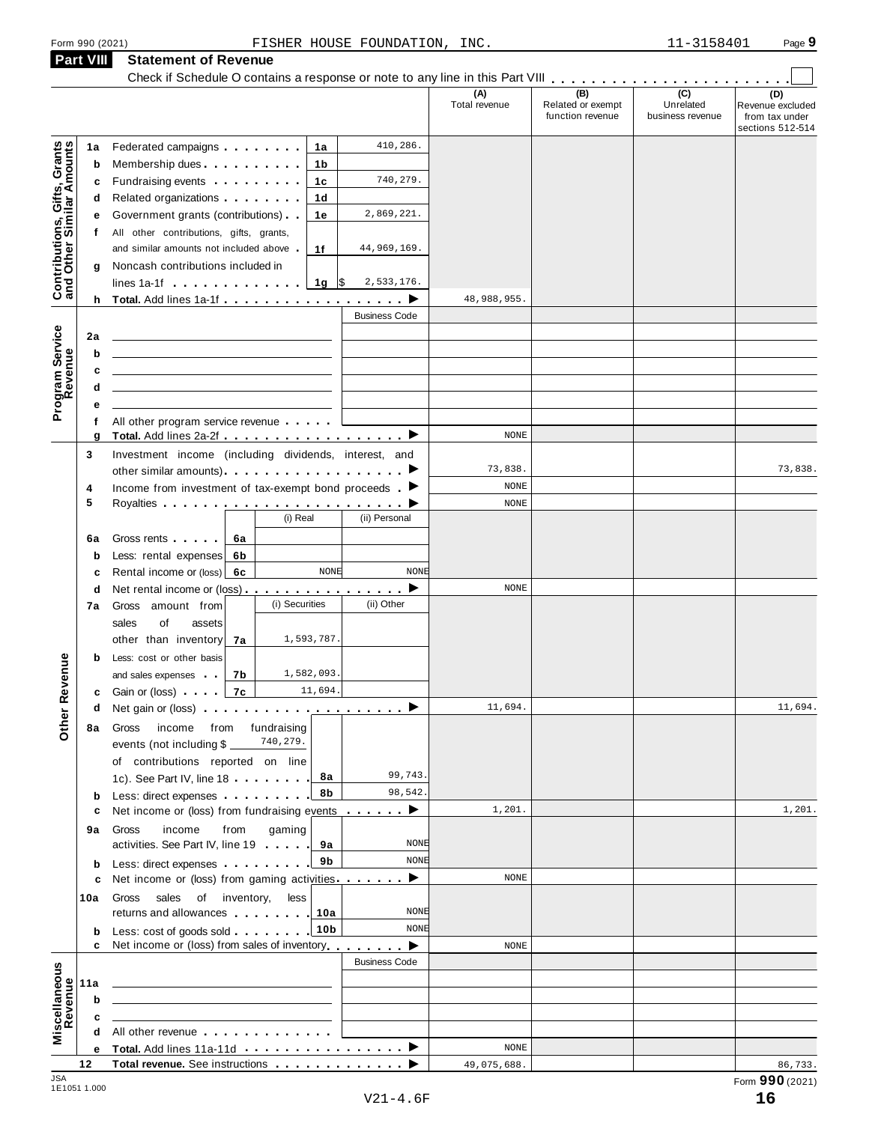#### Form 990 (2021) **Page 9** FISHER HOUSE FOUNDATION, INC. The magnetic state of the state of the page **9 Part VIII Statement of Revenue**

|                                                           | <b>Part VIII</b> | Statement of Revenue<br>Check if Schedule O contains a response or note to any line in this Part VIII                                                                                                                          |                      |                                              |                                      |                                                               |
|-----------------------------------------------------------|------------------|--------------------------------------------------------------------------------------------------------------------------------------------------------------------------------------------------------------------------------|----------------------|----------------------------------------------|--------------------------------------|---------------------------------------------------------------|
|                                                           |                  |                                                                                                                                                                                                                                | (A)<br>Total revenue | (B)<br>Related or exempt<br>function revenue | (C)<br>Unrelated<br>business revenue | (D)<br>Revenue excluded<br>from tax under<br>sections 512-514 |
| Contributions, Gifts, Grants<br>and Other Similar Amounts | 1a               | 410,286.<br>Federated campaigns <b>Federated</b><br>1a                                                                                                                                                                         |                      |                                              |                                      |                                                               |
|                                                           | b                | Membership dues<br>1b                                                                                                                                                                                                          |                      |                                              |                                      |                                                               |
|                                                           | с                | 740,279.<br>Fundraising events <b>Fundraising</b><br>1c                                                                                                                                                                        |                      |                                              |                                      |                                                               |
|                                                           | d                | Related organizations <b>contains</b><br>1d                                                                                                                                                                                    |                      |                                              |                                      |                                                               |
|                                                           | е                | 2,869,221.<br>Government grants (contributions).<br>1е                                                                                                                                                                         |                      |                                              |                                      |                                                               |
|                                                           | f                | All other contributions, gifts, grants,                                                                                                                                                                                        |                      |                                              |                                      |                                                               |
|                                                           |                  | and similar amounts not included above.<br>44,969,169.<br>1f                                                                                                                                                                   |                      |                                              |                                      |                                                               |
|                                                           | g                | Noncash contributions included in                                                                                                                                                                                              |                      |                                              |                                      |                                                               |
|                                                           |                  | 2,533,176.<br>1g $\sqrt{3}$<br>lines 1a-1f $\ldots$ $\ldots$ $\ldots$ $\ldots$                                                                                                                                                 |                      |                                              |                                      |                                                               |
|                                                           |                  |                                                                                                                                                                                                                                | 48,988,955.          |                                              |                                      |                                                               |
|                                                           |                  | <b>Business Code</b>                                                                                                                                                                                                           |                      |                                              |                                      |                                                               |
|                                                           | 2a               |                                                                                                                                                                                                                                |                      |                                              |                                      |                                                               |
|                                                           | b                |                                                                                                                                                                                                                                |                      |                                              |                                      |                                                               |
| Program Service                                           | c                |                                                                                                                                                                                                                                |                      |                                              |                                      |                                                               |
|                                                           | d                |                                                                                                                                                                                                                                |                      |                                              |                                      |                                                               |
|                                                           | е                |                                                                                                                                                                                                                                |                      |                                              |                                      |                                                               |
|                                                           | f                | All other program service revenue                                                                                                                                                                                              |                      |                                              |                                      |                                                               |
|                                                           | g                | Total. Add lines 2a-2f ▶                                                                                                                                                                                                       | <b>NONE</b>          |                                              |                                      |                                                               |
|                                                           | 3                | Investment income (including dividends, interest, and                                                                                                                                                                          |                      |                                              |                                      |                                                               |
|                                                           |                  |                                                                                                                                                                                                                                | 73,838.              |                                              |                                      | 73,838.                                                       |
|                                                           | 4                | Income from investment of tax-exempt bond proceeds $\blacktriangleright$                                                                                                                                                       | $\rm{NONE}$          |                                              |                                      |                                                               |
|                                                           | 5                |                                                                                                                                                                                                                                | <b>NONE</b>          |                                              |                                      |                                                               |
|                                                           |                  | (i) Real<br>(ii) Personal                                                                                                                                                                                                      |                      |                                              |                                      |                                                               |
|                                                           | 6a               | Gross rents [1994]<br>6а                                                                                                                                                                                                       |                      |                                              |                                      |                                                               |
|                                                           | b                | Less: rental expenses<br>6b                                                                                                                                                                                                    |                      |                                              |                                      |                                                               |
|                                                           | c                | <b>NONE</b><br>NONE<br>Rental income or (loss) 6c                                                                                                                                                                              |                      |                                              |                                      |                                                               |
|                                                           | d                | Net rental income or (loss) $\cdots$ $\cdots$ $\cdots$ $\cdots$                                                                                                                                                                | <b>NONE</b>          |                                              |                                      |                                                               |
|                                                           | 7а               | (ii) Other<br>(i) Securities<br>Gross amount from                                                                                                                                                                              |                      |                                              |                                      |                                                               |
|                                                           |                  | sales<br>of<br>assets                                                                                                                                                                                                          |                      |                                              |                                      |                                                               |
|                                                           |                  | other than inventory<br>7a<br>1,593,787.                                                                                                                                                                                       |                      |                                              |                                      |                                                               |
|                                                           | b                | Less: cost or other basis                                                                                                                                                                                                      |                      |                                              |                                      |                                                               |
| evenue                                                    |                  | 1,582,093.<br>and sales expenses<br>7b                                                                                                                                                                                         |                      |                                              |                                      |                                                               |
|                                                           |                  | 7c<br>11,694.<br><b>c</b> Gain or (loss)                                                                                                                                                                                       |                      |                                              |                                      |                                                               |
| Other <sub>R</sub>                                        | d                |                                                                                                                                                                                                                                | 11,694.              |                                              |                                      | 11,694.                                                       |
|                                                           | 8а               | fundraising<br>Gross<br>income from                                                                                                                                                                                            |                      |                                              |                                      |                                                               |
|                                                           |                  | 740,279.<br>events (not including \$                                                                                                                                                                                           |                      |                                              |                                      |                                                               |
|                                                           |                  | of contributions reported on line                                                                                                                                                                                              |                      |                                              |                                      |                                                               |
|                                                           |                  | 99,743.<br>8а<br>1c). See Part IV, line 18 <b></b>                                                                                                                                                                             |                      |                                              |                                      |                                                               |
|                                                           | b                | 98,542.<br>8b<br>Less: direct expenses                                                                                                                                                                                         |                      |                                              |                                      |                                                               |
|                                                           | c                | Net income or (loss) from fundraising events ▶                                                                                                                                                                                 | 1,201.               |                                              |                                      | 1,201.                                                        |
|                                                           | 9а               | Gross<br>income<br>from<br>gaming                                                                                                                                                                                              |                      |                                              |                                      |                                                               |
|                                                           |                  | activities. See Part IV, line 19<br>NONE<br>9а                                                                                                                                                                                 |                      |                                              |                                      |                                                               |
|                                                           | b                | NONE<br>9b<br>Less: direct expenses                                                                                                                                                                                            |                      |                                              |                                      |                                                               |
|                                                           | c                | Net income or (loss) from gaming activities ▶                                                                                                                                                                                  | NONE                 |                                              |                                      |                                                               |
|                                                           | 10a              | Gross<br>sales of inventory,<br>less                                                                                                                                                                                           |                      |                                              |                                      |                                                               |
|                                                           |                  | NONE<br>returns and allowances 10a                                                                                                                                                                                             |                      |                                              |                                      |                                                               |
|                                                           | b                | Less: cost of goods sold 10b<br>NONE                                                                                                                                                                                           |                      |                                              |                                      |                                                               |
|                                                           | c                | Net income or (loss) from sales of inventory                                                                                                                                                                                   | <b>NONE</b>          |                                              |                                      |                                                               |
|                                                           |                  | <b>Business Code</b>                                                                                                                                                                                                           |                      |                                              |                                      |                                                               |
| Miscellaneous<br>Revenue                                  | 11a              |                                                                                                                                                                                                                                |                      |                                              |                                      |                                                               |
|                                                           | b                | <u> 1980 - Jan Stein Berlin, mars and de Brazilia et al.</u>                                                                                                                                                                   |                      |                                              |                                      |                                                               |
|                                                           | c                |                                                                                                                                                                                                                                |                      |                                              |                                      |                                                               |
|                                                           | d                | All other revenue entitled and the state of the state of the state of the state of the state of the state of the state of the state of the state of the state of the state of the state of the state of the state of the state |                      |                                              |                                      |                                                               |
|                                                           | е                |                                                                                                                                                                                                                                | <b>NONE</b>          |                                              |                                      |                                                               |
|                                                           | 12               | Total revenue. See instructions                                                                                                                                                                                                | 49,075,688.          |                                              |                                      | 86,733.                                                       |
| 10A                                                       |                  |                                                                                                                                                                                                                                |                      |                                              |                                      |                                                               |

JSA Form **990** (2021) 1E1051 1.000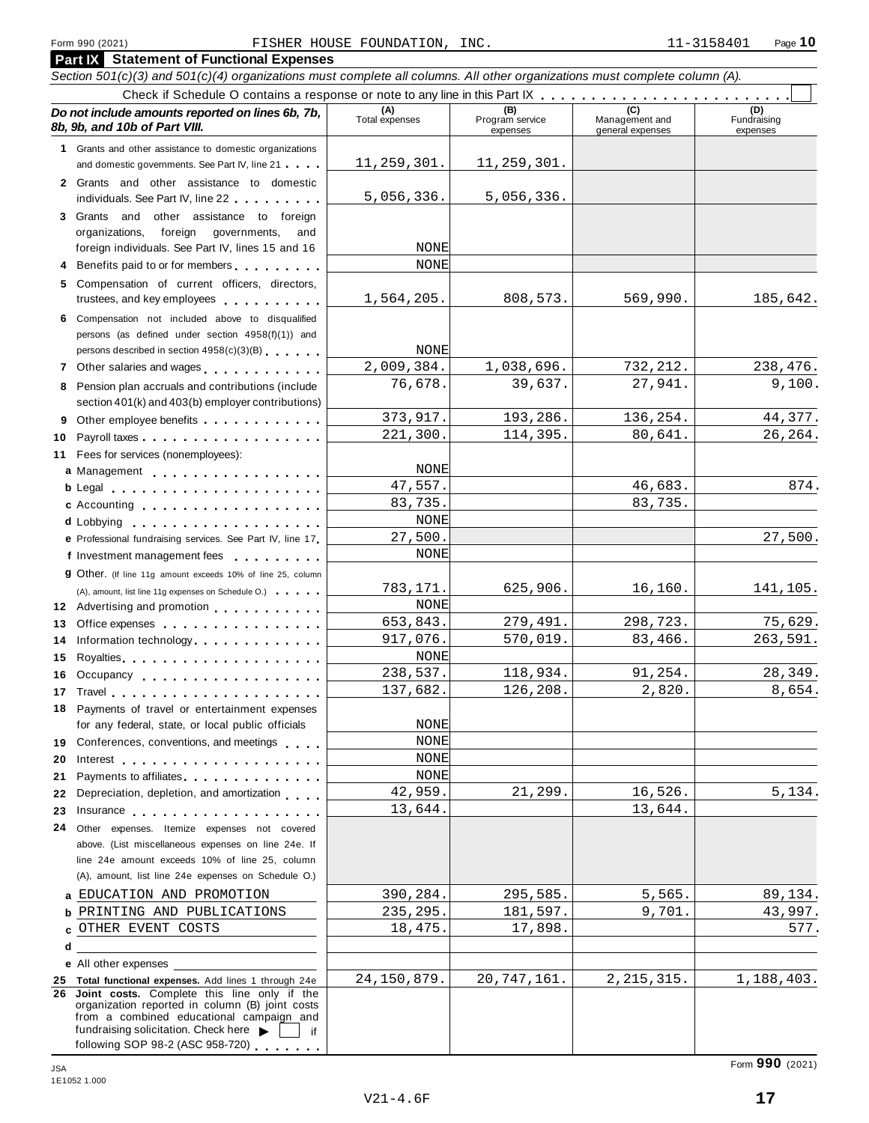|    | Section 501(c)(3) and 501(c)(4) organizations must complete all columns. All other organizations must complete column (A).                                                                                                     |                       |                             |                                    |                         |
|----|--------------------------------------------------------------------------------------------------------------------------------------------------------------------------------------------------------------------------------|-----------------------|-----------------------------|------------------------------------|-------------------------|
|    | Do not include amounts reported on lines 6b, 7b,                                                                                                                                                                               | (A)<br>Total expenses | (B)                         | (C)                                | (D)                     |
|    | 8b, 9b, and 10b of Part VIII.                                                                                                                                                                                                  |                       | Program service<br>expenses | Management and<br>general expenses | Fundraising<br>expenses |
|    | 1 Grants and other assistance to domestic organizations                                                                                                                                                                        |                       |                             |                                    |                         |
|    | and domestic governments. See Part IV, line 21                                                                                                                                                                                 | 11,259,301.           | 11,259,301.                 |                                    |                         |
|    | 2 Grants and other assistance to domestic                                                                                                                                                                                      |                       |                             |                                    |                         |
|    | individuals. See Part IV, line 22                                                                                                                                                                                              | 5,056,336.            | 5,056,336.                  |                                    |                         |
|    | 3 Grants and other assistance to foreign                                                                                                                                                                                       |                       |                             |                                    |                         |
|    | organizations.<br>foreign<br>governments,<br>and                                                                                                                                                                               |                       |                             |                                    |                         |
|    | foreign individuals. See Part IV, lines 15 and 16                                                                                                                                                                              | <b>NONE</b>           |                             |                                    |                         |
|    | Benefits paid to or for members                                                                                                                                                                                                | NONE                  |                             |                                    |                         |
|    | 5 Compensation of current officers, directors,                                                                                                                                                                                 |                       |                             |                                    |                         |
|    | trustees, and key employees                                                                                                                                                                                                    | 1,564,205.            | 808,573.                    | 569,990.                           | 185,642.                |
|    | 6 Compensation not included above to disqualified                                                                                                                                                                              |                       |                             |                                    |                         |
|    | persons (as defined under section 4958(f)(1)) and                                                                                                                                                                              | <b>NONE</b>           |                             |                                    |                         |
|    | persons described in section 4958(c)(3)(B)                                                                                                                                                                                     | 2,009,384.            | 1,038,696.                  | 732, 212.                          | 238,476.                |
|    | 7 Other salaries and wages <b>container and all the salaries</b>                                                                                                                                                               | 76,678.               | 39,637.                     | 27,941.                            | 9,100.                  |
|    | 8 Pension plan accruals and contributions (include                                                                                                                                                                             |                       |                             |                                    |                         |
|    | section 401(k) and 403(b) employer contributions)                                                                                                                                                                              | 373,917.              | 193,286.                    | 136,254.                           | 44,377.                 |
| 9  | Other employee benefits                                                                                                                                                                                                        | 221,300.              | 114,395.                    | 80,641.                            | 26,264.                 |
| 10 |                                                                                                                                                                                                                                |                       |                             |                                    |                         |
| 11 | Fees for services (nonemployees):                                                                                                                                                                                              | <b>NONE</b>           |                             |                                    |                         |
|    | a Management                                                                                                                                                                                                                   | 47,557.               |                             | 46,683.                            | 874.                    |
|    | c Accounting                                                                                                                                                                                                                   | 83,735.               |                             | 83,735.                            |                         |
|    | d Lobbying entering the set of the set of the set of the set of the set of the set of the set of the set of the                                                                                                                | <b>NONE</b>           |                             |                                    |                         |
|    | e Professional fundraising services. See Part IV, line 17                                                                                                                                                                      | 27,500.               |                             |                                    | 27,500.                 |
|    | f Investment management fees                                                                                                                                                                                                   | NONE                  |                             |                                    |                         |
|    | 9 Other. (If line 11g amount exceeds 10% of line 25, column                                                                                                                                                                    |                       |                             |                                    |                         |
|    | (A), amount, list line 11g expenses on Schedule O.)                                                                                                                                                                            | 783,171.              | 625,906.                    | 16, 160.                           | 141,105.                |
|    | 12 Advertising and promotion                                                                                                                                                                                                   | <b>NONE</b>           |                             |                                    |                         |
| 13 | Office expenses example and the set of the set of the set of the set of the set of the set of the set of the set of the set of the set of the set of the set of the set of the set of the set of the set of the set of the set | 653,843.              | 279,491.                    | 298,723.                           | 75,629.                 |
| 14 | Information technology experience and the state of the state of the state of the state of the state of the state of the state of the state of the state of the state of the state of the state of the state of the state of th | 917,076.              | 570,019.                    | 83,466.                            | 263,591.                |
| 15 |                                                                                                                                                                                                                                | <b>NONE</b>           |                             |                                    |                         |
| 16 | Occupancy experience and the control of the state of the state of the state of the state of the state of the state of the state of the state of the state of the state of the state of the state of the state of the state of  | 238,537.              | 118,934.                    | 91,254.                            | 28,349.                 |
|    |                                                                                                                                                                                                                                | 137,682.              | 126,208.                    | 2,820.                             | 8,654.                  |
|    | 18 Payments of travel or entertainment expenses                                                                                                                                                                                |                       |                             |                                    |                         |
|    | for any federal, state, or local public officials                                                                                                                                                                              | <b>NONE</b>           |                             |                                    |                         |
| 19 | Conferences, conventions, and meetings                                                                                                                                                                                         | <b>NONE</b>           |                             |                                    |                         |
| 20 |                                                                                                                                                                                                                                | <b>NONE</b>           |                             |                                    |                         |
| 21 | Payments to affiliates <b>All Accords</b> Payments to affiliates                                                                                                                                                               | <b>NONE</b>           |                             |                                    |                         |
| 22 | Depreciation, depletion, and amortization                                                                                                                                                                                      | 42,959.               | 21,299.                     | 16,526.                            | 5,134.                  |
| 23 | Insurance                                                                                                                                                                                                                      | 13,644.               |                             | 13,644.                            |                         |
| 24 | Other expenses. Itemize expenses not covered                                                                                                                                                                                   |                       |                             |                                    |                         |
|    | above. (List miscellaneous expenses on line 24e. If                                                                                                                                                                            |                       |                             |                                    |                         |
|    | line 24e amount exceeds 10% of line 25, column                                                                                                                                                                                 |                       |                             |                                    |                         |
|    | (A), amount, list line 24e expenses on Schedule O.)                                                                                                                                                                            |                       |                             |                                    |                         |
|    | a EDUCATION AND PROMOTION                                                                                                                                                                                                      | 390,284.              | 295,585.                    | 5,565.                             | 89,134.                 |
|    | <b>b</b> PRINTING AND PUBLICATIONS                                                                                                                                                                                             | 235, 295.             | 181,597.                    | 9,701.                             | 43,997.                 |
|    | c OTHER EVENT COSTS                                                                                                                                                                                                            | 18,475.               | 17,898.                     |                                    | 577.                    |
| d  |                                                                                                                                                                                                                                |                       |                             |                                    |                         |
|    | e All other expenses                                                                                                                                                                                                           |                       |                             |                                    |                         |
|    | 25 Total functional expenses. Add lines 1 through 24e                                                                                                                                                                          | 24, 150, 879.         | 20,747,161.                 | 2, 215, 315.                       | 1,188,403.              |
|    | 26 Joint costs. Complete this line only if the<br>organization reported in column (B) joint costs<br>from a combined educational campaign and<br>fundraising solicitation. Check here $\blacktriangleright$<br>if              |                       |                             |                                    |                         |
|    | following SOP 98-2 (ASC 958-720)                                                                                                                                                                                               |                       |                             |                                    |                         |

Form **990** (2021) JSA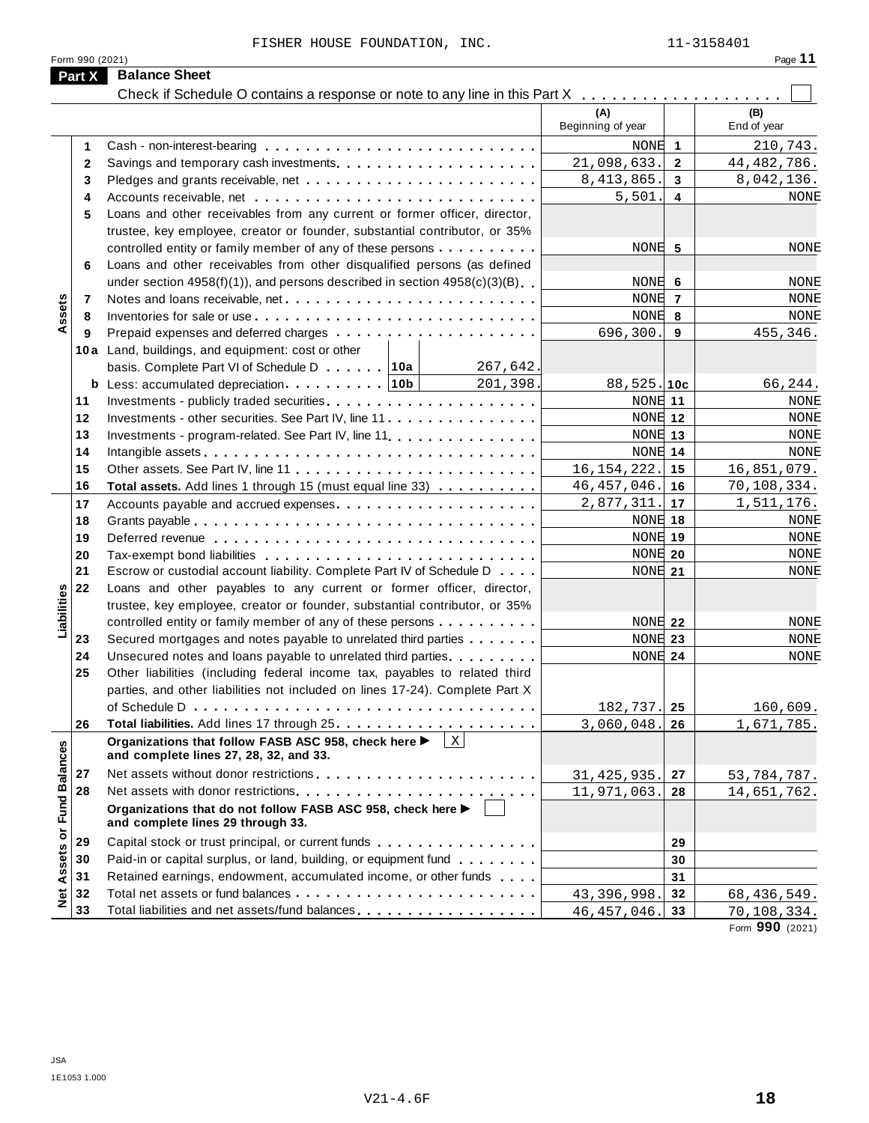| Page |  |
|------|--|

|                             | Form 990 (2021) |                                                                                                      |                          |                | Page 11            |
|-----------------------------|-----------------|------------------------------------------------------------------------------------------------------|--------------------------|----------------|--------------------|
|                             | Part X          | <b>Balance Sheet</b>                                                                                 |                          |                |                    |
|                             |                 |                                                                                                      | (A)<br>Beginning of year |                | (B)<br>End of year |
|                             | 1               |                                                                                                      | NONE 1                   |                | 210,743.           |
|                             | $\mathbf{2}$    |                                                                                                      | 21,098,633.              | $\overline{2}$ | 44, 482, 786.      |
|                             | 3               |                                                                                                      | 8, 413, 865.             | 3              | 8,042,136.         |
|                             | 4               |                                                                                                      | 5,501.                   | 4              | NONE               |
|                             | 5               | Loans and other receivables from any current or former officer, director,                            |                          |                |                    |
|                             |                 | trustee, key employee, creator or founder, substantial contributor, or 35%                           |                          |                |                    |
|                             |                 | controlled entity or family member of any of these persons                                           | NONE 5                   |                | <b>NONE</b>        |
|                             | 6               | Loans and other receivables from other disqualified persons (as defined                              |                          |                |                    |
|                             |                 | under section $4958(f)(1)$ , and persons described in section $4958(c)(3)(B)$                        | NONE 6                   |                | <b>NONE</b>        |
|                             | 7               |                                                                                                      | NONE 7                   |                | <b>NONE</b>        |
| Assets                      | 8               |                                                                                                      | NONE 8                   |                | <b>NONE</b>        |
|                             | 9               |                                                                                                      | 696,300.                 | 9              | 455,346.           |
|                             |                 | 10a Land, buildings, and equipment: cost or other                                                    |                          |                |                    |
|                             |                 | basis. Complete Part VI of Schedule D 10a<br>267,642.                                                |                          |                |                    |
|                             |                 | <b>b</b> Less: accumulated depreciation $\ldots$ , ,    10b<br>201,398.                              | $88,525.$ 10c            |                | 66,244.            |
|                             | 11              |                                                                                                      | NONE 11                  |                | <b>NONE</b>        |
|                             | 12              | Investments - other securities. See Part IV, line 11.                                                | NONE 12                  |                | <b>NONE</b>        |
|                             | 13              | Investments - program-related. See Part IV, line 11.                                                 | NONE 13                  |                | <b>NONE</b>        |
|                             | 14              |                                                                                                      | NONE 14                  |                | <b>NONE</b>        |
|                             | 15              |                                                                                                      | 16, 154, 222.            | 15             | 16,851,079.        |
|                             | 16              | Total assets. Add lines 1 through 15 (must equal line 33)                                            | 46, 457, 046.            | 16             | 70,108,334.        |
|                             | 17              |                                                                                                      | 2,877,311.               | 17             | 1,511,176.         |
|                             | 18              |                                                                                                      | NONE 18                  |                | NONE               |
|                             | 19              |                                                                                                      | NONE 19                  |                | <b>NONE</b>        |
|                             | 20              |                                                                                                      | NONE 20                  |                | <b>NONE</b>        |
|                             | 21              | Escrow or custodial account liability. Complete Part IV of Schedule D                                | NONE 21                  |                | NONE               |
|                             | 22              | Loans and other payables to any current or former officer, director,                                 |                          |                |                    |
|                             |                 | trustee, key employee, creator or founder, substantial contributor, or 35%                           |                          |                |                    |
| Liabilities                 |                 | controlled entity or family member of any of these persons                                           | NONE 22                  |                | <b>NONE</b>        |
|                             | 23              | Secured mortgages and notes payable to unrelated third parties                                       | NONE 23                  |                | <b>NONE</b>        |
|                             | 24              | Unsecured notes and loans payable to unrelated third parties                                         | NONE 24                  |                | <b>NONE</b>        |
|                             | 25              | Other liabilities (including federal income tax, payables to related third                           |                          |                |                    |
|                             |                 | parties, and other liabilities not included on lines 17-24). Complete Part X                         |                          |                |                    |
|                             |                 |                                                                                                      | 182,737.                 | 25             | 160,609.           |
|                             | 26              |                                                                                                      | 3,060,048.               | 26             | 1,671,785.         |
|                             |                 | X <br>Organizations that follow FASB ASC 958, check here ▶<br>and complete lines 27, 28, 32, and 33. |                          |                |                    |
|                             | 27              |                                                                                                      | 31, 425, 935.            | 27             | 53,784,787.        |
|                             | 28              |                                                                                                      | 11,971,063.              | 28             | 14,651,762.        |
| Net Assets or Fund Balances |                 | Organizations that do not follow FASB ASC 958, check here ▶<br>and complete lines 29 through 33.     |                          |                |                    |
|                             | 29              | Capital stock or trust principal, or current funds                                                   |                          | 29             |                    |
|                             | 30              | Paid-in or capital surplus, or land, building, or equipment fund                                     |                          | 30             |                    |
|                             | 31              | Retained earnings, endowment, accumulated income, or other funds                                     |                          | 31             |                    |
|                             | 32              |                                                                                                      | 43,396,998.              | 32             | 68, 436, 549.      |
|                             |                 | Total liabilities and net assets/fund balances                                                       |                          |                | 70,108,334.        |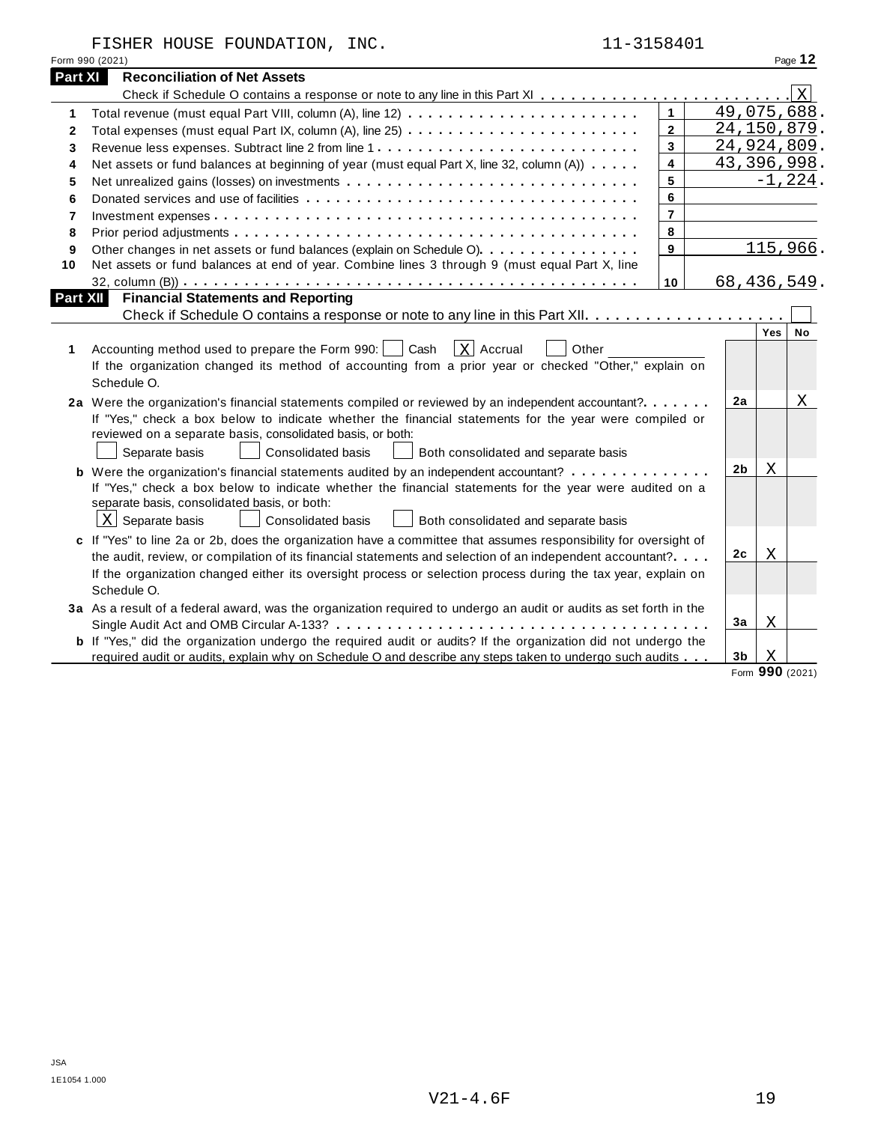FISHER HOUSE FOUNDATION, INC.<br>Form 990 (2021)

| $-3158401$ |  |
|------------|--|
|------------|--|

|                 | Form 990 (2021)                                                                                                       |                         |                |     | Page 12       |
|-----------------|-----------------------------------------------------------------------------------------------------------------------|-------------------------|----------------|-----|---------------|
| Part XI         | <b>Reconciliation of Net Assets</b>                                                                                   |                         |                |     |               |
|                 |                                                                                                                       |                         |                |     | $\mathbf{X}$  |
| 1               |                                                                                                                       | $\mathbf{1}$            |                |     | 49,075,688.   |
| $\mathbf{2}$    | Total expenses (must equal Part IX, column (A), line 25)                                                              | $\overline{2}$          |                |     | 24, 150, 879. |
| 3               |                                                                                                                       | $\mathbf{3}$            |                |     | 24,924,809.   |
| 4               | Net assets or fund balances at beginning of year (must equal Part X, line 32, column (A))                             | $\overline{\mathbf{4}}$ |                |     | 43,396,998.   |
| 5               |                                                                                                                       | 5                       |                |     | $-1,224$ .    |
| 6               |                                                                                                                       | 6                       |                |     |               |
| 7               |                                                                                                                       | $\overline{7}$          |                |     |               |
| 8               |                                                                                                                       | 8                       |                |     |               |
| 9               | Other changes in net assets or fund balances (explain on Schedule O).                                                 | 9                       |                |     | 115,966.      |
| 10              | Net assets or fund balances at end of year. Combine lines 3 through 9 (must equal Part X, line                        |                         |                |     |               |
|                 |                                                                                                                       | 10                      |                |     | 68, 436, 549. |
| <b>Part XII</b> | <b>Financial Statements and Reporting</b>                                                                             |                         |                |     |               |
|                 |                                                                                                                       |                         |                |     |               |
|                 |                                                                                                                       |                         |                | Yes | No            |
| 1               | $x$ Accrual<br>Accounting method used to prepare the Form 990:     Cash<br>Other                                      |                         |                |     |               |
|                 | If the organization changed its method of accounting from a prior year or checked "Other," explain on                 |                         |                |     |               |
|                 | Schedule O.                                                                                                           |                         |                |     |               |
|                 | 2a Were the organization's financial statements compiled or reviewed by an independent accountant?                    |                         | 2a             |     | X             |
|                 | If "Yes," check a box below to indicate whether the financial statements for the year were compiled or                |                         |                |     |               |
|                 | reviewed on a separate basis, consolidated basis, or both:                                                            |                         |                |     |               |
|                 | Consolidated basis<br>Separate basis<br>Both consolidated and separate basis                                          |                         |                |     |               |
|                 | <b>b</b> Were the organization's financial statements audited by an independent accountant?                           |                         | 2 <sub>b</sub> | Χ   |               |
|                 | If "Yes," check a box below to indicate whether the financial statements for the year were audited on a               |                         |                |     |               |
|                 | separate basis, consolidated basis, or both:                                                                          |                         |                |     |               |
|                 | $X$ Separate basis<br><b>Consolidated basis</b><br>Both consolidated and separate basis                               |                         |                |     |               |
|                 | c If "Yes" to line 2a or 2b, does the organization have a committee that assumes responsibility for oversight of      |                         |                |     |               |
|                 | the audit, review, or compilation of its financial statements and selection of an independent accountant?             |                         | 2c             | Χ   |               |
|                 | If the organization changed either its oversight process or selection process during the tax year, explain on         |                         |                |     |               |
|                 | Schedule O.                                                                                                           |                         |                |     |               |
|                 | 3a As a result of a federal award, was the organization required to undergo an audit or audits as set forth in the    |                         |                |     |               |
|                 |                                                                                                                       |                         | 3a             | Χ   |               |
|                 | <b>b</b> If "Yes," did the organization undergo the required audit or audits? If the organization did not undergo the |                         |                |     |               |
|                 | required audit or audits, explain why on Schedule O and describe any steps taken to undergo such audits               |                         | 3b             | Χ   |               |

Form **990** (2021)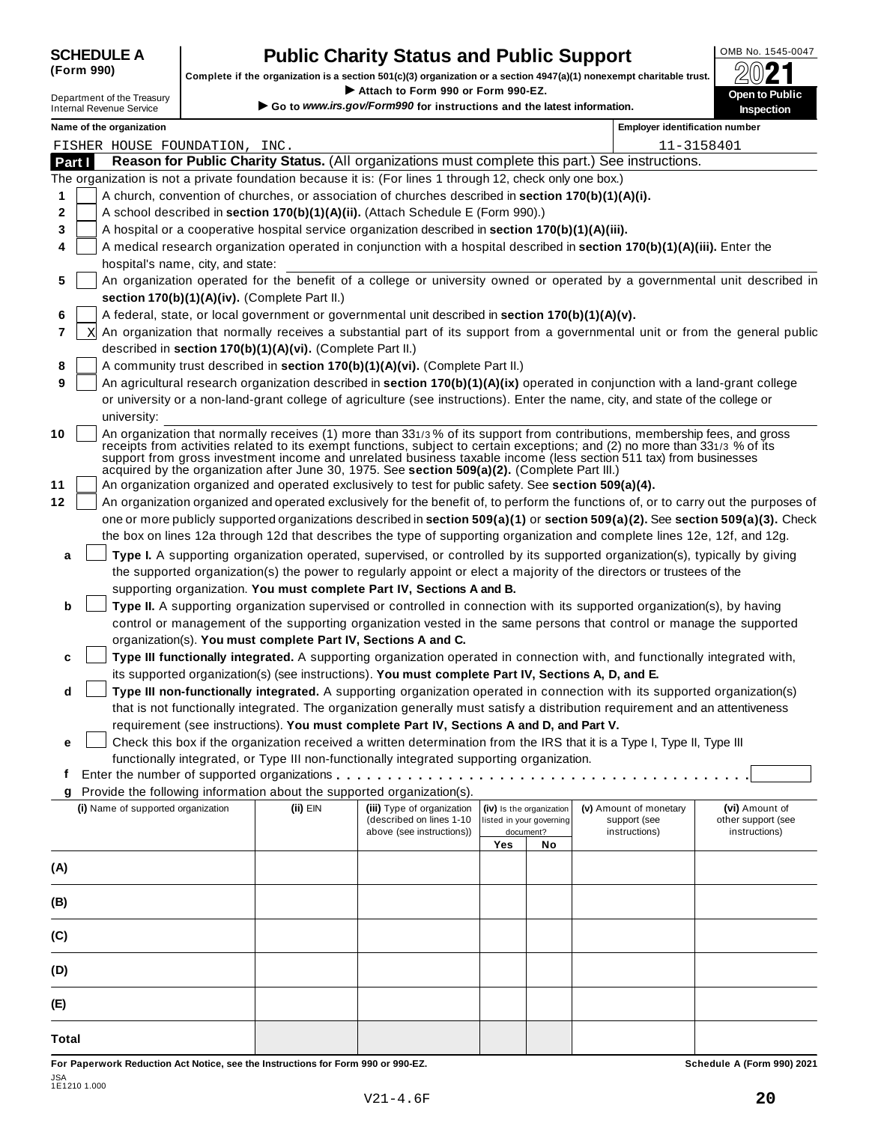# **SCHEDULE A Public Charity Status and Public Support**<br>(Form 990) complete if the crapitation is a section 501/01/2) crapitation at a section 4047/01/1 percepant charitable trust **20071**

Complete if the organization is a section 501(c)(3) organization or a section 4947(a)(1) nonexempt charitable trust.<br>
Department of the Treasury<br>
Internal Revenue Service<br>
Inspection Complete if the organization is a section 501(c)(3) organization or a section 4947(a)(1) nonexempt charitable trust.<br>
Department of the Treasury Complete if the organization is a section 501(c)(3) organization or a sectio

|                                             | Name of the organization<br><b>Employer identification number</b> |                                                                                                                                                                                                                                                                                                                                                                                                                                                                                                                                                             |          |                            |     |                          |                        |                    |
|---------------------------------------------|-------------------------------------------------------------------|-------------------------------------------------------------------------------------------------------------------------------------------------------------------------------------------------------------------------------------------------------------------------------------------------------------------------------------------------------------------------------------------------------------------------------------------------------------------------------------------------------------------------------------------------------------|----------|----------------------------|-----|--------------------------|------------------------|--------------------|
| 11-3158401<br>FISHER HOUSE FOUNDATION, INC. |                                                                   |                                                                                                                                                                                                                                                                                                                                                                                                                                                                                                                                                             |          |                            |     |                          |                        |                    |
| Part I                                      |                                                                   | Reason for Public Charity Status. (All organizations must complete this part.) See instructions.                                                                                                                                                                                                                                                                                                                                                                                                                                                            |          |                            |     |                          |                        |                    |
|                                             |                                                                   | The organization is not a private foundation because it is: (For lines 1 through 12, check only one box.)                                                                                                                                                                                                                                                                                                                                                                                                                                                   |          |                            |     |                          |                        |                    |
| 1                                           |                                                                   | A church, convention of churches, or association of churches described in section 170(b)(1)(A)(i).                                                                                                                                                                                                                                                                                                                                                                                                                                                          |          |                            |     |                          |                        |                    |
| 2                                           |                                                                   | A school described in section 170(b)(1)(A)(ii). (Attach Schedule E (Form 990).)                                                                                                                                                                                                                                                                                                                                                                                                                                                                             |          |                            |     |                          |                        |                    |
| 3                                           |                                                                   | A hospital or a cooperative hospital service organization described in section 170(b)(1)(A)(iii).                                                                                                                                                                                                                                                                                                                                                                                                                                                           |          |                            |     |                          |                        |                    |
| 4                                           |                                                                   | A medical research organization operated in conjunction with a hospital described in section 170(b)(1)(A)(iii). Enter the                                                                                                                                                                                                                                                                                                                                                                                                                                   |          |                            |     |                          |                        |                    |
|                                             |                                                                   | hospital's name, city, and state:                                                                                                                                                                                                                                                                                                                                                                                                                                                                                                                           |          |                            |     |                          |                        |                    |
| 5                                           |                                                                   | An organization operated for the benefit of a college or university owned or operated by a governmental unit described in                                                                                                                                                                                                                                                                                                                                                                                                                                   |          |                            |     |                          |                        |                    |
|                                             |                                                                   | section 170(b)(1)(A)(iv). (Complete Part II.)                                                                                                                                                                                                                                                                                                                                                                                                                                                                                                               |          |                            |     |                          |                        |                    |
| 6                                           |                                                                   | A federal, state, or local government or governmental unit described in section 170(b)(1)(A)(v).                                                                                                                                                                                                                                                                                                                                                                                                                                                            |          |                            |     |                          |                        |                    |
| 7                                           | X                                                                 | An organization that normally receives a substantial part of its support from a governmental unit or from the general public                                                                                                                                                                                                                                                                                                                                                                                                                                |          |                            |     |                          |                        |                    |
|                                             |                                                                   | described in section 170(b)(1)(A)(vi). (Complete Part II.)                                                                                                                                                                                                                                                                                                                                                                                                                                                                                                  |          |                            |     |                          |                        |                    |
| 8                                           |                                                                   | A community trust described in section 170(b)(1)(A)(vi). (Complete Part II.)                                                                                                                                                                                                                                                                                                                                                                                                                                                                                |          |                            |     |                          |                        |                    |
| 9                                           |                                                                   | An agricultural research organization described in section 170(b)(1)(A)(ix) operated in conjunction with a land-grant college                                                                                                                                                                                                                                                                                                                                                                                                                               |          |                            |     |                          |                        |                    |
|                                             |                                                                   | or university or a non-land-grant college of agriculture (see instructions). Enter the name, city, and state of the college or                                                                                                                                                                                                                                                                                                                                                                                                                              |          |                            |     |                          |                        |                    |
|                                             |                                                                   | university:                                                                                                                                                                                                                                                                                                                                                                                                                                                                                                                                                 |          |                            |     |                          |                        |                    |
| 10<br>11                                    |                                                                   | An organization that normally receives (1) more than 331/3% of its support from contributions, membership fees, and gross receipts from activities related to its exempt functions, subject to certain exceptions; and (2) no<br>support from gross investment income and unrelated business taxable income (less section 511 tax) from businesses<br>acquired by the organization after June 30, 1975. See section 509(a)(2). (Complete Part III.)<br>An organization organized and operated exclusively to test for public safety. See section 509(a)(4). |          |                            |     |                          |                        |                    |
| 12                                          |                                                                   | An organization organized and operated exclusively for the benefit of, to perform the functions of, or to carry out the purposes of                                                                                                                                                                                                                                                                                                                                                                                                                         |          |                            |     |                          |                        |                    |
|                                             |                                                                   | one or more publicly supported organizations described in section 509(a)(1) or section 509(a)(2). See section 509(a)(3). Check                                                                                                                                                                                                                                                                                                                                                                                                                              |          |                            |     |                          |                        |                    |
|                                             |                                                                   | the box on lines 12a through 12d that describes the type of supporting organization and complete lines 12e, 12f, and 12g.                                                                                                                                                                                                                                                                                                                                                                                                                                   |          |                            |     |                          |                        |                    |
| а                                           |                                                                   | Type I. A supporting organization operated, supervised, or controlled by its supported organization(s), typically by giving                                                                                                                                                                                                                                                                                                                                                                                                                                 |          |                            |     |                          |                        |                    |
|                                             |                                                                   | the supported organization(s) the power to regularly appoint or elect a majority of the directors or trustees of the                                                                                                                                                                                                                                                                                                                                                                                                                                        |          |                            |     |                          |                        |                    |
|                                             |                                                                   | supporting organization. You must complete Part IV, Sections A and B.                                                                                                                                                                                                                                                                                                                                                                                                                                                                                       |          |                            |     |                          |                        |                    |
| b                                           |                                                                   | Type II. A supporting organization supervised or controlled in connection with its supported organization(s), by having                                                                                                                                                                                                                                                                                                                                                                                                                                     |          |                            |     |                          |                        |                    |
|                                             |                                                                   | control or management of the supporting organization vested in the same persons that control or manage the supported                                                                                                                                                                                                                                                                                                                                                                                                                                        |          |                            |     |                          |                        |                    |
|                                             |                                                                   | organization(s). You must complete Part IV, Sections A and C.                                                                                                                                                                                                                                                                                                                                                                                                                                                                                               |          |                            |     |                          |                        |                    |
|                                             |                                                                   | Type III functionally integrated. A supporting organization operated in connection with, and functionally integrated with,                                                                                                                                                                                                                                                                                                                                                                                                                                  |          |                            |     |                          |                        |                    |
| c                                           |                                                                   | its supported organization(s) (see instructions). You must complete Part IV, Sections A, D, and E.                                                                                                                                                                                                                                                                                                                                                                                                                                                          |          |                            |     |                          |                        |                    |
| d                                           |                                                                   | Type III non-functionally integrated. A supporting organization operated in connection with its supported organization(s)                                                                                                                                                                                                                                                                                                                                                                                                                                   |          |                            |     |                          |                        |                    |
|                                             |                                                                   | that is not functionally integrated. The organization generally must satisfy a distribution requirement and an attentiveness                                                                                                                                                                                                                                                                                                                                                                                                                                |          |                            |     |                          |                        |                    |
|                                             |                                                                   | requirement (see instructions). You must complete Part IV, Sections A and D, and Part V.                                                                                                                                                                                                                                                                                                                                                                                                                                                                    |          |                            |     |                          |                        |                    |
|                                             |                                                                   | Check this box if the organization received a written determination from the IRS that it is a Type I, Type II, Type III                                                                                                                                                                                                                                                                                                                                                                                                                                     |          |                            |     |                          |                        |                    |
| е                                           |                                                                   | functionally integrated, or Type III non-functionally integrated supporting organization.                                                                                                                                                                                                                                                                                                                                                                                                                                                                   |          |                            |     |                          |                        |                    |
| t                                           |                                                                   | Enter the number of supported organizations                                                                                                                                                                                                                                                                                                                                                                                                                                                                                                                 |          |                            |     |                          |                        |                    |
| g                                           |                                                                   | Provide the following information about the supported organization(s).                                                                                                                                                                                                                                                                                                                                                                                                                                                                                      |          |                            |     |                          |                        |                    |
|                                             |                                                                   | (i) Name of supported organization                                                                                                                                                                                                                                                                                                                                                                                                                                                                                                                          | (ii) EIN | (iii) Type of organization |     | (iv) Is the organization | (v) Amount of monetary | (vi) Amount of     |
|                                             |                                                                   |                                                                                                                                                                                                                                                                                                                                                                                                                                                                                                                                                             |          | (described on lines 1-10   |     | listed in your governing | support (see           | other support (see |
|                                             |                                                                   |                                                                                                                                                                                                                                                                                                                                                                                                                                                                                                                                                             |          | above (see instructions))  |     | document?                | instructions)          | instructions)      |
|                                             |                                                                   |                                                                                                                                                                                                                                                                                                                                                                                                                                                                                                                                                             |          |                            | Yes | No                       |                        |                    |
| (A)                                         |                                                                   |                                                                                                                                                                                                                                                                                                                                                                                                                                                                                                                                                             |          |                            |     |                          |                        |                    |
|                                             |                                                                   |                                                                                                                                                                                                                                                                                                                                                                                                                                                                                                                                                             |          |                            |     |                          |                        |                    |
| (B)                                         |                                                                   |                                                                                                                                                                                                                                                                                                                                                                                                                                                                                                                                                             |          |                            |     |                          |                        |                    |
|                                             |                                                                   |                                                                                                                                                                                                                                                                                                                                                                                                                                                                                                                                                             |          |                            |     |                          |                        |                    |
| (C)                                         |                                                                   |                                                                                                                                                                                                                                                                                                                                                                                                                                                                                                                                                             |          |                            |     |                          |                        |                    |
| (D)                                         |                                                                   |                                                                                                                                                                                                                                                                                                                                                                                                                                                                                                                                                             |          |                            |     |                          |                        |                    |
|                                             |                                                                   |                                                                                                                                                                                                                                                                                                                                                                                                                                                                                                                                                             |          |                            |     |                          |                        |                    |
| (E)                                         |                                                                   |                                                                                                                                                                                                                                                                                                                                                                                                                                                                                                                                                             |          |                            |     |                          |                        |                    |
| <b>Total</b>                                |                                                                   |                                                                                                                                                                                                                                                                                                                                                                                                                                                                                                                                                             |          |                            |     |                          |                        |                    |

For Paperwork Reduction Act Notice, see the Instructions for Form 990 or 990-EZ. School and Schedule A (Form 990) 2021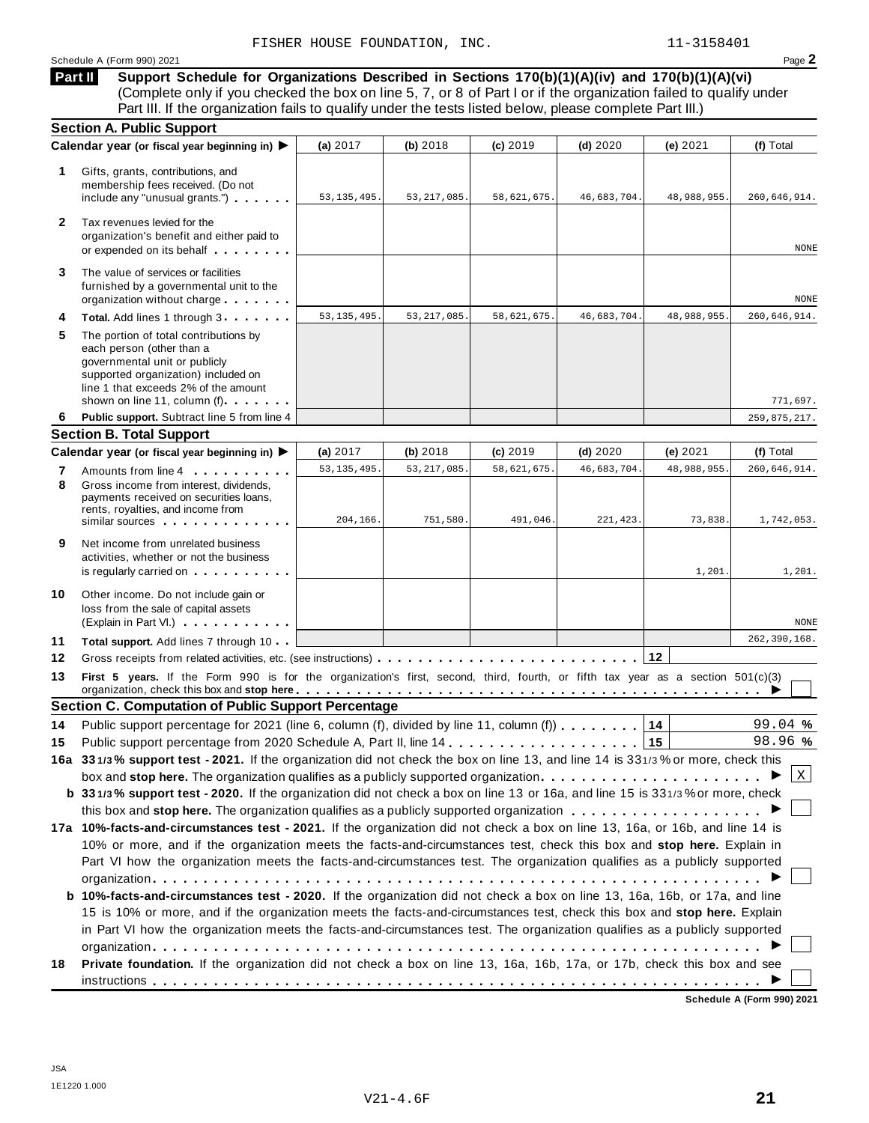Schedule <sup>A</sup> (Form 990) <sup>2021</sup> Page **2**

**Support Schedule for Organizations Described in Sections 170(b)(1)(A)(iv) and 170(b)(1)(A)(vi)** (Complete only if you checked the box on line 5, 7, or 8 of Part I or if the organization failed to qualify under Part III. If the organization fails to qualify under the tests listed below, please complete Part III.) **Part II**

|                                                                                                                                                                                                 | (a) 2017                                                                                                                                                                                                                                                                    | (b) 2018                   | (c) 2019                                                                                | (d) 2020                 | (e) $2021$                                                                                                         | (f) Total                                                                                                                                                                                                                                                                                                                                                                                                                                                                                                                                                                                                                                                                                                                                                                                                                                                                                                                                                                                                                                                                                                                                                                                                                                                                                                                                                                                                                                                                                                                                                                              |
|-------------------------------------------------------------------------------------------------------------------------------------------------------------------------------------------------|-----------------------------------------------------------------------------------------------------------------------------------------------------------------------------------------------------------------------------------------------------------------------------|----------------------------|-----------------------------------------------------------------------------------------|--------------------------|--------------------------------------------------------------------------------------------------------------------|----------------------------------------------------------------------------------------------------------------------------------------------------------------------------------------------------------------------------------------------------------------------------------------------------------------------------------------------------------------------------------------------------------------------------------------------------------------------------------------------------------------------------------------------------------------------------------------------------------------------------------------------------------------------------------------------------------------------------------------------------------------------------------------------------------------------------------------------------------------------------------------------------------------------------------------------------------------------------------------------------------------------------------------------------------------------------------------------------------------------------------------------------------------------------------------------------------------------------------------------------------------------------------------------------------------------------------------------------------------------------------------------------------------------------------------------------------------------------------------------------------------------------------------------------------------------------------------|
| Gifts, grants, contributions, and<br>membership fees received. (Do not<br>include any "unusual grants.")                                                                                        | 53, 135, 495.                                                                                                                                                                                                                                                               | 53, 217, 085.              | 58,621,675.                                                                             | 46,683,704.              | 48,988,955.                                                                                                        | 260,646,914.                                                                                                                                                                                                                                                                                                                                                                                                                                                                                                                                                                                                                                                                                                                                                                                                                                                                                                                                                                                                                                                                                                                                                                                                                                                                                                                                                                                                                                                                                                                                                                           |
| Tax revenues levied for the<br>organization's benefit and either paid to<br>or expended on its behalf                                                                                           |                                                                                                                                                                                                                                                                             |                            |                                                                                         |                          |                                                                                                                    | <b>NONE</b>                                                                                                                                                                                                                                                                                                                                                                                                                                                                                                                                                                                                                                                                                                                                                                                                                                                                                                                                                                                                                                                                                                                                                                                                                                                                                                                                                                                                                                                                                                                                                                            |
| The value of services or facilities<br>furnished by a governmental unit to the<br>organization without charge                                                                                   |                                                                                                                                                                                                                                                                             |                            |                                                                                         |                          |                                                                                                                    | <b>NONE</b>                                                                                                                                                                                                                                                                                                                                                                                                                                                                                                                                                                                                                                                                                                                                                                                                                                                                                                                                                                                                                                                                                                                                                                                                                                                                                                                                                                                                                                                                                                                                                                            |
| Total. Add lines 1 through 3                                                                                                                                                                    | 53, 135, 495                                                                                                                                                                                                                                                                | 53, 217, 085.              | 58,621,675.                                                                             | 46,683,704.              | 48,988,955                                                                                                         | 260,646,914.                                                                                                                                                                                                                                                                                                                                                                                                                                                                                                                                                                                                                                                                                                                                                                                                                                                                                                                                                                                                                                                                                                                                                                                                                                                                                                                                                                                                                                                                                                                                                                           |
| The portion of total contributions by<br>each person (other than a<br>governmental unit or publicly<br>supported organization) included on<br>line 1 that exceeds 2% of the amount              |                                                                                                                                                                                                                                                                             |                            |                                                                                         |                          |                                                                                                                    |                                                                                                                                                                                                                                                                                                                                                                                                                                                                                                                                                                                                                                                                                                                                                                                                                                                                                                                                                                                                                                                                                                                                                                                                                                                                                                                                                                                                                                                                                                                                                                                        |
|                                                                                                                                                                                                 |                                                                                                                                                                                                                                                                             |                            |                                                                                         |                          |                                                                                                                    | 771,697.                                                                                                                                                                                                                                                                                                                                                                                                                                                                                                                                                                                                                                                                                                                                                                                                                                                                                                                                                                                                                                                                                                                                                                                                                                                                                                                                                                                                                                                                                                                                                                               |
|                                                                                                                                                                                                 |                                                                                                                                                                                                                                                                             |                            |                                                                                         |                          |                                                                                                                    | 259,875,217.                                                                                                                                                                                                                                                                                                                                                                                                                                                                                                                                                                                                                                                                                                                                                                                                                                                                                                                                                                                                                                                                                                                                                                                                                                                                                                                                                                                                                                                                                                                                                                           |
|                                                                                                                                                                                                 |                                                                                                                                                                                                                                                                             |                            |                                                                                         |                          |                                                                                                                    | (f) Total                                                                                                                                                                                                                                                                                                                                                                                                                                                                                                                                                                                                                                                                                                                                                                                                                                                                                                                                                                                                                                                                                                                                                                                                                                                                                                                                                                                                                                                                                                                                                                              |
|                                                                                                                                                                                                 |                                                                                                                                                                                                                                                                             |                            |                                                                                         |                          |                                                                                                                    | 260,646,914.                                                                                                                                                                                                                                                                                                                                                                                                                                                                                                                                                                                                                                                                                                                                                                                                                                                                                                                                                                                                                                                                                                                                                                                                                                                                                                                                                                                                                                                                                                                                                                           |
| Gross income from interest, dividends,<br>payments received on securities loans,<br>rents, royalties, and income from<br>similar sources experiences                                            | 204,166.                                                                                                                                                                                                                                                                    | 751,580.                   | 491,046                                                                                 | 221, 423.                | 73,838.                                                                                                            | 1,742,053.                                                                                                                                                                                                                                                                                                                                                                                                                                                                                                                                                                                                                                                                                                                                                                                                                                                                                                                                                                                                                                                                                                                                                                                                                                                                                                                                                                                                                                                                                                                                                                             |
| Net income from unrelated business<br>activities, whether or not the business<br>is regularly carried on each property in the set of the set of the set of the set of the set of the set of the |                                                                                                                                                                                                                                                                             |                            |                                                                                         |                          | 1,201.                                                                                                             | 1,201.                                                                                                                                                                                                                                                                                                                                                                                                                                                                                                                                                                                                                                                                                                                                                                                                                                                                                                                                                                                                                                                                                                                                                                                                                                                                                                                                                                                                                                                                                                                                                                                 |
| Other income. Do not include gain or<br>loss from the sale of capital assets<br>(Explain in Part VI.)                                                                                           |                                                                                                                                                                                                                                                                             |                            |                                                                                         |                          |                                                                                                                    | <b>NONE</b>                                                                                                                                                                                                                                                                                                                                                                                                                                                                                                                                                                                                                                                                                                                                                                                                                                                                                                                                                                                                                                                                                                                                                                                                                                                                                                                                                                                                                                                                                                                                                                            |
| Total support. Add lines 7 through 10                                                                                                                                                           |                                                                                                                                                                                                                                                                             |                            |                                                                                         |                          |                                                                                                                    | 262, 390, 168.                                                                                                                                                                                                                                                                                                                                                                                                                                                                                                                                                                                                                                                                                                                                                                                                                                                                                                                                                                                                                                                                                                                                                                                                                                                                                                                                                                                                                                                                                                                                                                         |
|                                                                                                                                                                                                 |                                                                                                                                                                                                                                                                             |                            |                                                                                         |                          |                                                                                                                    |                                                                                                                                                                                                                                                                                                                                                                                                                                                                                                                                                                                                                                                                                                                                                                                                                                                                                                                                                                                                                                                                                                                                                                                                                                                                                                                                                                                                                                                                                                                                                                                        |
|                                                                                                                                                                                                 |                                                                                                                                                                                                                                                                             |                            |                                                                                         |                          |                                                                                                                    |                                                                                                                                                                                                                                                                                                                                                                                                                                                                                                                                                                                                                                                                                                                                                                                                                                                                                                                                                                                                                                                                                                                                                                                                                                                                                                                                                                                                                                                                                                                                                                                        |
|                                                                                                                                                                                                 |                                                                                                                                                                                                                                                                             |                            |                                                                                         |                          |                                                                                                                    |                                                                                                                                                                                                                                                                                                                                                                                                                                                                                                                                                                                                                                                                                                                                                                                                                                                                                                                                                                                                                                                                                                                                                                                                                                                                                                                                                                                                                                                                                                                                                                                        |
|                                                                                                                                                                                                 |                                                                                                                                                                                                                                                                             |                            |                                                                                         |                          |                                                                                                                    | 99.04 %                                                                                                                                                                                                                                                                                                                                                                                                                                                                                                                                                                                                                                                                                                                                                                                                                                                                                                                                                                                                                                                                                                                                                                                                                                                                                                                                                                                                                                                                                                                                                                                |
|                                                                                                                                                                                                 |                                                                                                                                                                                                                                                                             |                            |                                                                                         |                          |                                                                                                                    | 98.96 %                                                                                                                                                                                                                                                                                                                                                                                                                                                                                                                                                                                                                                                                                                                                                                                                                                                                                                                                                                                                                                                                                                                                                                                                                                                                                                                                                                                                                                                                                                                                                                                |
|                                                                                                                                                                                                 |                                                                                                                                                                                                                                                                             |                            |                                                                                         |                          |                                                                                                                    |                                                                                                                                                                                                                                                                                                                                                                                                                                                                                                                                                                                                                                                                                                                                                                                                                                                                                                                                                                                                                                                                                                                                                                                                                                                                                                                                                                                                                                                                                                                                                                                        |
|                                                                                                                                                                                                 |                                                                                                                                                                                                                                                                             |                            |                                                                                         |                          |                                                                                                                    | $\mathbf{X}$                                                                                                                                                                                                                                                                                                                                                                                                                                                                                                                                                                                                                                                                                                                                                                                                                                                                                                                                                                                                                                                                                                                                                                                                                                                                                                                                                                                                                                                                                                                                                                           |
|                                                                                                                                                                                                 |                                                                                                                                                                                                                                                                             |                            |                                                                                         |                          |                                                                                                                    |                                                                                                                                                                                                                                                                                                                                                                                                                                                                                                                                                                                                                                                                                                                                                                                                                                                                                                                                                                                                                                                                                                                                                                                                                                                                                                                                                                                                                                                                                                                                                                                        |
|                                                                                                                                                                                                 |                                                                                                                                                                                                                                                                             |                            |                                                                                         |                          |                                                                                                                    |                                                                                                                                                                                                                                                                                                                                                                                                                                                                                                                                                                                                                                                                                                                                                                                                                                                                                                                                                                                                                                                                                                                                                                                                                                                                                                                                                                                                                                                                                                                                                                                        |
|                                                                                                                                                                                                 |                                                                                                                                                                                                                                                                             |                            |                                                                                         |                          |                                                                                                                    |                                                                                                                                                                                                                                                                                                                                                                                                                                                                                                                                                                                                                                                                                                                                                                                                                                                                                                                                                                                                                                                                                                                                                                                                                                                                                                                                                                                                                                                                                                                                                                                        |
|                                                                                                                                                                                                 |                                                                                                                                                                                                                                                                             |                            |                                                                                         |                          |                                                                                                                    |                                                                                                                                                                                                                                                                                                                                                                                                                                                                                                                                                                                                                                                                                                                                                                                                                                                                                                                                                                                                                                                                                                                                                                                                                                                                                                                                                                                                                                                                                                                                                                                        |
|                                                                                                                                                                                                 |                                                                                                                                                                                                                                                                             |                            |                                                                                         |                          |                                                                                                                    |                                                                                                                                                                                                                                                                                                                                                                                                                                                                                                                                                                                                                                                                                                                                                                                                                                                                                                                                                                                                                                                                                                                                                                                                                                                                                                                                                                                                                                                                                                                                                                                        |
|                                                                                                                                                                                                 |                                                                                                                                                                                                                                                                             |                            |                                                                                         |                          |                                                                                                                    |                                                                                                                                                                                                                                                                                                                                                                                                                                                                                                                                                                                                                                                                                                                                                                                                                                                                                                                                                                                                                                                                                                                                                                                                                                                                                                                                                                                                                                                                                                                                                                                        |
|                                                                                                                                                                                                 |                                                                                                                                                                                                                                                                             |                            |                                                                                         |                          |                                                                                                                    |                                                                                                                                                                                                                                                                                                                                                                                                                                                                                                                                                                                                                                                                                                                                                                                                                                                                                                                                                                                                                                                                                                                                                                                                                                                                                                                                                                                                                                                                                                                                                                                        |
|                                                                                                                                                                                                 |                                                                                                                                                                                                                                                                             |                            |                                                                                         |                          |                                                                                                                    |                                                                                                                                                                                                                                                                                                                                                                                                                                                                                                                                                                                                                                                                                                                                                                                                                                                                                                                                                                                                                                                                                                                                                                                                                                                                                                                                                                                                                                                                                                                                                                                        |
|                                                                                                                                                                                                 |                                                                                                                                                                                                                                                                             |                            |                                                                                         |                          |                                                                                                                    |                                                                                                                                                                                                                                                                                                                                                                                                                                                                                                                                                                                                                                                                                                                                                                                                                                                                                                                                                                                                                                                                                                                                                                                                                                                                                                                                                                                                                                                                                                                                                                                        |
|                                                                                                                                                                                                 |                                                                                                                                                                                                                                                                             |                            |                                                                                         |                          |                                                                                                                    |                                                                                                                                                                                                                                                                                                                                                                                                                                                                                                                                                                                                                                                                                                                                                                                                                                                                                                                                                                                                                                                                                                                                                                                                                                                                                                                                                                                                                                                                                                                                                                                        |
|                                                                                                                                                                                                 |                                                                                                                                                                                                                                                                             |                            |                                                                                         |                          |                                                                                                                    |                                                                                                                                                                                                                                                                                                                                                                                                                                                                                                                                                                                                                                                                                                                                                                                                                                                                                                                                                                                                                                                                                                                                                                                                                                                                                                                                                                                                                                                                                                                                                                                        |
|                                                                                                                                                                                                 | <b>Section A. Public Support</b><br>Calendar year (or fiscal year beginning in) ▶<br>shown on line 11, column (f)<br>Public support. Subtract line 5 from line 4<br><b>Section B. Total Support</b><br>Calendar year (or fiscal year beginning in) ▶<br>Amounts from line 4 | (a) $2017$<br>53, 135, 495 | (b) 2018<br>53, 217, 085.<br><b>Section C. Computation of Public Support Percentage</b> | $(c)$ 2019<br>58,621,675 | $(d)$ 2020<br>46,683,704<br>Public support percentage for 2021 (line 6, column (f), divided by line 11, column (f) | (e) $2021$<br>48,988,955<br>12<br>First 5 years. If the Form 990 is for the organization's first, second, third, fourth, or fifth tax year as a section 501(c)(3)<br>organization, check this box and stop here $\ldots \ldots \ldots \ldots \ldots \ldots \ldots \ldots \ldots \ldots \ldots \ldots \ldots$<br>14<br>15<br>16a 331/3% support test - 2021. If the organization did not check the box on line 13, and line 14 is 331/3% or more, check this<br>box and stop here. The organization qualifies as a publicly supported organization<br>b 331/3% support test - 2020. If the organization did not check a box on line 13 or 16a, and line 15 is 331/3% or more, check<br>17a 10%-facts-and-circumstances test - 2021. If the organization did not check a box on line 13, 16a, or 16b, and line 14 is<br>10% or more, and if the organization meets the facts-and-circumstances test, check this box and stop here. Explain in<br>Part VI how the organization meets the facts-and-circumstances test. The organization qualifies as a publicly supported<br>b 10%-facts-and-circumstances test - 2020. If the organization did not check a box on line 13, 16a, 16b, or 17a, and line<br>15 is 10% or more, and if the organization meets the facts-and-circumstances test, check this box and stop here. Explain<br>in Part VI how the organization meets the facts-and-circumstances test. The organization qualifies as a publicly supported<br>Private foundation. If the organization did not check a box on line 13, 16a, 16b, 17a, or 17b, check this box and see |

**Schedule A (Form 990) 2021**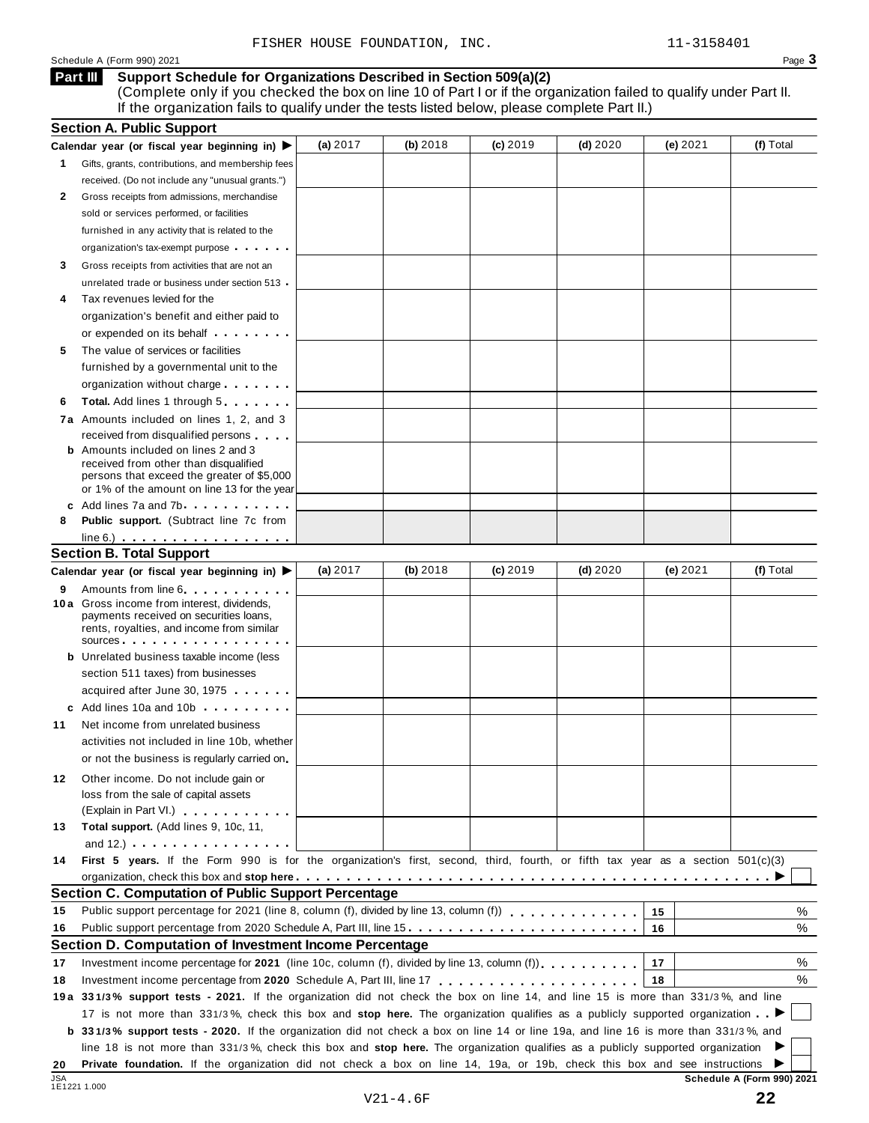Schedule A (Form 990) 2021 Page 3

#### **Support Schedule for Organizations Described in Section 509(a)(2) Part III**

(Complete only if you checked the box on line 10 of Part I or if the organization failed to qualify under Part II. If the organization fails to qualify under the tests listed below, please complete Part II.)

|            | <b>Section A. Public Support</b>                                                                                                                                                                                                    |            |          |            |            |          |                            |
|------------|-------------------------------------------------------------------------------------------------------------------------------------------------------------------------------------------------------------------------------------|------------|----------|------------|------------|----------|----------------------------|
|            | Calendar year (or fiscal year beginning in) ▶                                                                                                                                                                                       | (a) $2017$ | (b) 2018 | (c) 2019   | $(d)$ 2020 | (e) 2021 | (f) Total                  |
| 1          | Gifts, grants, contributions, and membership fees                                                                                                                                                                                   |            |          |            |            |          |                            |
|            | received. (Do not include any "unusual grants.")                                                                                                                                                                                    |            |          |            |            |          |                            |
| 2          | Gross receipts from admissions, merchandise                                                                                                                                                                                         |            |          |            |            |          |                            |
|            | sold or services performed, or facilities                                                                                                                                                                                           |            |          |            |            |          |                            |
|            | furnished in any activity that is related to the                                                                                                                                                                                    |            |          |            |            |          |                            |
|            | organization's tax-exempt purpose                                                                                                                                                                                                   |            |          |            |            |          |                            |
| 3          | Gross receipts from activities that are not an                                                                                                                                                                                      |            |          |            |            |          |                            |
|            | unrelated trade or business under section 513 .                                                                                                                                                                                     |            |          |            |            |          |                            |
|            | Tax revenues levied for the                                                                                                                                                                                                         |            |          |            |            |          |                            |
|            | organization's benefit and either paid to                                                                                                                                                                                           |            |          |            |            |          |                            |
|            | or expended on its behalf <b>contained</b> by the set of the set of the set of the set of the set of the set of the set of the set of the set of the set of the set of the set of the set of the set of the set of the set of the s |            |          |            |            |          |                            |
| 5          | The value of services or facilities                                                                                                                                                                                                 |            |          |            |            |          |                            |
|            | furnished by a governmental unit to the                                                                                                                                                                                             |            |          |            |            |          |                            |
|            | organization without charge                                                                                                                                                                                                         |            |          |            |            |          |                            |
|            | <b>Total.</b> Add lines 1 through 5                                                                                                                                                                                                 |            |          |            |            |          |                            |
| 6          |                                                                                                                                                                                                                                     |            |          |            |            |          |                            |
|            | 7a Amounts included on lines 1, 2, and 3                                                                                                                                                                                            |            |          |            |            |          |                            |
|            | received from disqualified persons<br><b>b</b> Amounts included on lines 2 and 3<br>received from other than disqualified<br>persons that exceed the greater of \$5,000<br>or 1% of the amount on line 13 for the year              |            |          |            |            |          |                            |
|            | c Add lines 7a and 7b                                                                                                                                                                                                               |            |          |            |            |          |                            |
| 8          | <b>Public support.</b> (Subtract line 7c from                                                                                                                                                                                       |            |          |            |            |          |                            |
|            | $line 6.)$                                                                                                                                                                                                                          |            |          |            |            |          |                            |
|            | <b>Section B. Total Support</b>                                                                                                                                                                                                     |            |          |            |            |          |                            |
|            | Calendar year (or fiscal year beginning in) ▶                                                                                                                                                                                       | (a) $2017$ | (b) 2018 | $(c)$ 2019 | $(d)$ 2020 | (e) 2021 | (f) Total                  |
| 9          | Amounts from line 6.<br>10 a Gross income from interest, dividends,<br>payments received on securities loans,<br>rents, royalties, and income from similar<br>sources                                                               |            |          |            |            |          |                            |
|            | <b>b</b> Unrelated business taxable income (less                                                                                                                                                                                    |            |          |            |            |          |                            |
|            | section 511 taxes) from businesses                                                                                                                                                                                                  |            |          |            |            |          |                            |
|            | acquired after June 30, 1975                                                                                                                                                                                                        |            |          |            |            |          |                            |
|            | c Add lines 10a and 10b                                                                                                                                                                                                             |            |          |            |            |          |                            |
| 11         | Net income from unrelated business                                                                                                                                                                                                  |            |          |            |            |          |                            |
|            | activities not included in line 10b, whether                                                                                                                                                                                        |            |          |            |            |          |                            |
|            | or not the business is regularly carried on                                                                                                                                                                                         |            |          |            |            |          |                            |
| 12         | Other income. Do not include gain or<br>loss from the sale of capital assets                                                                                                                                                        |            |          |            |            |          |                            |
|            | (Explain in Part VI.)                                                                                                                                                                                                               |            |          |            |            |          |                            |
| 13         | Total support. (Add lines 9, 10c, 11,                                                                                                                                                                                               |            |          |            |            |          |                            |
|            | and $12.$ ) $\cdots$ $\cdots$ $\cdots$ $\cdots$ $\cdots$                                                                                                                                                                            |            |          |            |            |          |                            |
| 14         | First 5 years. If the Form 990 is for the organization's first, second, third, fourth, or fifth tax year as a section 501(c)(3)                                                                                                     |            |          |            |            |          |                            |
|            | organization, check this box and stop here equal to the state of the state of the state of the state of the state of the state of the state of the state of the state of the state of the state of the state of the state of t      |            |          |            |            |          |                            |
|            | <b>Section C. Computation of Public Support Percentage</b>                                                                                                                                                                          |            |          |            |            |          |                            |
| 15         | Public support percentage for 2021 (line 8, column (f), divided by line 13, column (f))                                                                                                                                             |            |          |            |            | 15       | %                          |
| 16         | Public support percentage from 2020 Schedule A, Part III, line 15.                                                                                                                                                                  |            |          |            |            | 16       | %                          |
|            | Section D. Computation of Investment Income Percentage                                                                                                                                                                              |            |          |            |            |          |                            |
| 17         |                                                                                                                                                                                                                                     |            |          |            |            | 17       | %                          |
| 18         |                                                                                                                                                                                                                                     |            |          |            |            | 18       | %                          |
|            | 19a 331/3% support tests - 2021. If the organization did not check the box on line 14, and line 15 is more than 331/3%, and line                                                                                                    |            |          |            |            |          |                            |
|            | 17 is not more than 331/3%, check this box and stop here. The organization qualifies as a publicly supported organization                                                                                                           |            |          |            |            |          |                            |
|            | b 331/3% support tests - 2020. If the organization did not check a box on line 14 or line 19a, and line 16 is more than 331/3%, and                                                                                                 |            |          |            |            |          |                            |
|            | line 18 is not more than 331/3%, check this box and stop here. The organization qualifies as a publicly supported organization                                                                                                      |            |          |            |            |          |                            |
| 20         | Private foundation. If the organization did not check a box on line 14, 19a, or 19b, check this box and see instructions                                                                                                            |            |          |            |            |          |                            |
| <b>JSA</b> |                                                                                                                                                                                                                                     |            |          |            |            |          | Schedule A (Form 990) 2021 |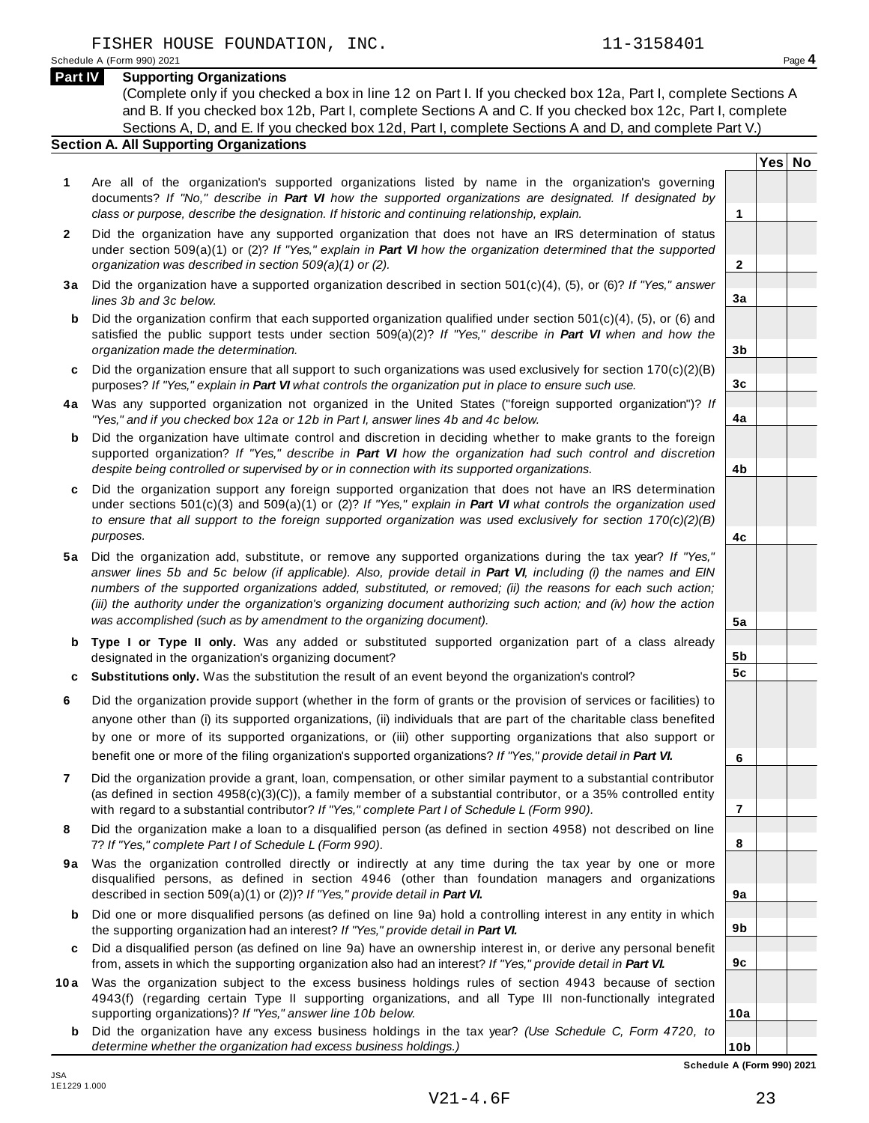(Complete only if you checked a box in line 12 on Part I. If you checked box 12a, Part I, complete Sections A and B. If you checked box 12b, Part I, complete Sections A and C. If you checked box 12c, Part I, complete Sections A, D, and E. If you checked box 12d, Part I, complete Sections A and D, and complete Part V.)

#### **Section A. All Supporting Organizations**

- **1** Are all of the organization's supported organizations listed by name in the organization's governing documents? *If "No," describe in Part VI how the supported organizations are designated. If designated by class or purpose, describe the designation. If historic and continuing relationship, explain.* **1**
- **2** Did the organization have any supported organization that does not have an IRS determination of status under section 509(a)(1) or (2)? *If"Yes," explain in Part VI how the organization determined that the supported organization was described in section 509(a)(1) or (2).*
- **3 a** Did the organization have a supported organization described in section 501(c)(4), (5), or (6)? *If "Yes," answer lines 3b and 3c below.*
- **b** Did the organization confirm that each supported organization qualified under section 501(c)(4), (5), or (6) and | satisfied the public support tests under section 509(a)(2)? *If "Yes," describe in Part VI when and how the organization made the determination.*
- **c** Did the organization ensure that all support to such organizations was used exclusively for section 170(c)(2)(B) purposes? *If"Yes," explain in Part VI what controls the organization put in place to ensure such use.*
- **4 a** Was any supported organization not organized in the United States ("foreign supported organization")? *If "Yes," and if you checked box 12a or 12b in Part I, answer lines 4b and 4c below.*
- **b** Did the organization have ultimate control and discretion in deciding whether to make grants to the foreign | supported organization? *If "Yes," describe in Part VI how the organization had such control and discretion despite being controlled or supervised by or in connection with its supported organizations.*
- **c** Did the organization support any foreign supported organization that does not have an IRS determination | under sections 501(c)(3) and 509(a)(1) or (2)? *If "Yes," explain in Part VI what controls the organization used to ensure that all support to the foreign supported organization was used exclusively for section 170(c)(2)(B) purposes.*
- **5 a** Did the organization add, substitute, or remove any supported organizations during the tax year? *If "Yes,"* answer lines 5b and 5c below (if applicable). Also, provide detail in Part VI, including (i) the names and EIN *numbers of the supported organizations added, substituted, or removed; (ii) the reasons for each such action;* (iii) the authority under the organization's organizing document authorizing such action; and (iv) how the action *was accomplished (such as by amendment to the organizing document).*
- **b Type I or Type II only.** Was any added or substituted supported organization part of a class already designated in the organization's organizing document?
- **c Substitutions only.** Was the substitution the result of an event beyond the organization's control?
- **6** Did the organization provide support (whether in the form of grants or the provision of services or facilities) to anyone other than (i) its supported organizations, (ii) individuals that are part of the charitable class benefited by one or more of its supported organizations, or (iii) other supporting organizations that also support or benefit one or more of the filing organization's supported organizations? *If"Yes," provide detail in Part VI.*
- **7** Did the organization provide a grant, loan, compensation, or other similar payment to a substantial contributor (as defined in section 4958(c)(3)(C)), a family member of a substantial contributor, or a 35% controlled entity with regard to a substantial contributor? *If"Yes," complete Part I of Schedule L (Form 990).*
- **8** Did the organization make a loan to a disqualified person (as defined in section 4958) not described on line 7? *If "Yes," complete Part I of Schedule L (Form 990).*
- **9a** Was the organization controlled directly or indirectly at any time during the tax year by one or more | disqualified persons, as defined in section 4946 (other than foundation managers and organizations described in section 509(a)(1) or (2))? *If"Yes," provide detail in Part VI.*
- **b** Did one or more disqualified persons (as defined on line 9a) hold a controlling interest in any entity in which | the supporting organization had an interest? *If"Yes," provide detail in Part VI.*
- **c** Did a disqualified person (as defined on line 9a) have an ownership interest in, or derive any personal benefit from, assets in which the supporting organization also had an interest? *If"Yes," provide detail in Part VI.*
- **10a** Was the organization subject to the excess business holdings rules of section 4943 because of section | 4943(f) (regarding certain Type II supporting organizations, and all Type III non-functionally integrated supporting organizations)? *If"Yes," answer line 10b below.*
	- **b** Did the organization have any excess business holdings in the tax year? *(Use Schedule C, Form 4720, to determine whether the organization had excess business holdings.)*

**Yes No**

**2**

**3a**

**3b**

**3c**

**4a**

**4b**

**4c**

**5a**

**5b 5c**

**6**

**7**

**8**

**9a**

**9b**

**9c**

**10a**

**10b**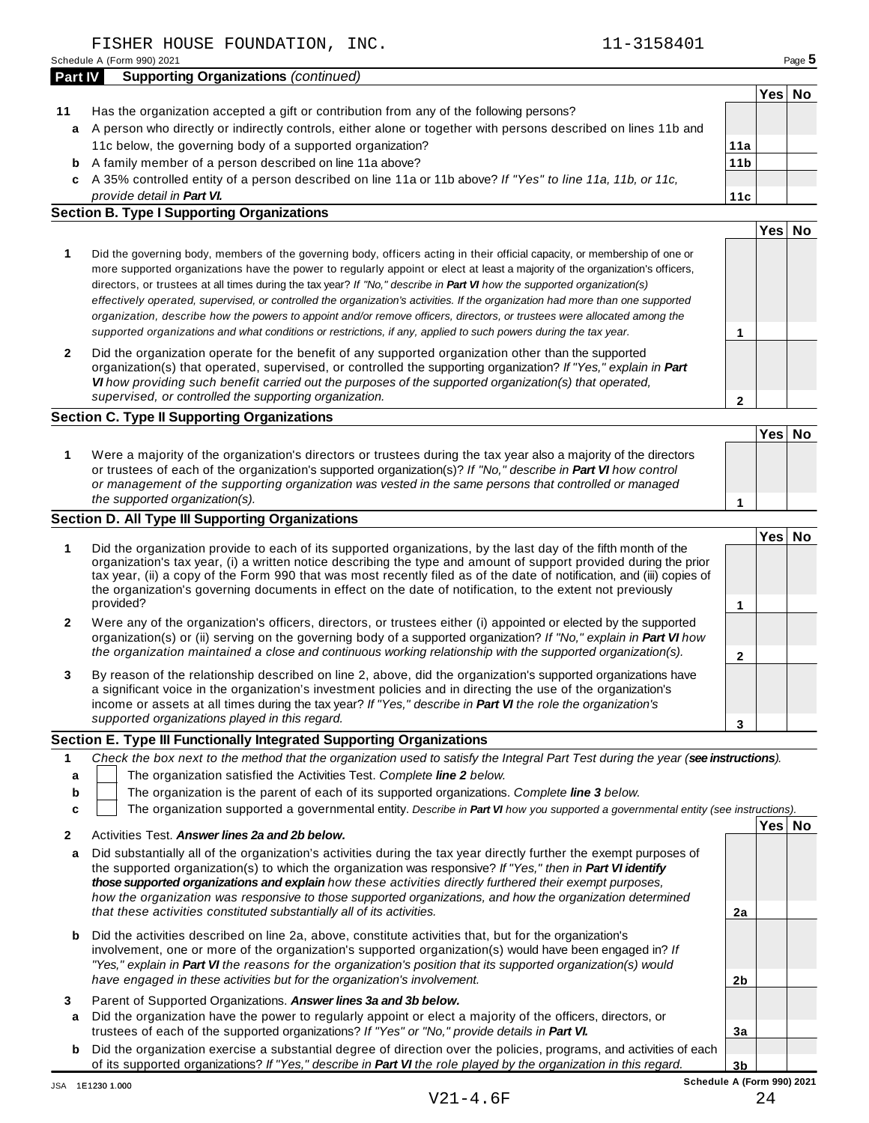Schedule <sup>A</sup> (Form 990) <sup>2021</sup> Page **5**

| <b>Part IV</b> | <b>Supporting Organizations (continued)</b>                                                                    |                 | Yes⊺ | No |
|----------------|----------------------------------------------------------------------------------------------------------------|-----------------|------|----|
| 11             | Has the organization accepted a gift or contribution from any of the following persons?                        |                 |      |    |
| a              | A person who directly or indirectly controls, either alone or together with persons described on lines 11b and |                 |      |    |
|                | 11c below, the governing body of a supported organization?                                                     | 11a             |      |    |
|                | <b>b</b> A family member of a person described on line 11a above?                                              | 11 <sub>b</sub> |      |    |
| C              | A 35% controlled entity of a person described on line 11a or 11b above? If "Yes" to line 11a, 11b, or 11c,     |                 |      |    |
|                | provide detail in Part VI.                                                                                     | 11c             |      |    |
|                | <b>Section B. Type I Supporting Organizations</b>                                                              |                 |      |    |
|                |                                                                                                                |                 | Y es |    |

- **1** Did the governing body, members of the governing body, officers acting in their official capacity, or membership of one or more supported organizations have the power to regularly appoint or elect at least a majority of the organization's officers, directors, or trustees at all times during the tax year? *If"No," describe in Part VI how the supported organization(s)* effectively operated, supervised, or controlled the organization's activities. If the organization had more than one supported organization, describe how the powers to appoint and/or remove officers, directors, or trustees were allocated among the supported organizations and what conditions or restrictions, if any, applied to such powers during the tax year.
- **2** Did the organization operate for the benefit of any supported organization other than the supported organization(s) that operated, supervised, or controlled the supporting organization? *If "Yes," explain in Part VI how providing such benefit carried out the purposes of the supported organization(s) that operated, supervised, or controlled the supporting organization.*

#### **Section C. Type II Supporting Organizations**

**1 Yes No 1** Were a majority of the organization's directors or trustees during the tax year also a majority of the directors or trustees of each of the organization's supported organization(s)? *If"No," describe in Part VI how control or management of the supporting organization was vested in the same persons that controlled or managed the supported organization(s).*

#### **Section D. All Type III Supporting Organizations**

|              |                                                                                                                                                                                                                                                                                                                                                                                                                                                                                          |  | Yes⊺ |  |
|--------------|------------------------------------------------------------------------------------------------------------------------------------------------------------------------------------------------------------------------------------------------------------------------------------------------------------------------------------------------------------------------------------------------------------------------------------------------------------------------------------------|--|------|--|
|              | Did the organization provide to each of its supported organizations, by the last day of the fifth month of the<br>organization's tax year, (i) a written notice describing the type and amount of support provided during the prior<br>tax year, (ii) a copy of the Form 990 that was most recently filed as of the date of notification, and (iii) copies of<br>the organization's governing documents in effect on the date of notification, to the extent not previously<br>provided? |  |      |  |
|              |                                                                                                                                                                                                                                                                                                                                                                                                                                                                                          |  |      |  |
| $\mathbf{2}$ | Were any of the organization's officers, directors, or trustees either (i) appointed or elected by the supported<br>organization(s) or (ii) serving on the governing body of a supported organization? If "No," explain in Part VI how                                                                                                                                                                                                                                                   |  |      |  |
|              | the organization maintained a close and continuous working relationship with the supported organization(s).                                                                                                                                                                                                                                                                                                                                                                              |  |      |  |
| 3            | By reason of the relationship described on line 2, above, did the organization's supported organizations have<br>a significant voice in the organization's investment policies and in directing the use of the organization's<br>income or assets at all times during the tax year? If "Yes," describe in Part VI the role the organization's                                                                                                                                            |  |      |  |
|              | supported organizations played in this regard.                                                                                                                                                                                                                                                                                                                                                                                                                                           |  |      |  |

#### **Section E. Type III Functionally Integrated Supporting Organizations**

|                                                | Check the box next to the method that the organization used to satisfy the Integral Part Test during the year (see instructions). |  |  |  |  |  |  |  |
|------------------------------------------------|-----------------------------------------------------------------------------------------------------------------------------------|--|--|--|--|--|--|--|
|                                                | The organization satisfied the Activities Test. Complete line 2 below.                                                            |  |  |  |  |  |  |  |
| b                                              | The organization is the parent of each of its supported organizations. Complete line 3 below.                                     |  |  |  |  |  |  |  |
|                                                | The organization supported a governmental entity. Describe in Part VI how you supported a governmental entity (see instructions). |  |  |  |  |  |  |  |
|                                                |                                                                                                                                   |  |  |  |  |  |  |  |
| Activities Test. Answer lines 2a and 2b below. |                                                                                                                                   |  |  |  |  |  |  |  |

| a | Did substantially all of the organization's activities during the tax year directly further the exempt purposes of<br>the supported organization(s) to which the organization was responsive? If "Yes," then in Part VI identify<br>those supported organizations and explain how these activities directly furthered their exempt purposes,<br>how the organization was responsive to those supported organizations, and how the organization determined<br>that these activities constituted substantially all of its activities. | 2a |  |
|---|-------------------------------------------------------------------------------------------------------------------------------------------------------------------------------------------------------------------------------------------------------------------------------------------------------------------------------------------------------------------------------------------------------------------------------------------------------------------------------------------------------------------------------------|----|--|
|   |                                                                                                                                                                                                                                                                                                                                                                                                                                                                                                                                     |    |  |
| b | Did the activities described on line 2a, above, constitute activities that, but for the organization's<br>involvement, one or more of the organization's supported organization(s) would have been engaged in? If<br>"Yes," explain in Part VI the reasons for the organization's position that its supported organization(s) would<br>have engaged in these activities but for the organization's involvement.                                                                                                                     | 2b |  |
| 3 | Parent of Supported Organizations. Answer lines 3a and 3b below.                                                                                                                                                                                                                                                                                                                                                                                                                                                                    |    |  |
|   |                                                                                                                                                                                                                                                                                                                                                                                                                                                                                                                                     |    |  |
| a | Did the organization have the power to regularly appoint or elect a majority of the officers, directors, or                                                                                                                                                                                                                                                                                                                                                                                                                         |    |  |
|   | trustees of each of the supported organizations? If "Yes" or "No," provide details in Part VI.                                                                                                                                                                                                                                                                                                                                                                                                                                      | Зa |  |
|   |                                                                                                                                                                                                                                                                                                                                                                                                                                                                                                                                     |    |  |
|   | <b>b</b> Did the organization exercise a substantial degree of direction over the policies, programs, and activities of each                                                                                                                                                                                                                                                                                                                                                                                                        |    |  |
|   | of its supported organizations? If "Yes," describe in Part VI the role played by the organization in this regard.                                                                                                                                                                                                                                                                                                                                                                                                                   | 3b |  |

**Schedule A (Form 990) 2021**

**1**

**2**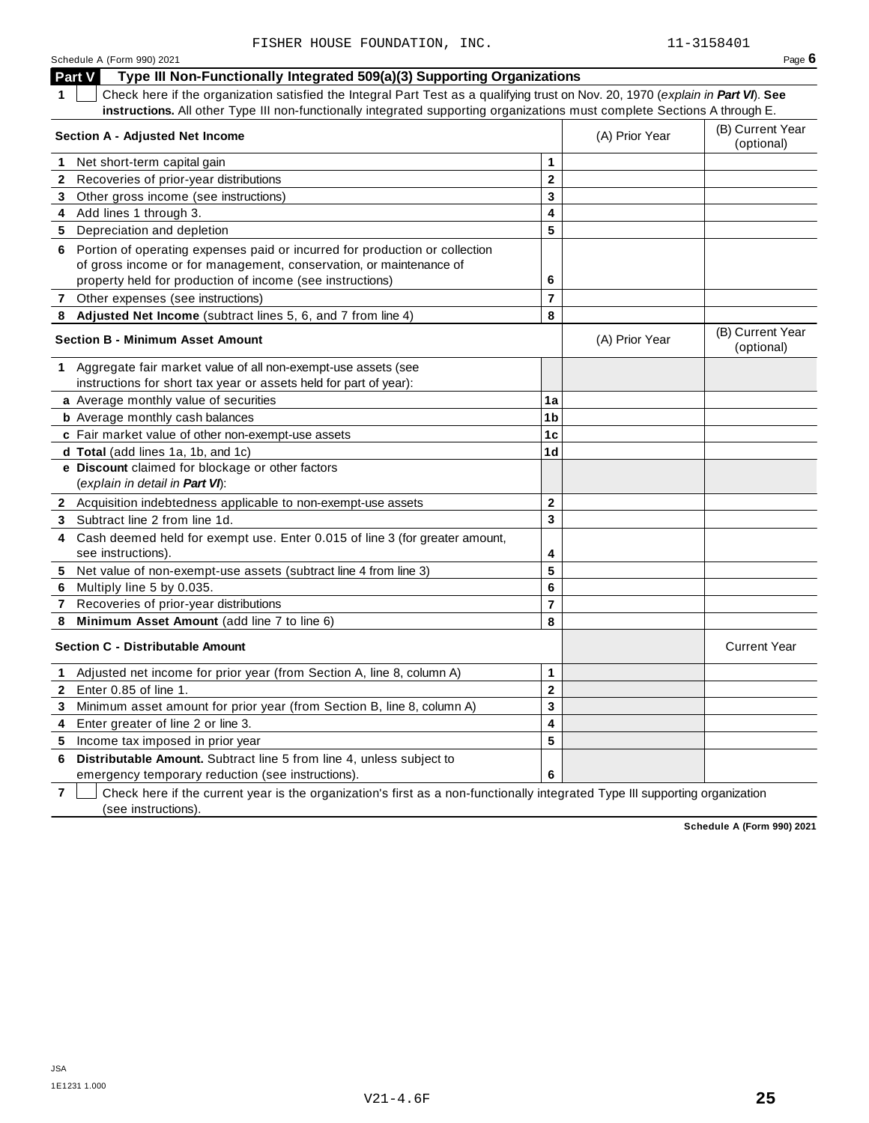# **Part V Type III Non-Functionally Integrated 509(a)(3) Supporting Organizations**

**1** Check here if the organization satisfied the Integral Part Test as a qualifying trust on Nov. 20, 1970 (*explain in Part VI*). **See instructions.** All other Type III non-functionally integrated supporting organizations must complete Sections A through E.

|              | Section A - Adjusted Net Income                                               |                         | (A) Prior Year | (B) Current Year<br>(optional) |
|--------------|-------------------------------------------------------------------------------|-------------------------|----------------|--------------------------------|
|              | 1 Net short-term capital gain                                                 | 1                       |                |                                |
|              | 2 Recoveries of prior-year distributions                                      | $\overline{2}$          |                |                                |
|              | 3 Other gross income (see instructions)                                       | 3                       |                |                                |
|              | 4 Add lines 1 through 3.                                                      | 4                       |                |                                |
|              | 5 Depreciation and depletion                                                  | 5                       |                |                                |
|              | 6 Portion of operating expenses paid or incurred for production or collection |                         |                |                                |
|              | of gross income or for management, conservation, or maintenance of            |                         |                |                                |
|              | property held for production of income (see instructions)                     | 6                       |                |                                |
|              | 7 Other expenses (see instructions)                                           | $\overline{7}$          |                |                                |
|              | 8 Adjusted Net Income (subtract lines 5, 6, and 7 from line 4)                | 8                       |                |                                |
|              | <b>Section B - Minimum Asset Amount</b>                                       |                         | (A) Prior Year | (B) Current Year<br>(optional) |
|              | 1 Aggregate fair market value of all non-exempt-use assets (see               |                         |                |                                |
|              | instructions for short tax year or assets held for part of year):             |                         |                |                                |
|              | a Average monthly value of securities                                         | 1a                      |                |                                |
|              | <b>b</b> Average monthly cash balances                                        | 1b                      |                |                                |
|              | c Fair market value of other non-exempt-use assets                            | 1 <sub>c</sub>          |                |                                |
|              | d Total (add lines 1a, 1b, and 1c)                                            | 1 <sub>d</sub>          |                |                                |
|              | e Discount claimed for blockage or other factors                              |                         |                |                                |
|              | (explain in detail in Part VI):                                               |                         |                |                                |
|              | 2 Acquisition indebtedness applicable to non-exempt-use assets                | $\mathbf 2$             |                |                                |
|              | 3 Subtract line 2 from line 1d.                                               | 3                       |                |                                |
|              | 4 Cash deemed held for exempt use. Enter 0.015 of line 3 (for greater amount, |                         |                |                                |
|              | see instructions).                                                            | 4                       |                |                                |
|              | 5 Net value of non-exempt-use assets (subtract line 4 from line 3)            | 5                       |                |                                |
| 6            | Multiply line 5 by 0.035.                                                     | 6                       |                |                                |
| $\mathbf{7}$ | Recoveries of prior-year distributions                                        | $\overline{7}$          |                |                                |
| 8            | Minimum Asset Amount (add line 7 to line 6)                                   | 8                       |                |                                |
|              | <b>Section C - Distributable Amount</b>                                       |                         |                | <b>Current Year</b>            |
|              | 1 Adjusted net income for prior year (from Section A, line 8, column A)       | 1                       |                |                                |
|              | 2 Enter 0.85 of line 1.                                                       | $\overline{\mathbf{2}}$ |                |                                |
| 3            | Minimum asset amount for prior year (from Section B, line 8, column A)        | 3                       |                |                                |
| 4            | Enter greater of line 2 or line 3.                                            | $\overline{\mathbf{4}}$ |                |                                |
|              | 5 Income tax imposed in prior year                                            | 5                       |                |                                |
| 6            | Distributable Amount. Subtract line 5 from line 4, unless subject to          |                         |                |                                |
|              | emergency temporary reduction (see instructions).                             | 6                       |                |                                |

**7** Check here if the current year is the organization's first as a non-functionally integrated Type III supporting organization (see instructions).

**Schedule A (Form 990) 2021**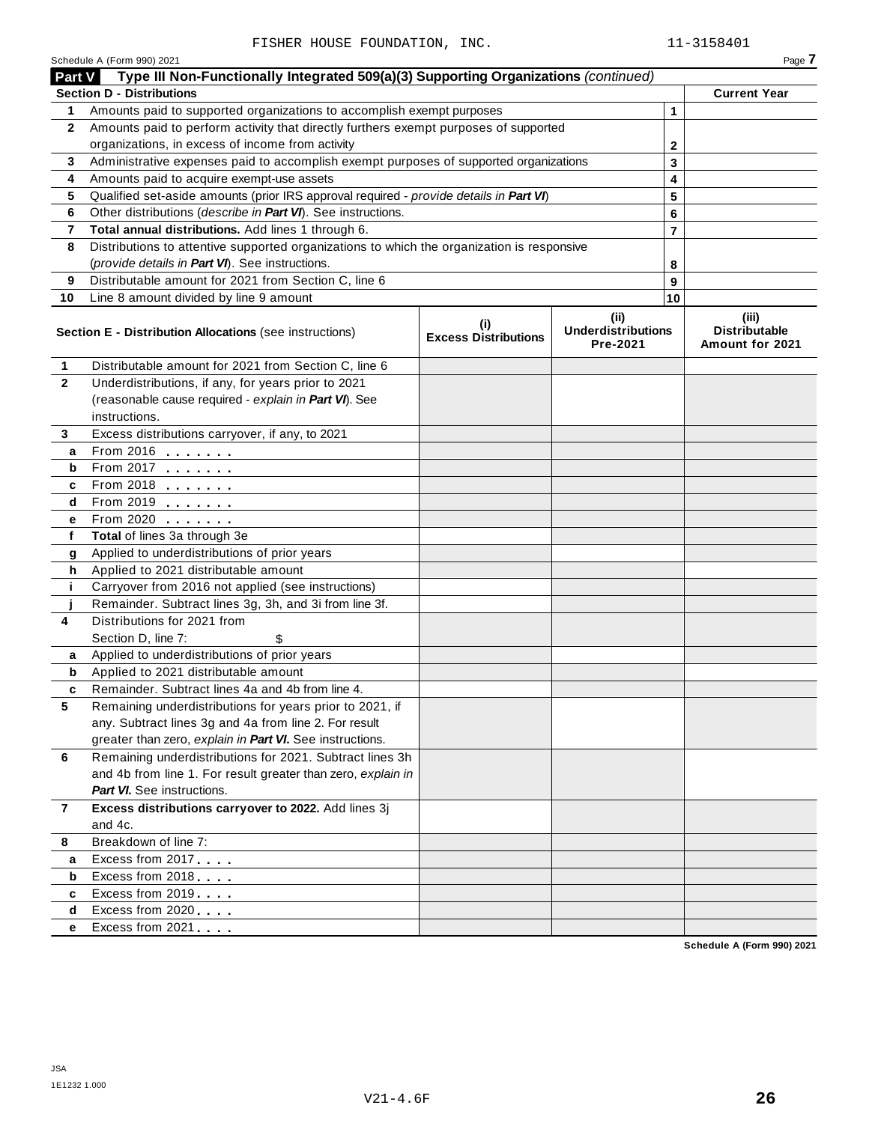| <b>Part V</b>  | Type III Non-Functionally Integrated 509(a)(3) Supporting Organizations (continued)        |                                    |                                              |    |                                         |
|----------------|--------------------------------------------------------------------------------------------|------------------------------------|----------------------------------------------|----|-----------------------------------------|
|                | <b>Section D - Distributions</b>                                                           |                                    |                                              |    | <b>Current Year</b>                     |
| 1              | Amounts paid to supported organizations to accomplish exempt purposes                      |                                    |                                              | 1  |                                         |
| $\mathbf{2}$   | Amounts paid to perform activity that directly furthers exempt purposes of supported       |                                    |                                              |    |                                         |
|                | organizations, in excess of income from activity                                           |                                    |                                              | 2  |                                         |
| 3              | Administrative expenses paid to accomplish exempt purposes of supported organizations      | 3                                  |                                              |    |                                         |
| 4              | Amounts paid to acquire exempt-use assets                                                  |                                    |                                              | 4  |                                         |
| 5              | Qualified set-aside amounts (prior IRS approval required - provide details in Part VI)     |                                    |                                              | 5  |                                         |
| 6              | Other distributions (describe in Part VI). See instructions.                               |                                    |                                              | 6  |                                         |
| 7              | Total annual distributions. Add lines 1 through 6.                                         |                                    |                                              | 7  |                                         |
| 8              | Distributions to attentive supported organizations to which the organization is responsive |                                    |                                              |    |                                         |
|                | (provide details in Part VI). See instructions.                                            |                                    |                                              | 8  |                                         |
| 9              | Distributable amount for 2021 from Section C, line 6                                       |                                    |                                              | 9  |                                         |
| 10             | Line 8 amount divided by line 9 amount                                                     |                                    |                                              | 10 |                                         |
|                |                                                                                            |                                    | (ii)                                         |    | (iii)                                   |
|                | <b>Section E - Distribution Allocations (see instructions)</b>                             | (i)<br><b>Excess Distributions</b> | <b>Underdistributions</b><br><b>Pre-2021</b> |    | <b>Distributable</b><br>Amount for 2021 |
| 1              | Distributable amount for 2021 from Section C, line 6                                       |                                    |                                              |    |                                         |
| $\mathbf{2}$   | Underdistributions, if any, for years prior to 2021                                        |                                    |                                              |    |                                         |
|                | (reasonable cause required - explain in Part VI). See                                      |                                    |                                              |    |                                         |
|                | instructions.                                                                              |                                    |                                              |    |                                         |
| 3              | Excess distributions carryover, if any, to 2021                                            |                                    |                                              |    |                                         |
| a              | From 2016 $\frac{1}{2}$                                                                    |                                    |                                              |    |                                         |
| b              | From 2017 $\frac{1}{\sqrt{2}}$                                                             |                                    |                                              |    |                                         |
| c              | From 2018                                                                                  |                                    |                                              |    |                                         |
| d              | From 2019                                                                                  |                                    |                                              |    |                                         |
| е              | From 2020                                                                                  |                                    |                                              |    |                                         |
| f              | Total of lines 3a through 3e                                                               |                                    |                                              |    |                                         |
| g              | Applied to underdistributions of prior years                                               |                                    |                                              |    |                                         |
| h              | Applied to 2021 distributable amount                                                       |                                    |                                              |    |                                         |
| j.             | Carryover from 2016 not applied (see instructions)                                         |                                    |                                              |    |                                         |
|                | Remainder. Subtract lines 3g, 3h, and 3i from line 3f.                                     |                                    |                                              |    |                                         |
| 4              | Distributions for 2021 from                                                                |                                    |                                              |    |                                         |
|                | Section D, line 7:<br>\$                                                                   |                                    |                                              |    |                                         |
| a              | Applied to underdistributions of prior years                                               |                                    |                                              |    |                                         |
| b              | Applied to 2021 distributable amount                                                       |                                    |                                              |    |                                         |
| c              | Remainder. Subtract lines 4a and 4b from line 4.                                           |                                    |                                              |    |                                         |
| 5              | Remaining underdistributions for years prior to 2021, if                                   |                                    |                                              |    |                                         |
|                | any. Subtract lines 3g and 4a from line 2. For result                                      |                                    |                                              |    |                                         |
|                | greater than zero, explain in Part VI. See instructions.                                   |                                    |                                              |    |                                         |
| 6              | Remaining underdistributions for 2021. Subtract lines 3h                                   |                                    |                                              |    |                                         |
|                | and 4b from line 1. For result greater than zero, explain in                               |                                    |                                              |    |                                         |
|                | <b>Part VI.</b> See instructions.                                                          |                                    |                                              |    |                                         |
| $\overline{7}$ | Excess distributions carryover to 2022. Add lines 3j                                       |                                    |                                              |    |                                         |
|                | and 4c.                                                                                    |                                    |                                              |    |                                         |
| 8              | Breakdown of line 7:                                                                       |                                    |                                              |    |                                         |
| а              | Excess from 2017                                                                           |                                    |                                              |    |                                         |
| b              | Excess from 2018                                                                           |                                    |                                              |    |                                         |
| c              | Excess from 2019                                                                           |                                    |                                              |    |                                         |
| d              | Excess from 2020                                                                           |                                    |                                              |    |                                         |
| е              | Excess from 2021                                                                           |                                    |                                              |    |                                         |
|                |                                                                                            |                                    |                                              |    |                                         |

**Schedule A (Form 990) 2021**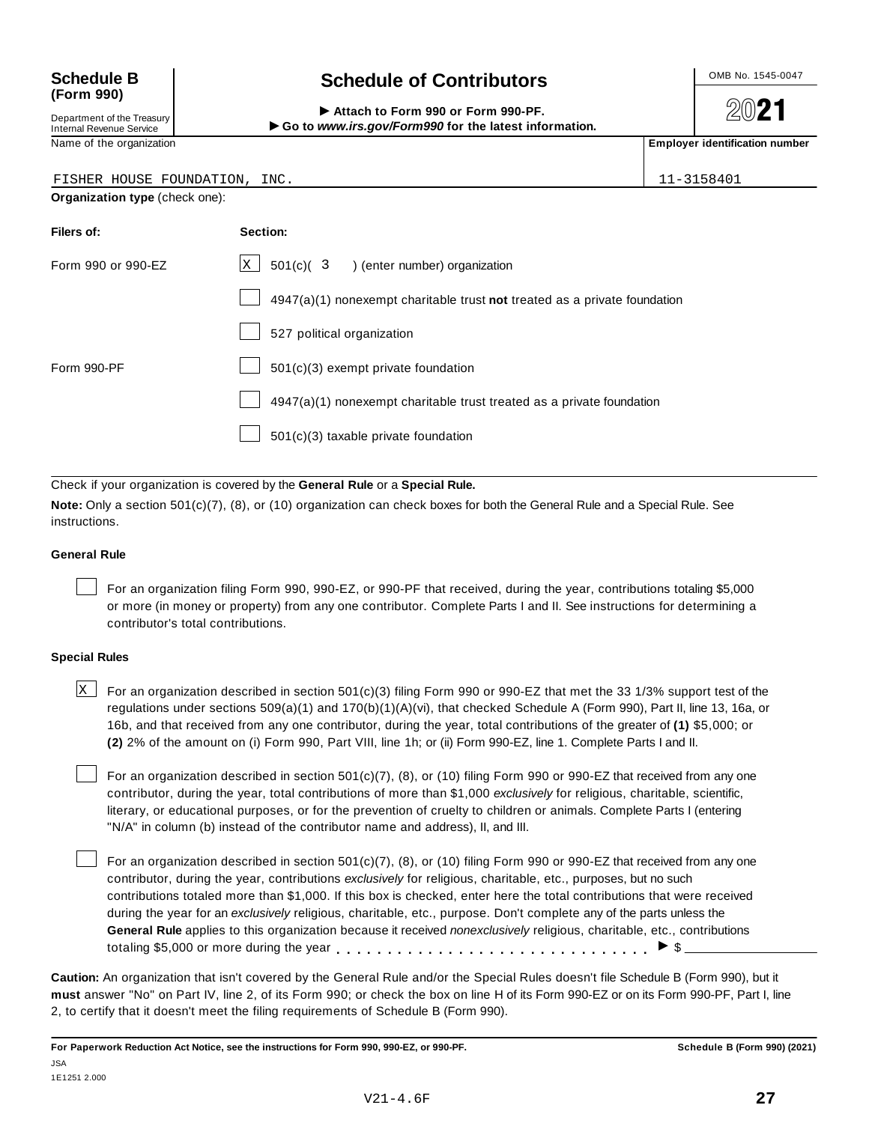# **(Form 990)**

Department of the Treasury<br>Internal Revenue Service

## Schedule B  $\left\{\n\begin{array}{c}\n\text{OnB No. 1545-0047}\n\end{array}\n\right\}$

**2021** 

 $\text{Department of the Treasury}\n\begin{array}{r|l}\n\text{Department of the Treasury}\n\end{array}\n\begin{array}{r|l}\n\end{array}\n\begin{array}{r|l}\n\end{array}\n\begin{array}{r|l}\n\end{array}\n\begin{array}{r|l}\n\end{array}\n\begin{array}{r|l}\n\end{array}\n\end{array}\n\begin{array}{r|l}\n\end{array}\n\begin{array}{r|l}\n\end{array}\n\begin{array}{r|l}\n\end{array}\n\end{array}\n\begin{array}{r|l}\n\end{array}\n\begin{array}{r|l}\n\end{array}\n\end{array}\n\begin{array}{r|l$ 

| FISHER HOUSE FOUNDATION, INC. | 11-3158401                                                                  |  |  |  |  |  |  |  |
|-------------------------------|-----------------------------------------------------------------------------|--|--|--|--|--|--|--|
|                               | Organization type (check one):                                              |  |  |  |  |  |  |  |
| Filers of:                    | Section:                                                                    |  |  |  |  |  |  |  |
| Form 990 or 990-EZ            | $X \ 501(c)$ 3 ) (enter number) organization                                |  |  |  |  |  |  |  |
|                               | $4947(a)(1)$ nonexempt charitable trust not treated as a private foundation |  |  |  |  |  |  |  |
|                               | 527 political organization                                                  |  |  |  |  |  |  |  |
| Form 990-PF                   | 501(c)(3) exempt private foundation                                         |  |  |  |  |  |  |  |
|                               | 4947(a)(1) nonexempt charitable trust treated as a private foundation       |  |  |  |  |  |  |  |
|                               | $501(c)(3)$ taxable private foundation                                      |  |  |  |  |  |  |  |

Check if your organization is covered by the **General Rule** or a **Special Rule.**

**Note:** Only a section 501(c)(7), (8), or (10) organization can check boxes for both the General Rule and a Special Rule. See instructions.

#### **General Rule**

For an organization filing Form 990, 990-EZ, or 990-PF that received, during the year, contributions totaling \$5,000 or more (in money or property) from any one contributor. Complete Parts I and II. See instructions for determining a contributor's total contributions.

#### **Special Rules**

 $\times$  For an organization described in section 501(c)(3) filing Form 990 or 990-EZ that met the 33 1/3% support test of the regulations under sections 509(a)(1) and 170(b)(1)(A)(vi), that checked Schedule A (Form 990), Part II, line 13, 16a, or 16b, and that received from any one contributor, during the year, total contributions of the greater of **(1)** \$5,000; or **(2)** 2% of the amount on (i) Form 990, Part VIII, line 1h; or (ii) Form 990-EZ, line 1. Complete Parts I and II.

For an organization described in section 501(c)(7), (8), or (10) filing Form 990 or 990-EZ that received from any one contributor, during the year, total contributions of more than \$1,000 *exclusively* for religious, charitable, scientific, literary, or educational purposes, or for the prevention of cruelty to children or animals. Complete Parts I (entering "N/A" in column (b) instead of the contributor name and address), II, and III.

For an organization described in section 501(c)(7), (8), or (10) filing Form 990 or 990-EZ that received from any one contributor, during the year, contributions *exclusively* for religious, charitable, etc., purposes, but no such contributions totaled more than \$1,000. If this box is checked, enter here the total contributions that were received during the year for an *exclusively* religious, charitable, etc., purpose. Don't complete any of the parts unless the **General Rule** applies to this organization because it received *nonexclusively* religious, charitable, etc., contributions totaling \$5,000 or more during the year  $\ldots \ldots \ldots \ldots \ldots \ldots \ldots \ldots \ldots \vdots$ 

**Caution:** An organization that isn't covered by the General Rule and/or the Special Rules doesn't file Schedule B (Form 990), but it **must** answer "No" on Part IV, line 2, of its Form 990; or check the box on line H of its Form 990-EZ or on its Form 990-PF, Part I, line 2, to certify that it doesn't meet the filing requirements of Schedule B (Form 990).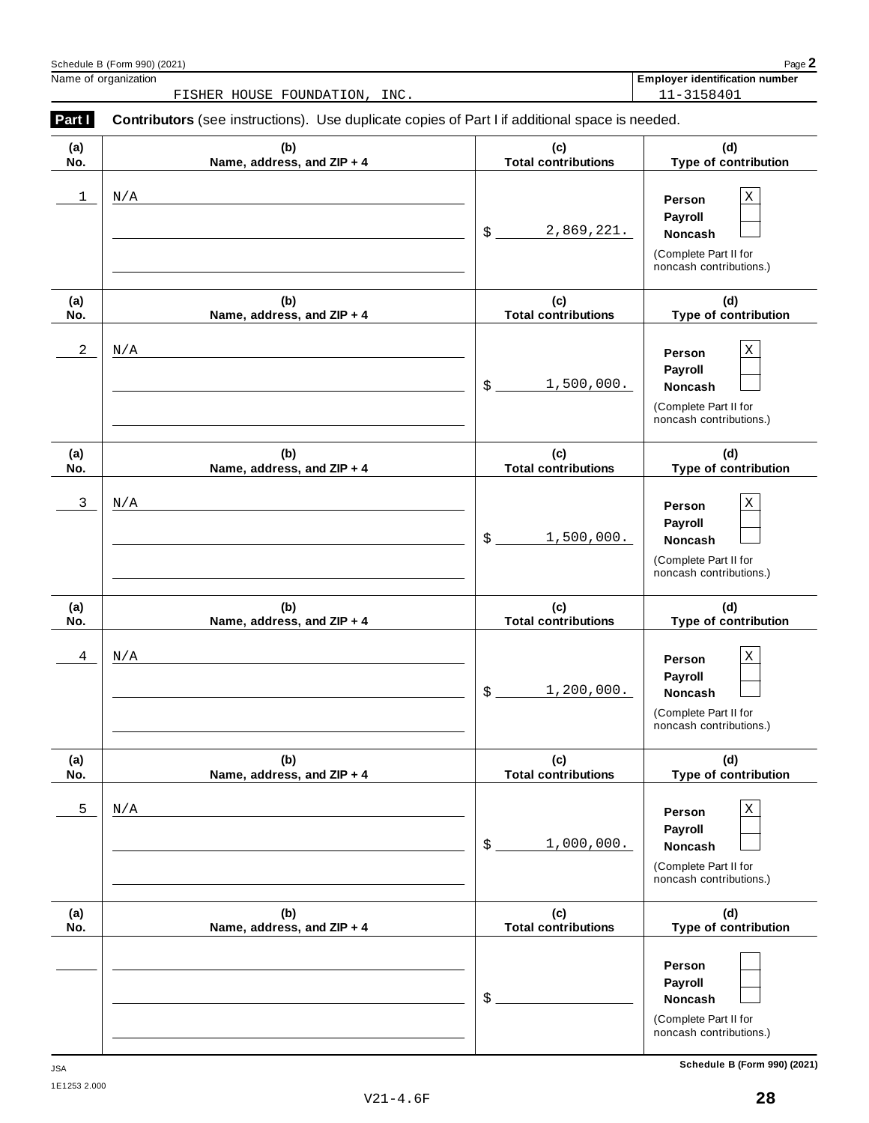|            | Name of organization<br>FISHER HOUSE FOUNDATION, INC.                                          |                                   | Employer identification number<br>11-3158401                                                           |
|------------|------------------------------------------------------------------------------------------------|-----------------------------------|--------------------------------------------------------------------------------------------------------|
| Part I     | Contributors (see instructions). Use duplicate copies of Part I if additional space is needed. |                                   |                                                                                                        |
| (a)<br>No. | (b)<br>Name, address, and ZIP + 4                                                              | (c)<br><b>Total contributions</b> | (d)<br>Type of contribution                                                                            |
| 1          | N/A                                                                                            | \$<br>2,869,221.                  | $\mathbf X$<br>Person<br>Payroll<br>Noncash<br>(Complete Part II for<br>noncash contributions.)        |
| (a)<br>No. | (b)<br>Name, address, and ZIP + 4                                                              | (c)<br><b>Total contributions</b> | (d)<br>Type of contribution                                                                            |
| 2          | N/A                                                                                            | \$<br>1,500,000.                  | $\mathbf X$<br>Person<br>Payroll<br><b>Noncash</b><br>(Complete Part II for<br>noncash contributions.) |
| (a)<br>No. | (b)<br>Name, address, and ZIP + 4                                                              | (c)<br><b>Total contributions</b> | (d)<br>Type of contribution                                                                            |
| 3          | N/A                                                                                            | \$<br>1,500,000.                  | $\mathbf X$<br>Person<br>Payroll<br><b>Noncash</b><br>(Complete Part II for<br>noncash contributions.) |
| (a)<br>No. | (b)<br>Name, address, and ZIP + 4                                                              | (c)<br><b>Total contributions</b> | (d)<br>Type of contribution                                                                            |
| 4          | N/A                                                                                            | \$<br>1,200,000.                  | $\mathbf X$<br>Person<br>Payroll<br><b>Noncash</b><br>(Complete Part II for<br>noncash contributions.) |
| (a)<br>No. | (b)<br>Name, address, and ZIP + 4                                                              | (c)<br><b>Total contributions</b> | (d)<br>Type of contribution                                                                            |
| 5          | N/A                                                                                            | 1,000,000.<br>\$                  | $\mathbf X$<br>Person<br>Payroll<br><b>Noncash</b><br>(Complete Part II for<br>noncash contributions.) |
| (a)<br>No. | (b)<br>Name, address, and ZIP + 4                                                              | (c)<br><b>Total contributions</b> | (d)<br>Type of contribution                                                                            |
|            |                                                                                                | \$                                | Person<br>Payroll<br>Noncash<br>(Complete Part II for<br>noncash contributions.)                       |

Schedule <sup>B</sup> (Form 990) (2021) Page **2**

**Schedule B (Form 990) (2021)** JSA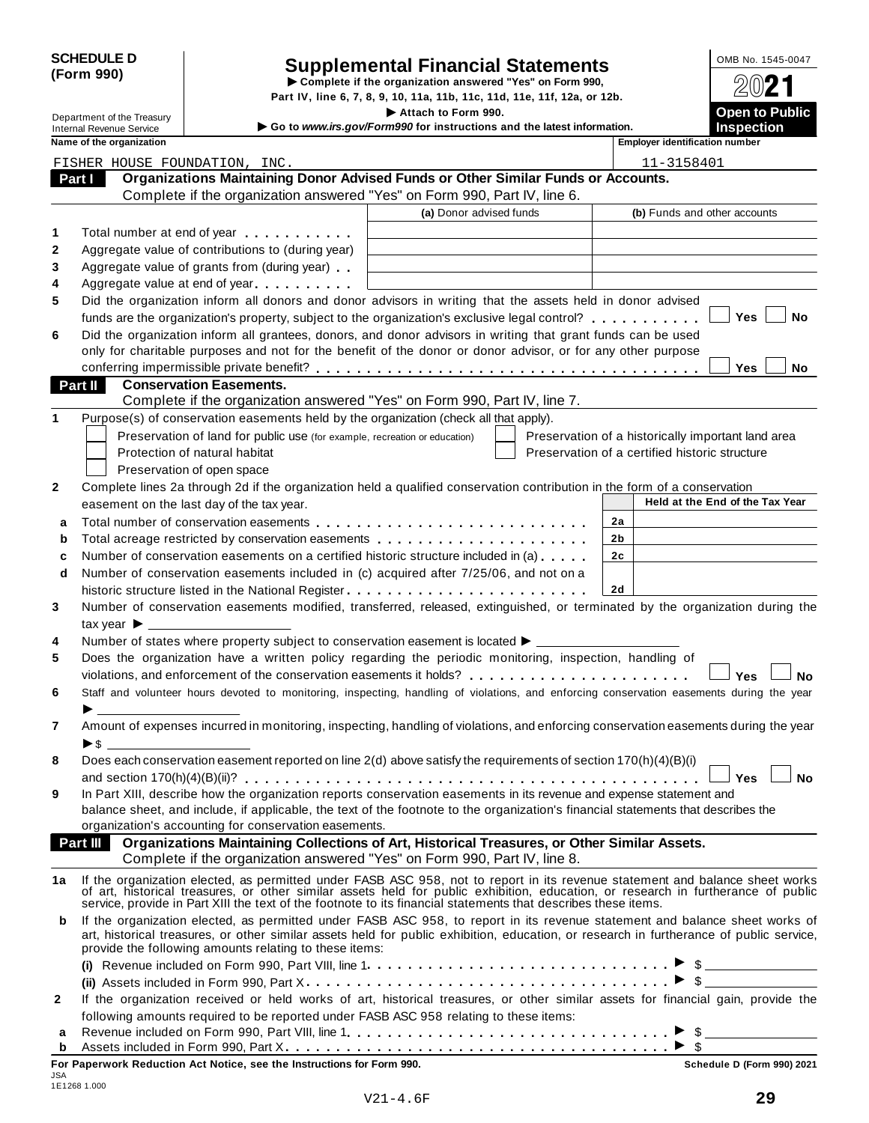|            | <b>SCHEDULE D</b> |
|------------|-------------------|
| (Form 990) |                   |

# SCHEDULE D<br>
Supplemental Financial Statements<br>
Form 990)<br>
Part IV, line 6, 7, 8, 9, 10, 11a, 11b, 11c, 11d, 11e, 11f, 12a, or 12b.<br>
Part IV, line 6, 7, 8, 9, 10, 11a, 11b, 11c, 11d, 11e, 11f, 12a, or 12b.

|                |                                                               |                                                                                                                                                                                                                                                                                                                                                  | Part IV, line 6, 7, 8, 9, 10, 11a, 11b, 11c, 11d, 11e, 11f, 12a, or 12b.                      |                                                |                                                    |
|----------------|---------------------------------------------------------------|--------------------------------------------------------------------------------------------------------------------------------------------------------------------------------------------------------------------------------------------------------------------------------------------------------------------------------------------------|-----------------------------------------------------------------------------------------------|------------------------------------------------|----------------------------------------------------|
|                | Department of the Treasury<br><b>Internal Revenue Service</b> |                                                                                                                                                                                                                                                                                                                                                  | Attach to Form 990.<br>Go to www.irs.gov/Form990 for instructions and the latest information. |                                                | <b>Open to Public</b><br><b>Inspection</b>         |
|                | Name of the organization                                      |                                                                                                                                                                                                                                                                                                                                                  |                                                                                               | <b>Employer identification number</b>          |                                                    |
|                |                                                               | FISHER HOUSE FOUNDATION, INC.                                                                                                                                                                                                                                                                                                                    |                                                                                               | 11-3158401                                     |                                                    |
| Part I         |                                                               | Organizations Maintaining Donor Advised Funds or Other Similar Funds or Accounts.<br>Complete if the organization answered "Yes" on Form 990, Part IV, line 6.                                                                                                                                                                                   |                                                                                               |                                                |                                                    |
|                |                                                               |                                                                                                                                                                                                                                                                                                                                                  |                                                                                               |                                                |                                                    |
|                |                                                               |                                                                                                                                                                                                                                                                                                                                                  | (a) Donor advised funds                                                                       |                                                | (b) Funds and other accounts                       |
| 1              |                                                               | Total number at end of year entitled as a set of the set of the set of the set of the set of the set of the set of the set of the set of the set of the set of the set of the set of the set of the set of the set of the set                                                                                                                    |                                                                                               |                                                |                                                    |
| 2              |                                                               | Aggregate value of contributions to (during year)                                                                                                                                                                                                                                                                                                |                                                                                               |                                                |                                                    |
| 3              |                                                               | Aggregate value of grants from (during year)                                                                                                                                                                                                                                                                                                     |                                                                                               |                                                |                                                    |
| 4              |                                                               | Aggregate value at end of year                                                                                                                                                                                                                                                                                                                   |                                                                                               |                                                |                                                    |
| 5              |                                                               | Did the organization inform all donors and donor advisors in writing that the assets held in donor advised                                                                                                                                                                                                                                       |                                                                                               |                                                | Yes                                                |
|                |                                                               | funds are the organization's property, subject to the organization's exclusive legal control?                                                                                                                                                                                                                                                    |                                                                                               |                                                | No                                                 |
| 6              |                                                               | Did the organization inform all grantees, donors, and donor advisors in writing that grant funds can be used                                                                                                                                                                                                                                     |                                                                                               |                                                |                                                    |
|                |                                                               | only for charitable purposes and not for the benefit of the donor or donor advisor, or for any other purpose                                                                                                                                                                                                                                     |                                                                                               |                                                | Yes<br>No.                                         |
| <b>Part II</b> |                                                               | <b>Conservation Easements.</b>                                                                                                                                                                                                                                                                                                                   |                                                                                               |                                                |                                                    |
|                |                                                               | Complete if the organization answered "Yes" on Form 990, Part IV, line 7.                                                                                                                                                                                                                                                                        |                                                                                               |                                                |                                                    |
| 1              |                                                               | Purpose(s) of conservation easements held by the organization (check all that apply).                                                                                                                                                                                                                                                            |                                                                                               |                                                |                                                    |
|                |                                                               | Preservation of land for public use (for example, recreation or education)                                                                                                                                                                                                                                                                       |                                                                                               |                                                | Preservation of a historically important land area |
|                |                                                               | Protection of natural habitat                                                                                                                                                                                                                                                                                                                    |                                                                                               | Preservation of a certified historic structure |                                                    |
|                |                                                               | Preservation of open space                                                                                                                                                                                                                                                                                                                       |                                                                                               |                                                |                                                    |
| 2              |                                                               | Complete lines 2a through 2d if the organization held a qualified conservation contribution in the form of a conservation                                                                                                                                                                                                                        |                                                                                               |                                                |                                                    |
|                |                                                               | easement on the last day of the tax year.                                                                                                                                                                                                                                                                                                        |                                                                                               |                                                | Held at the End of the Tax Year                    |
| a              |                                                               |                                                                                                                                                                                                                                                                                                                                                  |                                                                                               | 2a                                             |                                                    |
| b              |                                                               | Total acreage restricted by conservation easements                                                                                                                                                                                                                                                                                               |                                                                                               | 2b                                             |                                                    |
| c              |                                                               | Number of conservation easements on a certified historic structure included in (a)                                                                                                                                                                                                                                                               |                                                                                               | 2 <sub>c</sub>                                 |                                                    |
| d              |                                                               | Number of conservation easements included in (c) acquired after 7/25/06, and not on a                                                                                                                                                                                                                                                            |                                                                                               |                                                |                                                    |
|                |                                                               |                                                                                                                                                                                                                                                                                                                                                  |                                                                                               | 2d                                             |                                                    |
| 3              |                                                               | Number of conservation easements modified, transferred, released, extinguished, or terminated by the organization during the                                                                                                                                                                                                                     |                                                                                               |                                                |                                                    |
|                | tax year $\blacktriangleright$ $\lrcorner$                    |                                                                                                                                                                                                                                                                                                                                                  |                                                                                               |                                                |                                                    |
| 4              |                                                               | Number of states where property subject to conservation easement is located $\blacktriangleright$ ___________                                                                                                                                                                                                                                    |                                                                                               |                                                |                                                    |
| 5              |                                                               | Does the organization have a written policy regarding the periodic monitoring, inspection, handling of                                                                                                                                                                                                                                           |                                                                                               |                                                |                                                    |
|                |                                                               |                                                                                                                                                                                                                                                                                                                                                  |                                                                                               |                                                | Yes<br><b>No</b>                                   |
| 6              |                                                               | Staff and volunteer hours devoted to monitoring, inspecting, handling of violations, and enforcing conservation easements during the year                                                                                                                                                                                                        |                                                                                               |                                                |                                                    |
|                |                                                               |                                                                                                                                                                                                                                                                                                                                                  |                                                                                               |                                                |                                                    |
| 7              |                                                               | Amount of expenses incurred in monitoring, inspecting, handling of violations, and enforcing conservation easements during the year                                                                                                                                                                                                              |                                                                                               |                                                |                                                    |
| 8              |                                                               | Does each conservation easement reported on line 2(d) above satisfy the requirements of section 170(h)(4)(B)(i)                                                                                                                                                                                                                                  |                                                                                               |                                                |                                                    |
|                |                                                               |                                                                                                                                                                                                                                                                                                                                                  |                                                                                               |                                                | <b>No</b><br><b>Yes</b>                            |
| 9              |                                                               | In Part XIII, describe how the organization reports conservation easements in its revenue and expense statement and                                                                                                                                                                                                                              |                                                                                               |                                                |                                                    |
|                |                                                               | balance sheet, and include, if applicable, the text of the footnote to the organization's financial statements that describes the                                                                                                                                                                                                                |                                                                                               |                                                |                                                    |
|                |                                                               | organization's accounting for conservation easements.                                                                                                                                                                                                                                                                                            |                                                                                               |                                                |                                                    |
|                | Part III                                                      | Organizations Maintaining Collections of Art, Historical Treasures, or Other Similar Assets.<br>Complete if the organization answered "Yes" on Form 990, Part IV, line 8.                                                                                                                                                                        |                                                                                               |                                                |                                                    |
| 1a             |                                                               | If the organization elected, as permitted under FASB ASC 958, not to report in its revenue statement and balance sheet works of art, historical treasures, or other similar assets held for public exhibition, education, or r<br>service, provide in Part XIII the text of the footnote to its financial statements that describes these items. |                                                                                               |                                                |                                                    |
| b              |                                                               | If the organization elected, as permitted under FASB ASC 958, to report in its revenue statement and balance sheet works of<br>art, historical treasures, or other similar assets held for public exhibition, education, or research in furtherance of public service,<br>provide the following amounts relating to these items:                 |                                                                                               |                                                |                                                    |
|                |                                                               |                                                                                                                                                                                                                                                                                                                                                  |                                                                                               |                                                |                                                    |
|                |                                                               |                                                                                                                                                                                                                                                                                                                                                  |                                                                                               |                                                |                                                    |
| 2              |                                                               | If the organization received or held works of art, historical treasures, or other similar assets for financial gain, provide the                                                                                                                                                                                                                 |                                                                                               |                                                |                                                    |
|                |                                                               | following amounts required to be reported under FASB ASC 958 relating to these items:                                                                                                                                                                                                                                                            |                                                                                               |                                                |                                                    |
| а              |                                                               |                                                                                                                                                                                                                                                                                                                                                  |                                                                                               |                                                |                                                    |
| b              |                                                               |                                                                                                                                                                                                                                                                                                                                                  |                                                                                               |                                                |                                                    |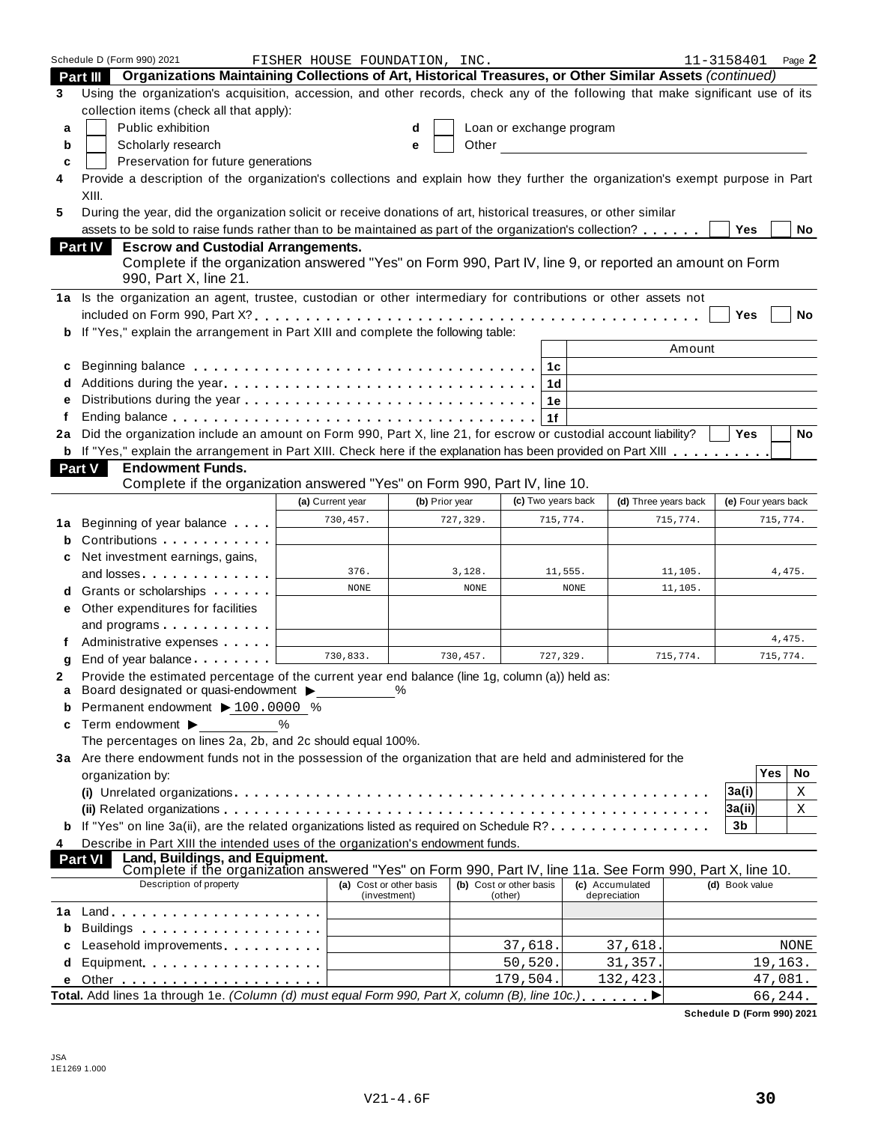|        | Schedule D (Form 990) 2021                                                                                                                                      | FISHER HOUSE FOUNDATION, INC. |                |          |                         |                          |                      | 11-3158401     |                     | Page 2      |
|--------|-----------------------------------------------------------------------------------------------------------------------------------------------------------------|-------------------------------|----------------|----------|-------------------------|--------------------------|----------------------|----------------|---------------------|-------------|
|        | Part III Organizations Maintaining Collections of Art, Historical Treasures, or Other Similar Assets (continued)                                                |                               |                |          |                         |                          |                      |                |                     |             |
| 3      | Using the organization's acquisition, accession, and other records, check any of the following that make significant use of its                                 |                               |                |          |                         |                          |                      |                |                     |             |
|        | collection items (check all that apply):                                                                                                                        |                               |                |          |                         |                          |                      |                |                     |             |
| a      | Public exhibition                                                                                                                                               |                               | d              |          |                         | Loan or exchange program |                      |                |                     |             |
| b      | Scholarly research                                                                                                                                              |                               | e              | Other    |                         |                          |                      |                |                     |             |
| c      | Preservation for future generations                                                                                                                             |                               |                |          |                         |                          |                      |                |                     |             |
| 4      | Provide a description of the organization's collections and explain how they further the organization's exempt purpose in Part<br>XIII.                         |                               |                |          |                         |                          |                      |                |                     |             |
| 5      | During the year, did the organization solicit or receive donations of art, historical treasures, or other similar                                               |                               |                |          |                         |                          |                      |                |                     |             |
|        | assets to be sold to raise funds rather than to be maintained as part of the organization's collection?                                                         |                               |                |          |                         |                          |                      |                | Yes                 | No          |
|        | <b>Escrow and Custodial Arrangements.</b><br>Part IV                                                                                                            |                               |                |          |                         |                          |                      |                |                     |             |
|        | Complete if the organization answered "Yes" on Form 990, Part IV, line 9, or reported an amount on Form                                                         |                               |                |          |                         |                          |                      |                |                     |             |
|        | 990, Part X, line 21.                                                                                                                                           |                               |                |          |                         |                          |                      |                |                     |             |
|        | 1a Is the organization an agent, trustee, custodian or other intermediary for contributions or other assets not                                                 |                               |                |          |                         |                          |                      |                |                     |             |
|        |                                                                                                                                                                 |                               |                |          |                         |                          |                      |                | Yes                 | No          |
|        | b If "Yes," explain the arrangement in Part XIII and complete the following table:                                                                              |                               |                |          |                         |                          |                      |                |                     |             |
|        |                                                                                                                                                                 |                               |                |          |                         |                          |                      | Amount         |                     |             |
| c      | Beginning balance enterpreteration of the contract of the contract of the contract of the contract of the contr                                                 |                               |                |          |                         | 1с                       |                      |                |                     |             |
| d      |                                                                                                                                                                 |                               |                |          |                         | 1d                       |                      |                |                     |             |
| е      |                                                                                                                                                                 |                               |                |          |                         | 1е                       |                      |                |                     |             |
| Ť      |                                                                                                                                                                 |                               |                |          |                         | 1f                       |                      |                |                     |             |
| 2a     | Did the organization include an amount on Form 990, Part X, line 21, for escrow or custodial account liability?                                                 |                               |                |          |                         |                          |                      |                | <b>Yes</b>          | No          |
|        | <b>b</b> If "Yes," explain the arrangement in Part XIII. Check here if the explanation has been provided on Part XIII                                           |                               |                |          |                         |                          |                      |                |                     |             |
|        | <b>Endowment Funds.</b><br><b>Part V</b>                                                                                                                        |                               |                |          |                         |                          |                      |                |                     |             |
|        | Complete if the organization answered "Yes" on Form 990, Part IV, line 10.                                                                                      |                               |                |          |                         |                          |                      |                |                     |             |
|        |                                                                                                                                                                 | (a) Current year              | (b) Prior year |          |                         | (c) Two years back       | (d) Three years back |                | (e) Four years back |             |
| 1a     | Beginning of year balance                                                                                                                                       | 730,457.                      |                | 727,329. |                         | 715,774.                 |                      | 715,774.       | 715,774.            |             |
| b      | Contributions                                                                                                                                                   |                               |                |          |                         |                          |                      |                |                     |             |
| c      | Net investment earnings, gains,                                                                                                                                 |                               |                |          |                         |                          |                      |                |                     |             |
|        | and losses                                                                                                                                                      | 376.                          |                | 3,128.   |                         | 11,555.                  |                      | 11,105.        |                     | 4,475.      |
| d      | Grants or scholarships <b>State of State State</b>                                                                                                              | <b>NONE</b>                   |                | NONE     |                         | <b>NONE</b>              |                      | 11,105.        |                     |             |
| е      | Other expenditures for facilities                                                                                                                               |                               |                |          |                         |                          |                      |                |                     |             |
|        | and programs                                                                                                                                                    |                               |                |          |                         |                          |                      |                |                     |             |
| Ť.     | Administrative expenses                                                                                                                                         |                               |                |          |                         |                          |                      |                |                     | 4,475.      |
|        | End of year balance expansion of year balance                                                                                                                   | 730,833.                      |                | 730,457. |                         | 727,329.                 |                      | 715,774.       | 715,774.            |             |
| g<br>2 | Provide the estimated percentage of the current year end balance (line 1g, column (a)) held as:                                                                 |                               |                |          |                         |                          |                      |                |                     |             |
| а      | Board designated or quasi-endowment >                                                                                                                           |                               | $\%$           |          |                         |                          |                      |                |                     |             |
| b      | Permanent endowment > 100.0000 %                                                                                                                                |                               |                |          |                         |                          |                      |                |                     |             |
| c      | Term endowment $\blacktriangleright$                                                                                                                            | $\%$                          |                |          |                         |                          |                      |                |                     |             |
|        | The percentages on lines 2a, 2b, and 2c should equal 100%.                                                                                                      |                               |                |          |                         |                          |                      |                |                     |             |
|        | 3a Are there endowment funds not in the possession of the organization that are held and administered for the                                                   |                               |                |          |                         |                          |                      |                |                     |             |
|        | organization by:                                                                                                                                                |                               |                |          |                         |                          |                      |                | Yes                 | No          |
|        |                                                                                                                                                                 |                               |                |          |                         |                          |                      | 3a(i)          |                     | Χ           |
|        |                                                                                                                                                                 |                               |                |          |                         |                          |                      | 3a(ii)         |                     | X           |
|        | <b>b</b> If "Yes" on line 3a(ii), are the related organizations listed as required on Schedule R?                                                               |                               |                |          |                         |                          |                      | 3b             |                     |             |
| 4      | Describe in Part XIII the intended uses of the organization's endowment funds.                                                                                  |                               |                |          |                         |                          |                      |                |                     |             |
|        | Land, Buildings, and Equipment.<br><b>Part VI</b><br>Complete if the organization answered "Yes" on Form 990, Part IV, line 11a. See Form 990, Part X, line 10. |                               |                |          |                         |                          |                      |                |                     |             |
|        | Description of property                                                                                                                                         | (a) Cost or other basis       |                |          | (b) Cost or other basis |                          | (c) Accumulated      | (d) Book value |                     |             |
|        |                                                                                                                                                                 | (investment)                  |                |          | (other)                 |                          | depreciation         |                |                     |             |
| 1a     |                                                                                                                                                                 |                               |                |          |                         |                          |                      |                |                     |             |
| b      |                                                                                                                                                                 |                               |                |          |                         |                          |                      |                |                     |             |
| c      | Leasehold improvements experiences                                                                                                                              |                               |                |          | 37,618.                 |                          | 37,618.              |                |                     | <b>NONE</b> |
| d      | Equipment                                                                                                                                                       |                               |                |          | 50,520.                 |                          | 31,357.              |                | 19,163.             |             |
| е      |                                                                                                                                                                 |                               |                |          | 179,504.                |                          | 132,423.             |                | 47,081.             |             |
|        | Total. Add lines 1a through 1e. (Column (d) must equal Form 990, Part X, column (B), line 10c.).                                                                |                               |                |          |                         |                          | ▶                    |                | 66,244.             |             |

**Schedule D (Form 990) 2021**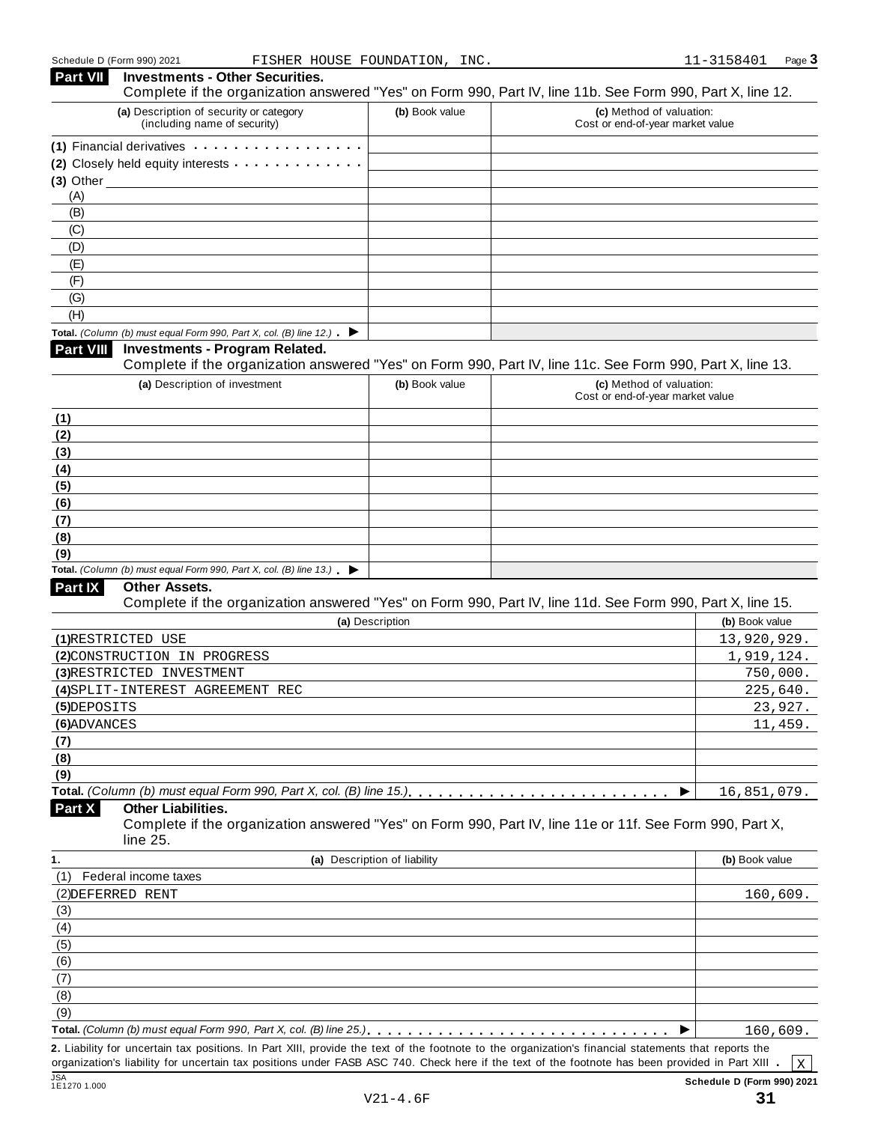| <b>Part VII</b> | <b>Investments - Other Securities.</b><br>Complete if the organization answered "Yes" on Form 990, Part IV, line 11b. See Form 990, Part X, line 12. |                              |                                  |                |
|-----------------|------------------------------------------------------------------------------------------------------------------------------------------------------|------------------------------|----------------------------------|----------------|
|                 | (a) Description of security or category                                                                                                              | (b) Book value               | (c) Method of valuation:         |                |
|                 | (including name of security)                                                                                                                         |                              | Cost or end-of-year market value |                |
|                 | (1) Financial derivatives                                                                                                                            |                              |                                  |                |
|                 | (2) Closely held equity interests                                                                                                                    |                              |                                  |                |
|                 | $(3)$ Other $\qquad \qquad$                                                                                                                          |                              |                                  |                |
| (A)             |                                                                                                                                                      |                              |                                  |                |
| (B)<br>(C)      |                                                                                                                                                      |                              |                                  |                |
| (D)             |                                                                                                                                                      |                              |                                  |                |
| (E)             |                                                                                                                                                      |                              |                                  |                |
| (F)             |                                                                                                                                                      |                              |                                  |                |
| (G)             |                                                                                                                                                      |                              |                                  |                |
| (H)             |                                                                                                                                                      |                              |                                  |                |
|                 | Total. (Column (b) must equal Form 990, Part X, col. (B) line 12.) $\blacktriangleright$                                                             |                              |                                  |                |
| Part VIII       | <b>Investments - Program Related.</b>                                                                                                                |                              |                                  |                |
|                 | Complete if the organization answered "Yes" on Form 990, Part IV, line 11c. See Form 990, Part X, line 13.                                           |                              |                                  |                |
|                 | (a) Description of investment                                                                                                                        | (b) Book value               | (c) Method of valuation:         |                |
|                 |                                                                                                                                                      |                              | Cost or end-of-year market value |                |
| (1)<br>(2)      |                                                                                                                                                      |                              |                                  |                |
| (3)             |                                                                                                                                                      |                              |                                  |                |
| (4)             |                                                                                                                                                      |                              |                                  |                |
| (5)             |                                                                                                                                                      |                              |                                  |                |
| (6)             |                                                                                                                                                      |                              |                                  |                |
| (7)             |                                                                                                                                                      |                              |                                  |                |
| (8)             |                                                                                                                                                      |                              |                                  |                |
| (9)             |                                                                                                                                                      |                              |                                  |                |
|                 | Total. (Column (b) must equal Form 990, Part X, col. (B) line $13$ .)                                                                                |                              |                                  |                |
| Part IX         | <b>Other Assets.</b>                                                                                                                                 |                              |                                  |                |
|                 | Complete if the organization answered "Yes" on Form 990, Part IV, line 11d. See Form 990, Part X, line 15.                                           |                              |                                  |                |
|                 |                                                                                                                                                      | (a) Description              |                                  | (b) Book value |
|                 | (1)RESTRICTED USE                                                                                                                                    |                              |                                  | 13,920,929.    |
|                 | (2) CONSTRUCTION IN PROGRESS                                                                                                                         |                              |                                  | 1,919,124.     |
|                 | (3) RESTRICTED INVESTMENT                                                                                                                            |                              |                                  | 750,000.       |
|                 | (4) SPLIT-INTEREST AGREEMENT REC                                                                                                                     |                              |                                  | 225,640.       |
| (5) DEPOSITS    |                                                                                                                                                      |                              |                                  | 23,927.        |
| (6) ADVANCES    |                                                                                                                                                      |                              |                                  | 11,459.        |
| (7)             |                                                                                                                                                      |                              |                                  |                |
| (8)             |                                                                                                                                                      |                              |                                  |                |
| (9)             |                                                                                                                                                      |                              |                                  |                |
|                 |                                                                                                                                                      |                              |                                  | 16,851,079.    |
| Part X          | Other Liabilities.                                                                                                                                   |                              |                                  |                |
|                 | Complete if the organization answered "Yes" on Form 990, Part IV, line 11e or 11f. See Form 990, Part X,<br>line 25.                                 |                              |                                  |                |
| 1.              |                                                                                                                                                      | (a) Description of liability |                                  | (b) Book value |
| (1)             | Federal income taxes                                                                                                                                 |                              |                                  |                |
|                 | (2) DEFERRED RENT                                                                                                                                    |                              |                                  | 160,609.       |
| (3)             |                                                                                                                                                      |                              |                                  |                |
| (4)             |                                                                                                                                                      |                              |                                  |                |
| (5)             |                                                                                                                                                      |                              |                                  |                |
| (6)             |                                                                                                                                                      |                              |                                  |                |
| (7)             |                                                                                                                                                      |                              |                                  |                |
| (8)             |                                                                                                                                                      |                              |                                  |                |
| (9)             |                                                                                                                                                      |                              |                                  |                |
|                 | Total. (Column (b) must equal Form 990, Part X, col. (B) line 25.) $\ldots$ , , , , , ,                                                              |                              |                                  | 160,609.       |
|                 | 2. Liability for uncertain tax positions. In Part XIII, provide the text of the footnote to the organization's financial statements that reports the |                              |                                  |                |

organization's liability for uncertain tax positions under FASB ASC 740. Check here if the text of the footnote has been provided in Part XIII

 $\mathbf{x}$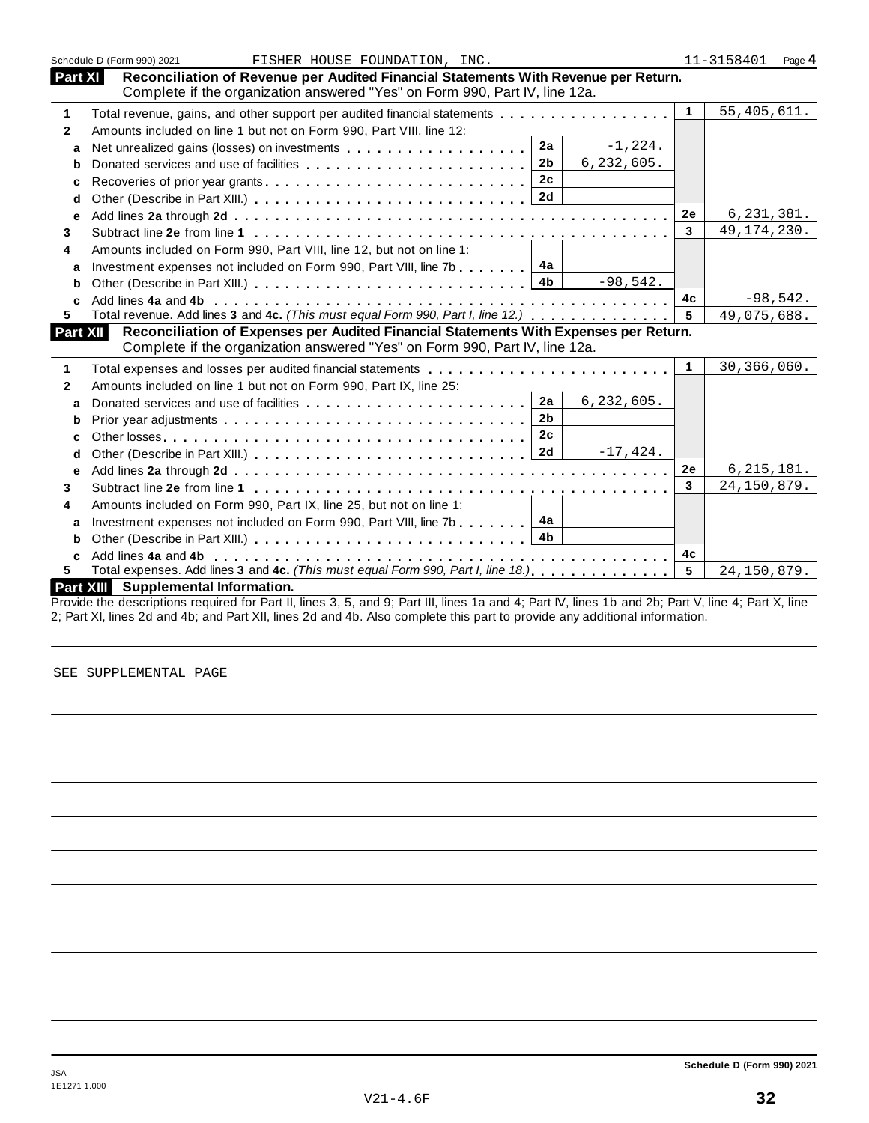| Schedule D (Form 990) 2021 | FISHER HOUSE FOUNDATION, INC.                                                                                                                                        |                      | 11-3158401<br>Page 4 |
|----------------------------|----------------------------------------------------------------------------------------------------------------------------------------------------------------------|----------------------|----------------------|
| Part XI                    | Reconciliation of Revenue per Audited Financial Statements With Revenue per Return.<br>Complete if the organization answered "Yes" on Form 990, Part IV, line 12a.   |                      |                      |
| 1                          | Total revenue, gains, and other support per audited financial statements                                                                                             | $\blacktriangleleft$ | 55,405,611.          |
| $\mathbf{2}$               | Amounts included on line 1 but not on Form 990, Part VIII, line 12:                                                                                                  |                      |                      |
| a                          | 2a<br>$-1, 224.$                                                                                                                                                     |                      |                      |
| b                          | 6,232,605.<br>2 <sub>b</sub>                                                                                                                                         |                      |                      |
| c                          |                                                                                                                                                                      |                      |                      |
| d                          |                                                                                                                                                                      |                      |                      |
| е                          |                                                                                                                                                                      | <b>2e</b>            | 6, 231, 381.         |
| 3                          |                                                                                                                                                                      | 3                    | 49, 174, 230.        |
| 4                          | Amounts included on Form 990, Part VIII, line 12, but not on line 1:                                                                                                 |                      |                      |
| a                          | Investment expenses not included on Form 990, Part VIII, line 7b 4a                                                                                                  |                      |                      |
| b                          | $-98,542.$                                                                                                                                                           |                      |                      |
| C                          |                                                                                                                                                                      | 4с                   | $-98,542.$           |
| 5                          | Total revenue. Add lines 3 and 4c. (This must equal Form 990, Part I, line 12.)                                                                                      |                      | 49,075,688.          |
| Part XII                   | Reconciliation of Expenses per Audited Financial Statements With Expenses per Return.<br>Complete if the organization answered "Yes" on Form 990, Part IV, line 12a. |                      |                      |
| $\mathbf{1}$               | Total expenses and losses per audited financial statements                                                                                                           | $\mathbf{1}$         | 30,366,060.          |
| $\mathbf{2}$               | Amounts included on line 1 but not on Form 990, Part IX, line 25:                                                                                                    |                      |                      |
| a                          | 6, 232, 605.<br>2a                                                                                                                                                   |                      |                      |
| b                          | 2 <sub>b</sub>                                                                                                                                                       |                      |                      |
| c                          | 2c                                                                                                                                                                   |                      |                      |
| d                          | $-17,424.$                                                                                                                                                           |                      |                      |
| е                          |                                                                                                                                                                      | 2e                   | 6, 215, 181.         |
| 3                          |                                                                                                                                                                      | 3                    | 24, 150, 879.        |
| 4                          | Amounts included on Form 990, Part IX, line 25, but not on line 1:                                                                                                   |                      |                      |
| a                          | 4a<br>Investment expenses not included on Form 990, Part VIII, line 7b                                                                                               |                      |                      |
| b                          | 4 <b>b</b><br>Other (Describe in Part XIII.) <b>Container and School Containers</b> Dental Antenna Luis and Dental Antenna Luis Conta                                |                      |                      |
| C                          |                                                                                                                                                                      | 4c                   |                      |
| 5.                         | Total expenses. Add lines 3 and 4c. (This must equal Form 990, Part I, line 18.).                                                                                    | 5                    | 24,150,879.          |
|                            | Part XIII Supplemental Information.                                                                                                                                  |                      |                      |

Provide the descriptions required for Part II, lines 3, 5, and 9; Part III, lines 1a and 4; Part IV, lines 1b and 2b; Part V, line 4; Part X, line 2; Part XI, lines 2d and 4b; and Part XII, lines 2d and 4b. Also complete this part to provide any additional information.

SEE SUPPLEMENTAL PAGE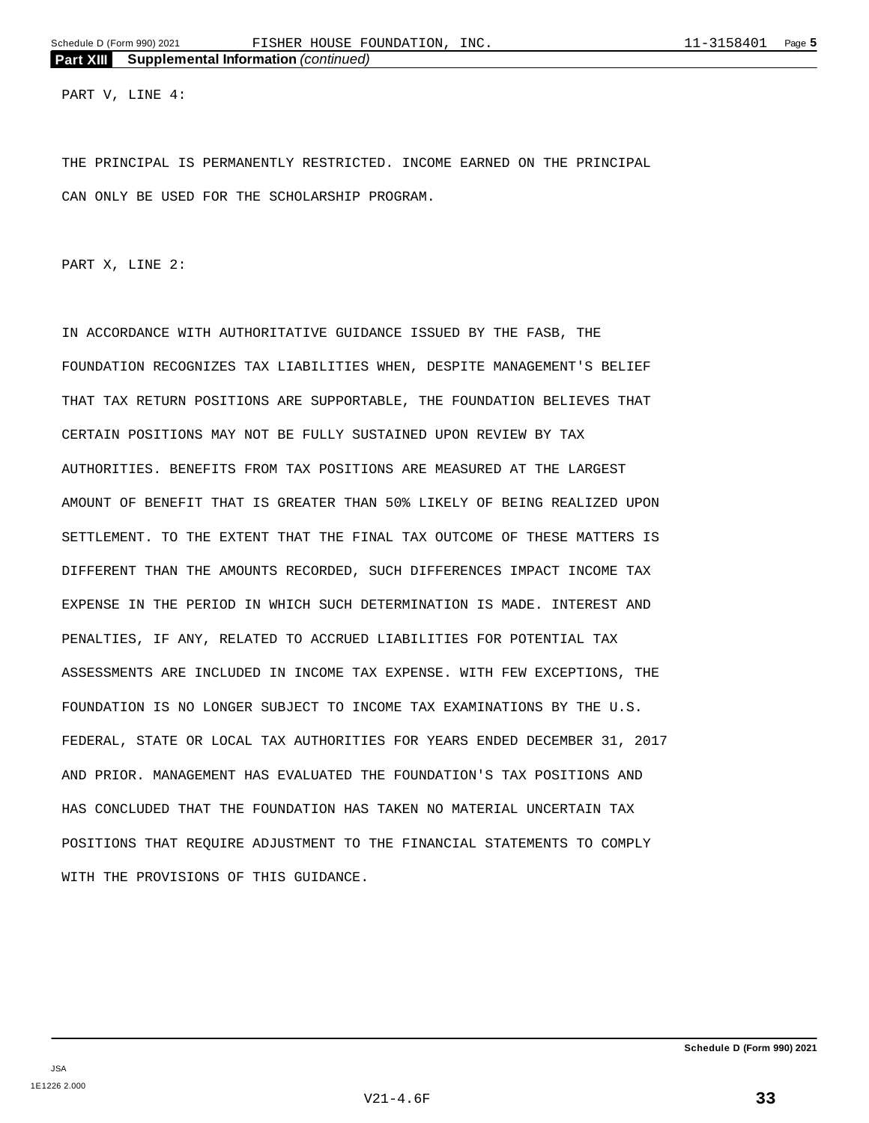PART V, LINE 4:

THE PRINCIPAL IS PERMANENTLY RESTRICTED. INCOME EARNED ON THE PRINCIPAL CAN ONLY BE USED FOR THE SCHOLARSHIP PROGRAM.

PART X, LINE 2:

IN ACCORDANCE WITH AUTHORITATIVE GUIDANCE ISSUED BY THE FASB, THE FOUNDATION RECOGNIZES TAX LIABILITIES WHEN, DESPITE MANAGEMENT'S BELIEF THAT TAX RETURN POSITIONS ARE SUPPORTABLE, THE FOUNDATION BELIEVES THAT CERTAIN POSITIONS MAY NOT BE FULLY SUSTAINED UPON REVIEW BY TAX AUTHORITIES. BENEFITS FROM TAX POSITIONS ARE MEASURED AT THE LARGEST AMOUNT OF BENEFIT THAT IS GREATER THAN 50% LIKELY OF BEING REALIZED UPON SETTLEMENT. TO THE EXTENT THAT THE FINAL TAX OUTCOME OF THESE MATTERS IS DIFFERENT THAN THE AMOUNTS RECORDED, SUCH DIFFERENCES IMPACT INCOME TAX EXPENSE IN THE PERIOD IN WHICH SUCH DETERMINATION IS MADE. INTEREST AND PENALTIES, IF ANY, RELATED TO ACCRUED LIABILITIES FOR POTENTIAL TAX ASSESSMENTS ARE INCLUDED IN INCOME TAX EXPENSE. WITH FEW EXCEPTIONS, THE FOUNDATION IS NO LONGER SUBJECT TO INCOME TAX EXAMINATIONS BY THE U.S. FEDERAL, STATE OR LOCAL TAX AUTHORITIES FOR YEARS ENDED DECEMBER 31, 2017 AND PRIOR. MANAGEMENT HAS EVALUATED THE FOUNDATION'S TAX POSITIONS AND HAS CONCLUDED THAT THE FOUNDATION HAS TAKEN NO MATERIAL UNCERTAIN TAX POSITIONS THAT REQUIRE ADJUSTMENT TO THE FINANCIAL STATEMENTS TO COMPLY WITH THE PROVISIONS OF THIS GUIDANCE.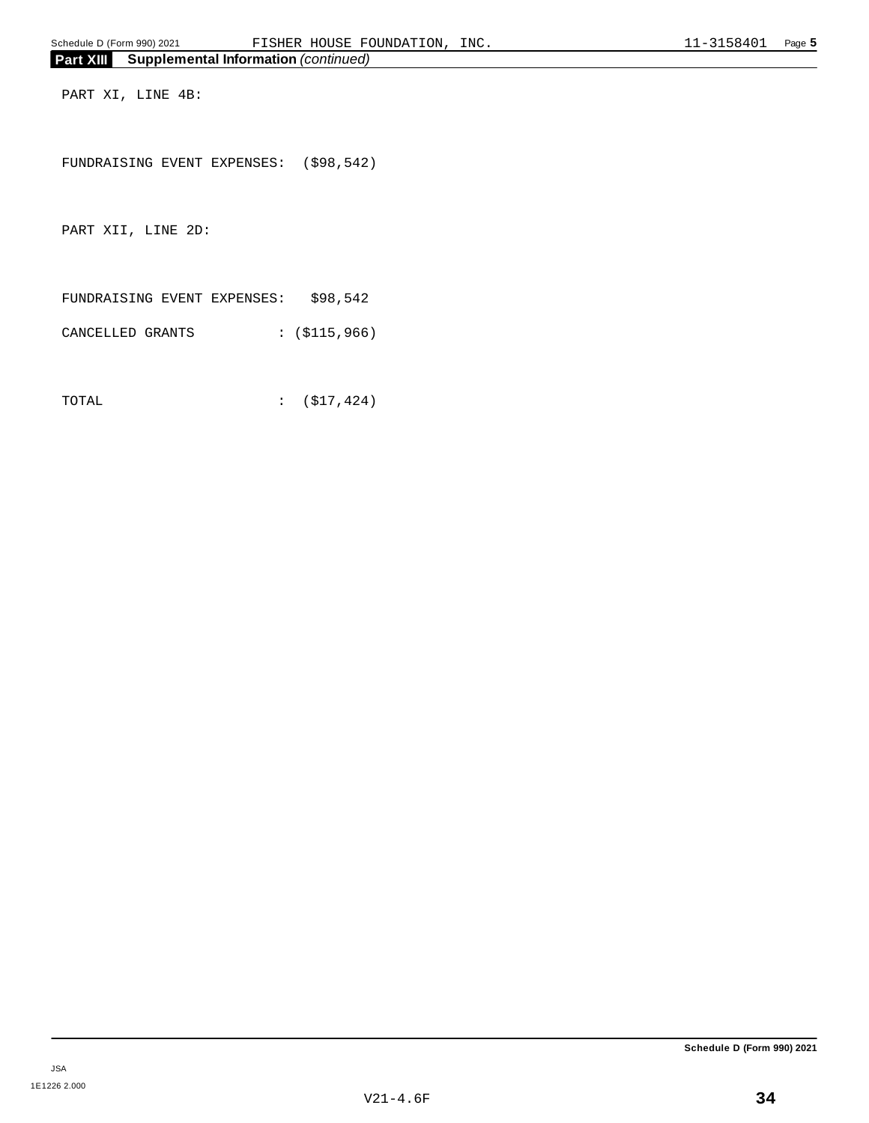| Schedule D (Form 990) 2021 |                          | HOUSE       | FOUNDATION | INC. | 5940 | Page $\sim$ |
|----------------------------|--------------------------|-------------|------------|------|------|-------------|
| <b>Part XIII</b>           | Supplemental Information | (continued) |            |      |      |             |

PART XI, LINE 4B:

FUNDRAISING EVENT EXPENSES: (\$98,542)

PART XII, LINE 2D:

FUNDRAISING EVENT EXPENSES: \$98,542

CANCELLED GRANTS : (\$115,966)

| TOTAL |  | (\$17,424) |
|-------|--|------------|
|-------|--|------------|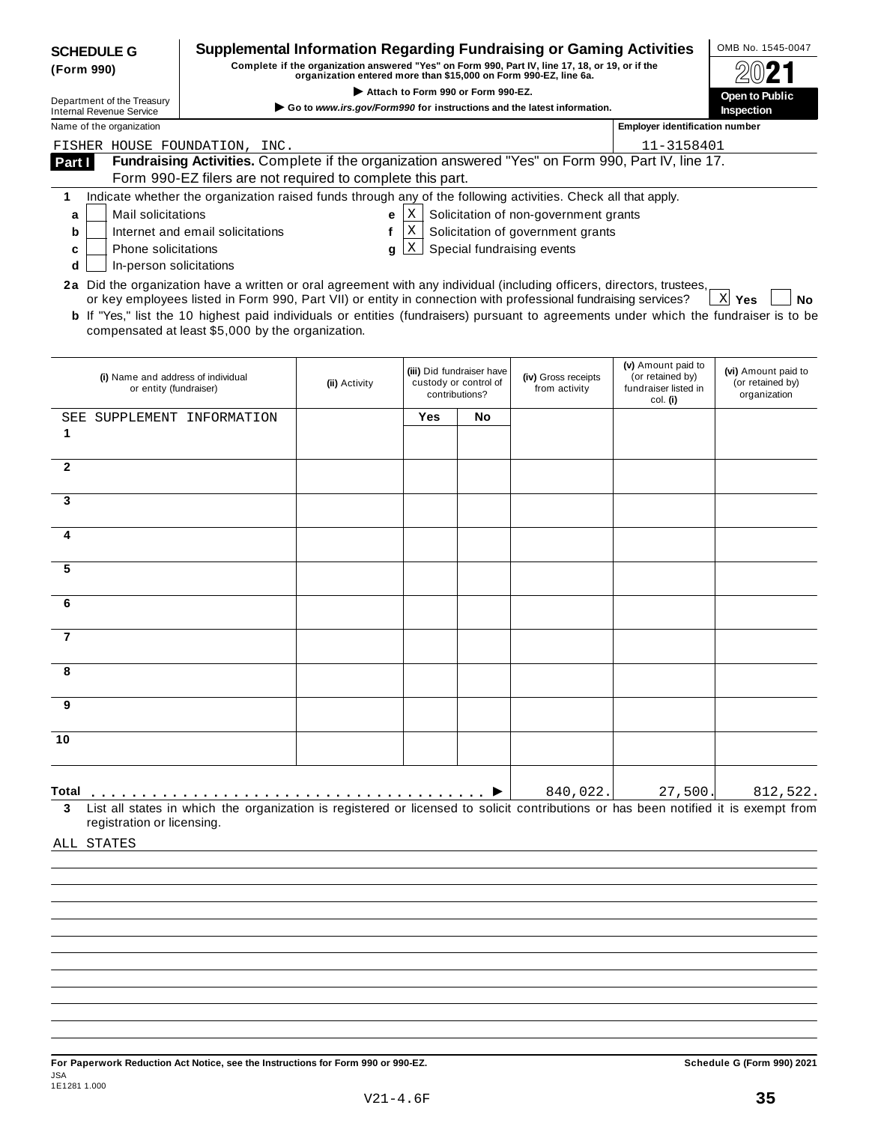| <b>SCHEDULE G</b>                                                                                                                          |                                                                                                                                                                                                                                                                                                                                                                                                                                               | <b>Supplemental Information Regarding Fundraising or Gaming Activities</b><br>Complete if the organization answered "Yes" on Form 990, Part IV, line 17, 18, or 19, or if the |                     |                                                                      |                                       |                                                                            | OMB No. 1545-0047                                       |
|--------------------------------------------------------------------------------------------------------------------------------------------|-----------------------------------------------------------------------------------------------------------------------------------------------------------------------------------------------------------------------------------------------------------------------------------------------------------------------------------------------------------------------------------------------------------------------------------------------|-------------------------------------------------------------------------------------------------------------------------------------------------------------------------------|---------------------|----------------------------------------------------------------------|---------------------------------------|----------------------------------------------------------------------------|---------------------------------------------------------|
| (Form 990)                                                                                                                                 |                                                                                                                                                                                                                                                                                                                                                                                                                                               |                                                                                                                                                                               |                     |                                                                      |                                       |                                                                            |                                                         |
| Attach to Form 990 or Form 990-EZ.<br>Department of the Treasury<br>Go to www.irs.gov/Form990 for instructions and the latest information. |                                                                                                                                                                                                                                                                                                                                                                                                                                               |                                                                                                                                                                               |                     |                                                                      |                                       |                                                                            | Open to Public                                          |
| <b>Internal Revenue Service</b><br>Name of the organization                                                                                |                                                                                                                                                                                                                                                                                                                                                                                                                                               |                                                                                                                                                                               |                     |                                                                      |                                       | <b>Employer identification number</b>                                      | Inspection                                              |
|                                                                                                                                            | FISHER HOUSE FOUNDATION, INC.                                                                                                                                                                                                                                                                                                                                                                                                                 |                                                                                                                                                                               |                     |                                                                      |                                       | 11-3158401                                                                 |                                                         |
| Part I                                                                                                                                     | Fundraising Activities. Complete if the organization answered "Yes" on Form 990, Part IV, line 17.                                                                                                                                                                                                                                                                                                                                            |                                                                                                                                                                               |                     |                                                                      |                                       |                                                                            |                                                         |
|                                                                                                                                            | Form 990-EZ filers are not required to complete this part.                                                                                                                                                                                                                                                                                                                                                                                    |                                                                                                                                                                               |                     |                                                                      |                                       |                                                                            |                                                         |
| 1                                                                                                                                          | Indicate whether the organization raised funds through any of the following activities. Check all that apply.                                                                                                                                                                                                                                                                                                                                 |                                                                                                                                                                               |                     |                                                                      |                                       |                                                                            |                                                         |
| Mail solicitations<br>a                                                                                                                    |                                                                                                                                                                                                                                                                                                                                                                                                                                               | e                                                                                                                                                                             | $\mathbf{X}$        |                                                                      | Solicitation of non-government grants |                                                                            |                                                         |
| b                                                                                                                                          | Internet and email solicitations                                                                                                                                                                                                                                                                                                                                                                                                              | f                                                                                                                                                                             | $\mathbf{X}$<br>  X |                                                                      | Solicitation of government grants     |                                                                            |                                                         |
| c<br>d                                                                                                                                     | Phone solicitations<br>In-person solicitations                                                                                                                                                                                                                                                                                                                                                                                                | q                                                                                                                                                                             |                     |                                                                      | Special fundraising events            |                                                                            |                                                         |
|                                                                                                                                            | 2a Did the organization have a written or oral agreement with any individual (including officers, directors, trustees,<br>or key employees listed in Form 990, Part VII) or entity in connection with professional fundraising services?<br><b>b</b> If "Yes," list the 10 highest paid individuals or entities (fundraisers) pursuant to agreements under which the fundraiser is to be<br>compensated at least \$5,000 by the organization. |                                                                                                                                                                               |                     |                                                                      |                                       |                                                                            | X Yes<br>No                                             |
|                                                                                                                                            | (i) Name and address of individual<br>or entity (fundraiser)                                                                                                                                                                                                                                                                                                                                                                                  | (ii) Activity                                                                                                                                                                 |                     | (iii) Did fundraiser have<br>custody or control of<br>contributions? | (iv) Gross receipts<br>from activity  | (v) Amount paid to<br>(or retained by)<br>fundraiser listed in<br>col. (i) | (vi) Amount paid to<br>(or retained by)<br>organization |
| 1                                                                                                                                          | SEE SUPPLEMENT INFORMATION                                                                                                                                                                                                                                                                                                                                                                                                                    |                                                                                                                                                                               | Yes                 | No                                                                   |                                       |                                                                            |                                                         |
| $\mathbf{2}$                                                                                                                               |                                                                                                                                                                                                                                                                                                                                                                                                                                               |                                                                                                                                                                               |                     |                                                                      |                                       |                                                                            |                                                         |
| 3                                                                                                                                          |                                                                                                                                                                                                                                                                                                                                                                                                                                               |                                                                                                                                                                               |                     |                                                                      |                                       |                                                                            |                                                         |
|                                                                                                                                            |                                                                                                                                                                                                                                                                                                                                                                                                                                               |                                                                                                                                                                               |                     |                                                                      |                                       |                                                                            |                                                         |
| 5                                                                                                                                          |                                                                                                                                                                                                                                                                                                                                                                                                                                               |                                                                                                                                                                               |                     |                                                                      |                                       |                                                                            |                                                         |
| 6                                                                                                                                          |                                                                                                                                                                                                                                                                                                                                                                                                                                               |                                                                                                                                                                               |                     |                                                                      |                                       |                                                                            |                                                         |
| 7                                                                                                                                          |                                                                                                                                                                                                                                                                                                                                                                                                                                               |                                                                                                                                                                               |                     |                                                                      |                                       |                                                                            |                                                         |
| 8                                                                                                                                          |                                                                                                                                                                                                                                                                                                                                                                                                                                               |                                                                                                                                                                               |                     |                                                                      |                                       |                                                                            |                                                         |
| 9                                                                                                                                          |                                                                                                                                                                                                                                                                                                                                                                                                                                               |                                                                                                                                                                               |                     |                                                                      |                                       |                                                                            |                                                         |
| 10                                                                                                                                         |                                                                                                                                                                                                                                                                                                                                                                                                                                               |                                                                                                                                                                               |                     |                                                                      |                                       |                                                                            |                                                         |
| Total                                                                                                                                      |                                                                                                                                                                                                                                                                                                                                                                                                                                               |                                                                                                                                                                               |                     |                                                                      | 840,022.                              | 27,500.                                                                    | 812,522.                                                |
| 3 <sub>1</sub><br>registration or licensing.                                                                                               | List all states in which the organization is registered or licensed to solicit contributions or has been notified it is exempt from                                                                                                                                                                                                                                                                                                           |                                                                                                                                                                               |                     |                                                                      |                                       |                                                                            |                                                         |
| ALL STATES                                                                                                                                 |                                                                                                                                                                                                                                                                                                                                                                                                                                               |                                                                                                                                                                               |                     |                                                                      |                                       |                                                                            |                                                         |
|                                                                                                                                            |                                                                                                                                                                                                                                                                                                                                                                                                                                               |                                                                                                                                                                               |                     |                                                                      |                                       |                                                                            |                                                         |
|                                                                                                                                            |                                                                                                                                                                                                                                                                                                                                                                                                                                               |                                                                                                                                                                               |                     |                                                                      |                                       |                                                                            |                                                         |
|                                                                                                                                            |                                                                                                                                                                                                                                                                                                                                                                                                                                               |                                                                                                                                                                               |                     |                                                                      |                                       |                                                                            |                                                         |
|                                                                                                                                            |                                                                                                                                                                                                                                                                                                                                                                                                                                               |                                                                                                                                                                               |                     |                                                                      |                                       |                                                                            |                                                         |
|                                                                                                                                            |                                                                                                                                                                                                                                                                                                                                                                                                                                               |                                                                                                                                                                               |                     |                                                                      |                                       |                                                                            |                                                         |
|                                                                                                                                            |                                                                                                                                                                                                                                                                                                                                                                                                                                               |                                                                                                                                                                               |                     |                                                                      |                                       |                                                                            |                                                         |
|                                                                                                                                            |                                                                                                                                                                                                                                                                                                                                                                                                                                               |                                                                                                                                                                               |                     |                                                                      |                                       |                                                                            |                                                         |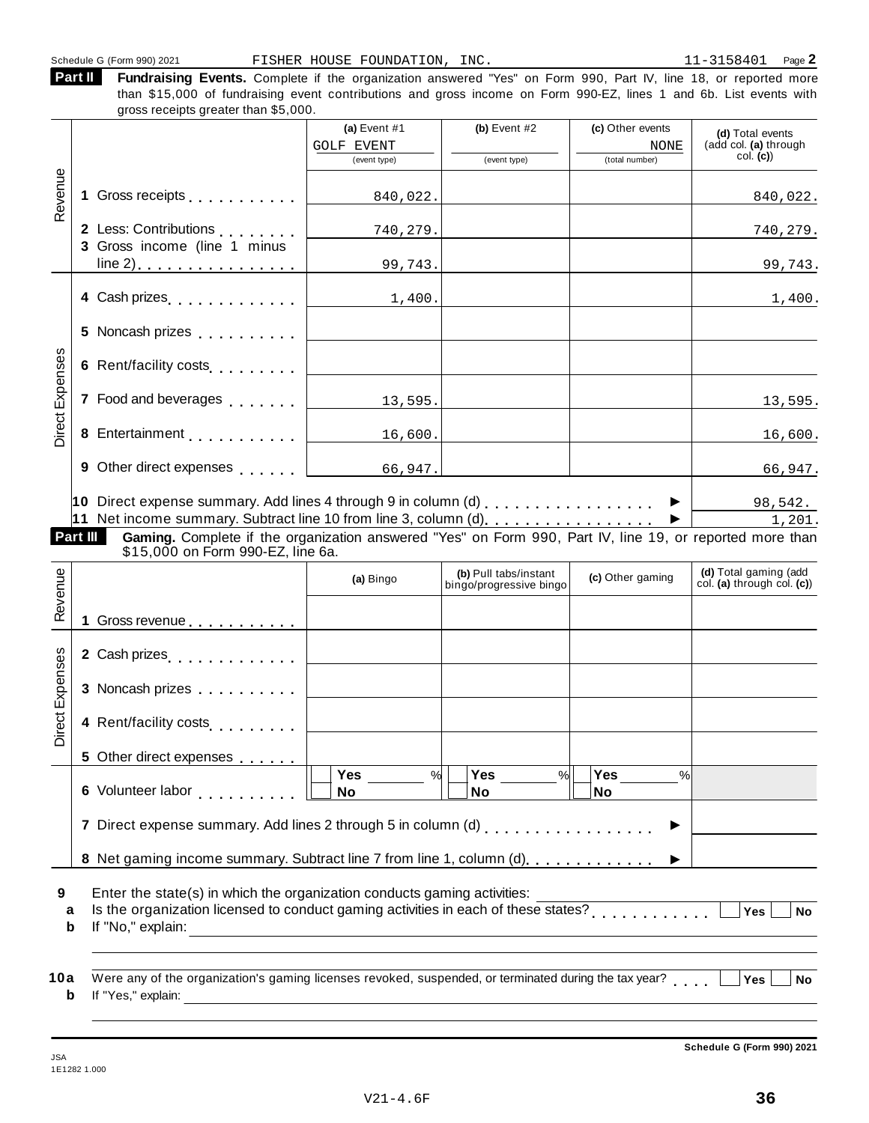| Schedule G (Form 990) 2021 | FOUNDATION<br>HOUSE<br>-------<br>TPHER | INC. | 3158401 | Page $\blacktriangle$ |
|----------------------------|-----------------------------------------|------|---------|-----------------------|

**Fundraising Events.** Complete if the organization answered "Yes" on Form 990, Part IV, line 18, or reported more than \$15,000 of fundraising event contributions and gross income on Form 990-EZ, lines 1 and 6b. List events with gross receipts greater than \$5,000. **Part II**

|                 |                                                                                               |                                                                                                                                               | (a) Event $#1$                                                                                                   | $(b)$ Event #2                                   | (c) Other events | (d) Total events                                     |
|-----------------|-----------------------------------------------------------------------------------------------|-----------------------------------------------------------------------------------------------------------------------------------------------|------------------------------------------------------------------------------------------------------------------|--------------------------------------------------|------------------|------------------------------------------------------|
|                 |                                                                                               |                                                                                                                                               | <b>GOLF EVENT</b>                                                                                                |                                                  | NONE             | (add col. (a) through                                |
|                 |                                                                                               |                                                                                                                                               | (event type)                                                                                                     | (event type)                                     | (total number)   | col. (c)                                             |
| Revenue         | 1.                                                                                            | Gross receipts <b>contained contained contained contained contained contained</b>                                                             | 840,022.                                                                                                         |                                                  |                  | 840,022.                                             |
|                 |                                                                                               | 2 Less: Contributions<br>3 Gross income (line 1 minus                                                                                         | 740,279.                                                                                                         |                                                  |                  | 740,279.                                             |
|                 |                                                                                               | line 2).                                                                                                                                      | 99,743.                                                                                                          |                                                  |                  | 99,743.                                              |
|                 |                                                                                               | 4 Cash prizes                                                                                                                                 | 1,400.                                                                                                           |                                                  |                  | 1,400.                                               |
|                 |                                                                                               | 5 Noncash prizes                                                                                                                              |                                                                                                                  |                                                  |                  |                                                      |
| Direct Expenses |                                                                                               | 6 Rent/facility costs                                                                                                                         |                                                                                                                  |                                                  |                  |                                                      |
|                 |                                                                                               | 7 Food and beverages                                                                                                                          | 13,595.                                                                                                          |                                                  |                  | 13,595.                                              |
|                 |                                                                                               | 8 Entertainment [1994]                                                                                                                        | 16,600.                                                                                                          |                                                  |                  | 16,600.                                              |
|                 |                                                                                               | 9 Other direct expenses                                                                                                                       | 66,947.                                                                                                          |                                                  |                  | 66,947.                                              |
|                 |                                                                                               | 10 Direct expense summary. Add lines 4 through 9 in column (d) $\ldots \ldots \ldots \ldots$                                                  |                                                                                                                  |                                                  |                  | 98,542.                                              |
|                 |                                                                                               | 11 Net income summary. Subtract line 10 from line 3, column (d).                                                                              |                                                                                                                  |                                                  |                  | 1,201.                                               |
| Part III        |                                                                                               | Gaming. Complete if the organization answered "Yes" on Form 990, Part IV, line 19, or reported more than<br>\$15,000 on Form 990-EZ, line 6a. |                                                                                                                  |                                                  |                  |                                                      |
|                 |                                                                                               |                                                                                                                                               | (a) Bingo                                                                                                        | (b) Pull tabs/instant<br>bingo/progressive bingo | (c) Other gaming | (d) Total gaming (add<br>col. (a) through col. $(c)$ |
| Revenue         |                                                                                               |                                                                                                                                               |                                                                                                                  |                                                  |                  |                                                      |
|                 |                                                                                               | 1 Gross revenue                                                                                                                               |                                                                                                                  |                                                  |                  |                                                      |
|                 |                                                                                               | 2 Cash prizes                                                                                                                                 |                                                                                                                  |                                                  |                  |                                                      |
| Direct Expenses |                                                                                               | 3 Noncash prizes                                                                                                                              |                                                                                                                  |                                                  |                  |                                                      |
|                 |                                                                                               | 4 Rent/facility costs                                                                                                                         |                                                                                                                  |                                                  |                  |                                                      |
|                 |                                                                                               | 5 Other direct expenses                                                                                                                       |                                                                                                                  |                                                  |                  |                                                      |
|                 |                                                                                               | 6 Volunteer labor                                                                                                                             | <b>Yes</b><br>%<br>No                                                                                            | <b>Yes</b><br>%<br>No                            | Yes<br>%<br>No   |                                                      |
|                 |                                                                                               | 7 Direct expense summary. Add lines 2 through 5 in column (d)                                                                                 |                                                                                                                  |                                                  |                  |                                                      |
|                 |                                                                                               | 8 Net gaming income summary. Subtract line 7 from line 1, column (d)                                                                          |                                                                                                                  |                                                  |                  |                                                      |
| 9<br>a<br>b     | Enter the state(s) in which the organization conducts gaming activities:<br>If "No," explain: | Is the organization licensed to conduct gaming activities in each of these states?<br>Yes<br><b>No</b>                                        |                                                                                                                  |                                                  |                  |                                                      |
| 10a<br>b        |                                                                                               | Were any of the organization's gaming licenses revoked, suspended, or terminated during the tax year?<br>If "Yes," explain:                   | and the control of the control of the control of the control of the control of the control of the control of the |                                                  |                  | Yes<br><b>No</b>                                     |

**Schedule G (Form 990) 2021**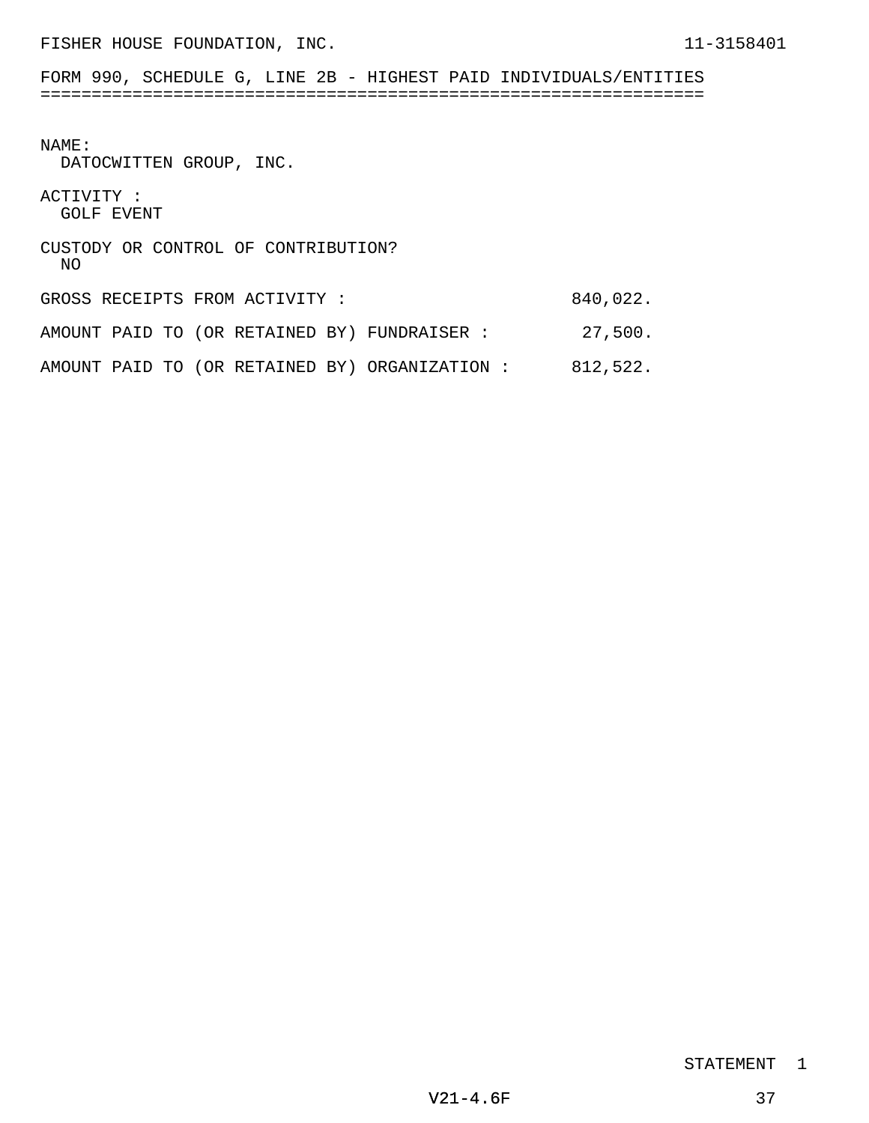FORM 990, SCHEDULE G, LINE 2B - HIGHEST PAID INDIVIDUALS/ENTITIES =================================================================

NAME: DATOCWITTEN GROUP, INC. ACTIVITY : GOLF EVENT CUSTODY OR CONTROL OF CONTRIBUTION? NO GROSS RECEIPTS FROM ACTIVITY :  $840,022$ . AMOUNT PAID TO (OR RETAINED BY) FUNDRAISER : 27,500. AMOUNT PAID TO (OR RETAINED BY) ORGANIZATION : 812,522.

### STATEMENT 1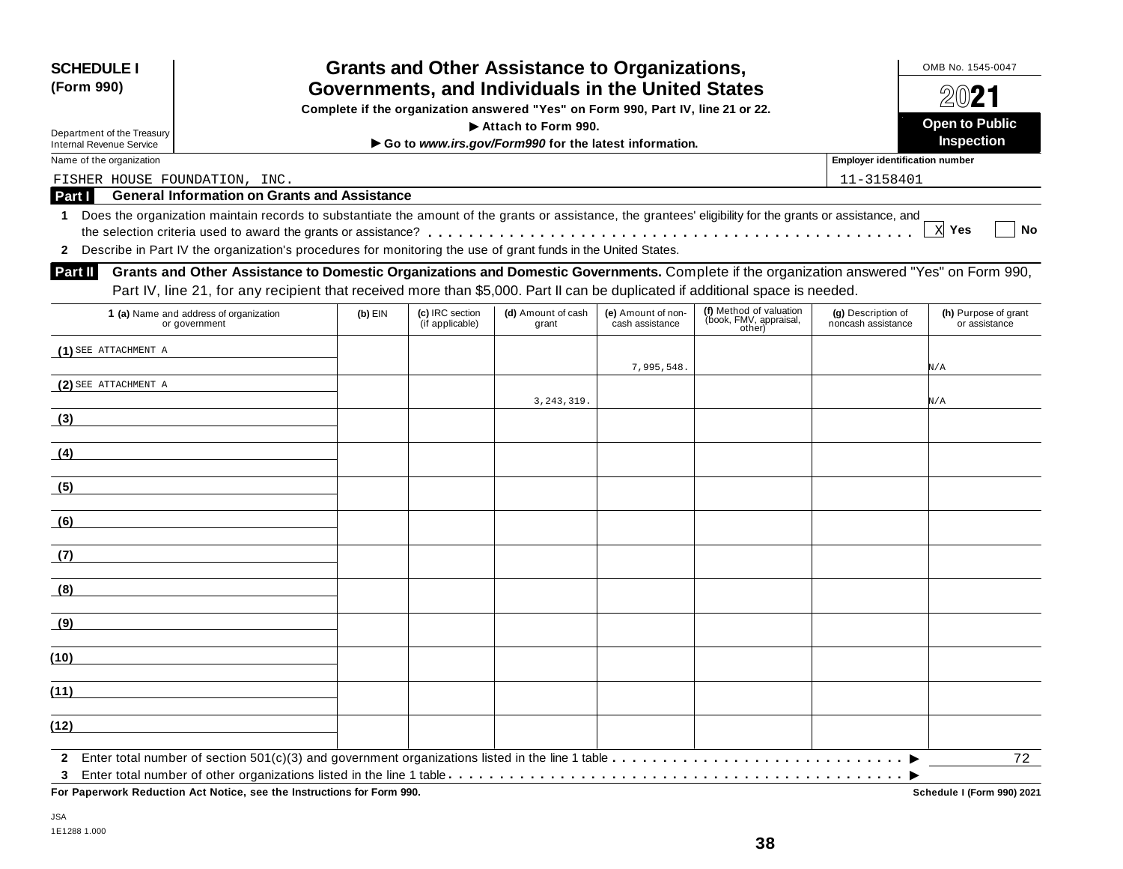| <b>SCHEDULE I</b><br>(Form 990)                               |                                                                                                                                                            |           |                                    | <b>Grants and Other Assistance to Organizations,</b><br>Governments, and Individuals in the United States |                                       |                                                             |                                          | OMB No. 1545-0047                     |
|---------------------------------------------------------------|------------------------------------------------------------------------------------------------------------------------------------------------------------|-----------|------------------------------------|-----------------------------------------------------------------------------------------------------------|---------------------------------------|-------------------------------------------------------------|------------------------------------------|---------------------------------------|
|                                                               |                                                                                                                                                            |           |                                    | Complete if the organization answered "Yes" on Form 990, Part IV, line 21 or 22.                          |                                       |                                                             |                                          | 2021                                  |
|                                                               |                                                                                                                                                            |           |                                    | Attach to Form 990.                                                                                       |                                       |                                                             |                                          | <b>Open to Public</b>                 |
| Department of the Treasury<br><b>Internal Revenue Service</b> |                                                                                                                                                            |           |                                    | Go to www.irs.gov/Form990 for the latest information.                                                     |                                       |                                                             |                                          | <b>Inspection</b>                     |
| Name of the organization                                      |                                                                                                                                                            |           |                                    |                                                                                                           |                                       |                                                             | <b>Employer identification number</b>    |                                       |
| FISHER HOUSE FOUNDATION, INC.                                 |                                                                                                                                                            |           |                                    |                                                                                                           |                                       |                                                             | 11-3158401                               |                                       |
| Part I                                                        | <b>General Information on Grants and Assistance</b>                                                                                                        |           |                                    |                                                                                                           |                                       |                                                             |                                          |                                       |
| 1                                                             | Does the organization maintain records to substantiate the amount of the grants or assistance, the grantees' eligibility for the grants or assistance, and |           |                                    |                                                                                                           |                                       |                                                             |                                          |                                       |
|                                                               |                                                                                                                                                            |           |                                    |                                                                                                           |                                       |                                                             |                                          | $X$ Yes<br>No                         |
|                                                               | 2 Describe in Part IV the organization's procedures for monitoring the use of grant funds in the United States.                                            |           |                                    |                                                                                                           |                                       |                                                             |                                          |                                       |
| <b>Part II</b>                                                | Grants and Other Assistance to Domestic Organizations and Domestic Governments. Complete if the organization answered "Yes" on Form 990,                   |           |                                    |                                                                                                           |                                       |                                                             |                                          |                                       |
|                                                               | Part IV, line 21, for any recipient that received more than \$5,000. Part II can be duplicated if additional space is needed.                              |           |                                    |                                                                                                           |                                       |                                                             |                                          |                                       |
|                                                               | 1 (a) Name and address of organization<br>or government                                                                                                    | $(b)$ EIN | (c) IRC section<br>(if applicable) | (d) Amount of cash<br>grant                                                                               | (e) Amount of non-<br>cash assistance | (f) Method of valuation<br>(book, FMV, appraisal,<br>other) | (g) Description of<br>noncash assistance | (h) Purpose of grant<br>or assistance |
| (1) SEE ATTACHMENT A                                          |                                                                                                                                                            |           |                                    |                                                                                                           | 7,995,548.                            |                                                             |                                          | N/A                                   |
| (2) SEE ATTACHMENT A                                          |                                                                                                                                                            |           |                                    |                                                                                                           |                                       |                                                             |                                          |                                       |
|                                                               |                                                                                                                                                            |           |                                    | 3, 243, 319.                                                                                              |                                       |                                                             |                                          | N/A                                   |
| (3)                                                           |                                                                                                                                                            |           |                                    |                                                                                                           |                                       |                                                             |                                          |                                       |
| (4)                                                           |                                                                                                                                                            |           |                                    |                                                                                                           |                                       |                                                             |                                          |                                       |
| (5)                                                           |                                                                                                                                                            |           |                                    |                                                                                                           |                                       |                                                             |                                          |                                       |
| (6)                                                           |                                                                                                                                                            |           |                                    |                                                                                                           |                                       |                                                             |                                          |                                       |
| (7)                                                           |                                                                                                                                                            |           |                                    |                                                                                                           |                                       |                                                             |                                          |                                       |
| (8)                                                           |                                                                                                                                                            |           |                                    |                                                                                                           |                                       |                                                             |                                          |                                       |
| (9)                                                           |                                                                                                                                                            |           |                                    |                                                                                                           |                                       |                                                             |                                          |                                       |
| (10)                                                          |                                                                                                                                                            |           |                                    |                                                                                                           |                                       |                                                             |                                          |                                       |
|                                                               |                                                                                                                                                            |           |                                    |                                                                                                           |                                       |                                                             |                                          |                                       |
| (11)                                                          |                                                                                                                                                            |           |                                    |                                                                                                           |                                       |                                                             |                                          |                                       |
| (12)                                                          |                                                                                                                                                            |           |                                    |                                                                                                           |                                       |                                                             |                                          |                                       |
| $\mathbf{2}$                                                  |                                                                                                                                                            |           |                                    |                                                                                                           |                                       |                                                             |                                          | 72                                    |

Schedule I (Form 990) 2021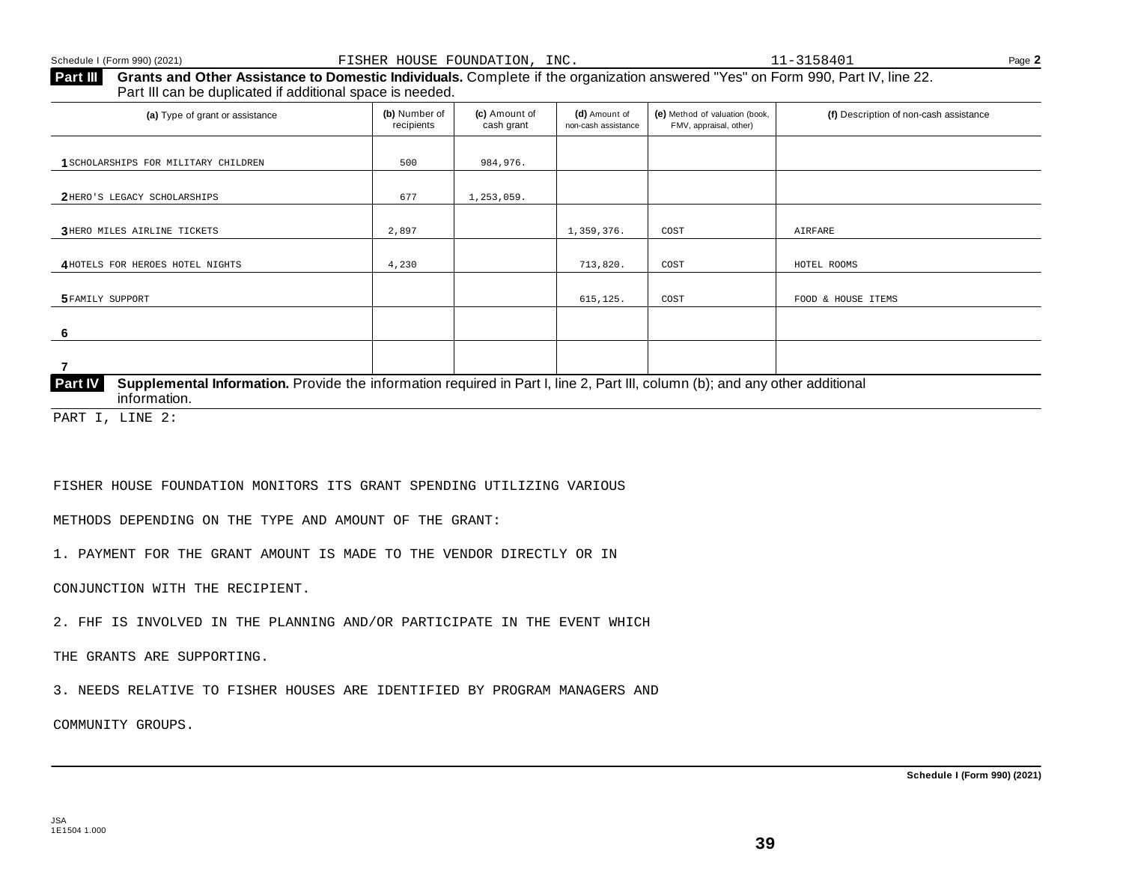#### Schedule I (Form 990) (2021) Page **2** FISHER HOUSE FOUNDATION, INC. 11-3158401

**Grants and Other Assistance to Domestic Individuals.** Complete ifthe organization answered "Yes" on Form 990, Part IV, line 22. **Part III** Grants and Other Assistance to Domestic Individuals<br>Part III can be duplicated if additional space is needed.

| (a) Type of grant or assistance                                                                                                                    | (b) Number of<br>recipients | (c) Amount of<br>cash grant | (d) Amount of<br>non-cash assistance | (e) Method of valuation (book,<br>FMV, appraisal, other) | (f) Description of non-cash assistance |  |  |
|----------------------------------------------------------------------------------------------------------------------------------------------------|-----------------------------|-----------------------------|--------------------------------------|----------------------------------------------------------|----------------------------------------|--|--|
|                                                                                                                                                    |                             |                             |                                      |                                                          |                                        |  |  |
| 1 SCHOLARSHIPS FOR MILITARY CHILDREN                                                                                                               | 500                         | 984,976.                    |                                      |                                                          |                                        |  |  |
|                                                                                                                                                    |                             |                             |                                      |                                                          |                                        |  |  |
| 2 HERO'S LEGACY SCHOLARSHIPS                                                                                                                       | 677                         | 1,253,059.                  |                                      |                                                          |                                        |  |  |
|                                                                                                                                                    |                             |                             |                                      |                                                          |                                        |  |  |
| <b>3</b> HERO MILES AIRLINE TICKETS                                                                                                                | 2,897                       |                             | 1,359,376.                           | COST                                                     | AIRFARE                                |  |  |
|                                                                                                                                                    |                             |                             |                                      |                                                          |                                        |  |  |
| 4 HOTELS FOR HEROES HOTEL NIGHTS                                                                                                                   | 4,230                       |                             | 713,820.                             | COST                                                     | HOTEL ROOMS                            |  |  |
|                                                                                                                                                    |                             |                             |                                      |                                                          |                                        |  |  |
| <b>5</b> FAMILY SUPPORT                                                                                                                            |                             |                             | 615,125.                             | COST                                                     | FOOD & HOUSE ITEMS                     |  |  |
|                                                                                                                                                    |                             |                             |                                      |                                                          |                                        |  |  |
| 6                                                                                                                                                  |                             |                             |                                      |                                                          |                                        |  |  |
|                                                                                                                                                    |                             |                             |                                      |                                                          |                                        |  |  |
| $\overline{7}$                                                                                                                                     |                             |                             |                                      |                                                          |                                        |  |  |
| $D_{\text{out}}$ $M$<br>Cunnigmental Information, Dravida the information required in Dart Lline 2, Dart III, column (b); and any other additional |                             |                             |                                      |                                                          |                                        |  |  |

**Supplemental Information.** Provide the information required in Part I, line 2, Part III, column (b); and any other additional information. **Part IV**

PART I, LINE 2:

#### FISHER HOUSE FOUNDATION MONITORS ITS GRANT SPENDING UTILIZING VARIOUS

METHODS DEPENDING ON THE TYPE AND AMOUNT OF THE GRANT:

1. PAYMENT FOR THE GRANT AMOUNT IS MADE TO THE VENDOR DIRECTLY OR IN

CONJUNCTION WITH THE RECIPIENT.

2. FHF IS INVOLVED IN THE PLANNING AND/OR PARTICIPATE IN THE EVENT WHICH

THE GRANTS ARE SUPPORTING.

3. NEEDS RELATIVE TO FISHER HOUSES ARE IDENTIFIED BY PROGRAM MANAGERS AND

COMMUNITY GROUPS.

**Schedule I (Form 990) (2021)**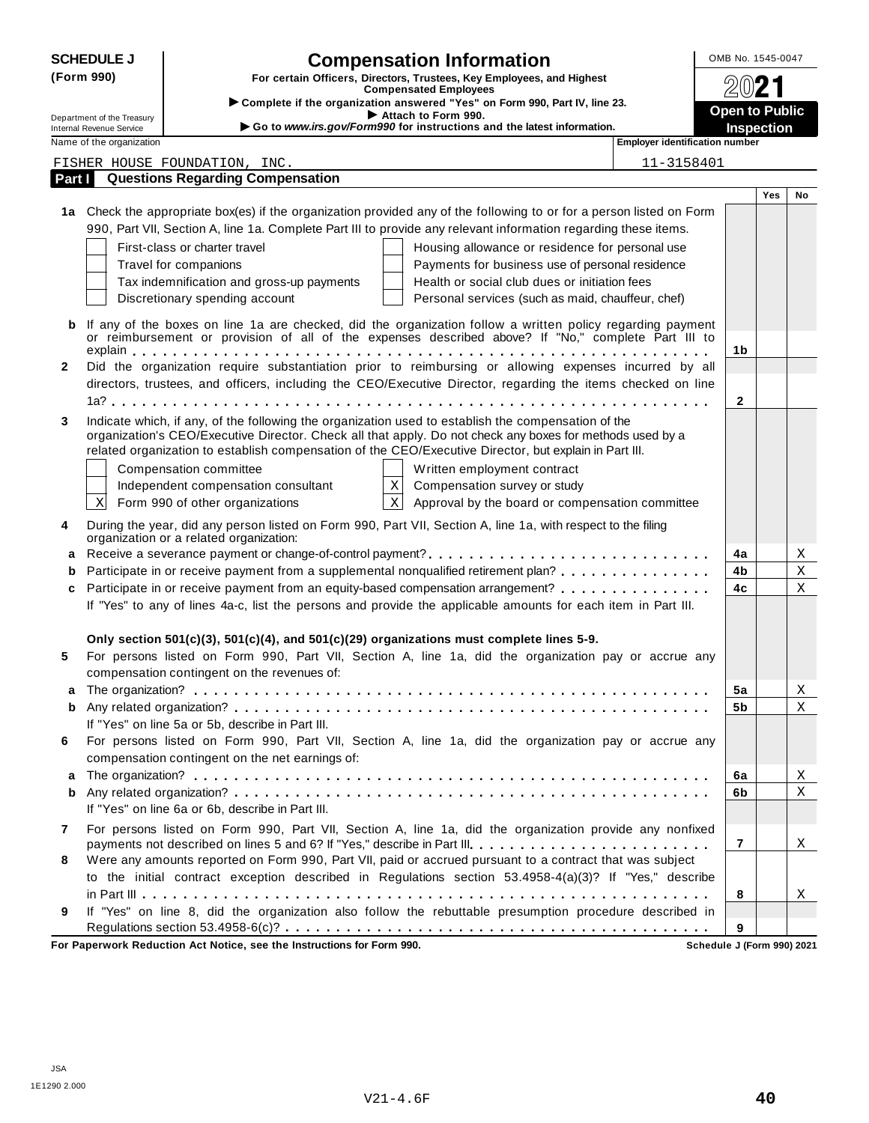|              | <b>SCHEDULE J</b><br><b>Compensation Information</b>   |                                                                                                                                                                                                                     |                                        |                   | OMB No. 1545-0047 |  |  |
|--------------|--------------------------------------------------------|---------------------------------------------------------------------------------------------------------------------------------------------------------------------------------------------------------------------|----------------------------------------|-------------------|-------------------|--|--|
|              | (Form 990)                                             | For certain Officers, Directors, Trustees, Key Employees, and Highest                                                                                                                                               |                                        |                   |                   |  |  |
|              |                                                        | <b>Compensated Employees</b><br>Complete if the organization answered "Yes" on Form 990, Part IV, line 23.                                                                                                          |                                        |                   |                   |  |  |
|              | Department of the Treasury<br>Internal Revenue Service | Attach to Form 990.<br>Go to www.irs.gov/Form990 for instructions and the latest information.                                                                                                                       | <b>Open to Public</b>                  |                   |                   |  |  |
|              | Name of the organization                               | <b>Employer identification number</b>                                                                                                                                                                               |                                        | <b>Inspection</b> |                   |  |  |
|              |                                                        | FISHER HOUSE FOUNDATION, INC.<br>11-3158401                                                                                                                                                                         |                                        |                   |                   |  |  |
| Part I       |                                                        | <b>Questions Regarding Compensation</b>                                                                                                                                                                             |                                        |                   |                   |  |  |
|              |                                                        |                                                                                                                                                                                                                     |                                        | Yes               | No                |  |  |
|              |                                                        | 1a Check the appropriate box(es) if the organization provided any of the following to or for a person listed on Form                                                                                                |                                        |                   |                   |  |  |
|              |                                                        | 990, Part VII, Section A, line 1a. Complete Part III to provide any relevant information regarding these items.                                                                                                     |                                        |                   |                   |  |  |
|              |                                                        | First-class or charter travel<br>Housing allowance or residence for personal use                                                                                                                                    |                                        |                   |                   |  |  |
|              |                                                        | Payments for business use of personal residence<br>Travel for companions                                                                                                                                            |                                        |                   |                   |  |  |
|              |                                                        | Tax indemnification and gross-up payments<br>Health or social club dues or initiation fees                                                                                                                          |                                        |                   |                   |  |  |
|              |                                                        | Discretionary spending account<br>Personal services (such as maid, chauffeur, chef)                                                                                                                                 |                                        |                   |                   |  |  |
| b            |                                                        | If any of the boxes on line 1a are checked, did the organization follow a written policy regarding payment                                                                                                          |                                        |                   |                   |  |  |
|              |                                                        | or reimbursement or provision of all of the expenses described above? If "No," complete Part III to                                                                                                                 |                                        |                   |                   |  |  |
|              |                                                        |                                                                                                                                                                                                                     | 1 <sub>b</sub>                         |                   |                   |  |  |
| $\mathbf{2}$ |                                                        | Did the organization require substantiation prior to reimbursing or allowing expenses incurred by all                                                                                                               |                                        |                   |                   |  |  |
|              |                                                        | directors, trustees, and officers, including the CEO/Executive Director, regarding the items checked on line                                                                                                        |                                        |                   |                   |  |  |
|              |                                                        |                                                                                                                                                                                                                     | $\mathbf{2}$                           |                   |                   |  |  |
| 3            |                                                        | Indicate which, if any, of the following the organization used to establish the compensation of the                                                                                                                 |                                        |                   |                   |  |  |
|              |                                                        | organization's CEO/Executive Director. Check all that apply. Do not check any boxes for methods used by a<br>related organization to establish compensation of the CEO/Executive Director, but explain in Part III. |                                        |                   |                   |  |  |
|              |                                                        |                                                                                                                                                                                                                     |                                        |                   |                   |  |  |
|              |                                                        | Compensation committee<br>Written employment contract                                                                                                                                                               |                                        |                   |                   |  |  |
|              | $\mathbf x$                                            | X<br>Independent compensation consultant<br>Compensation survey or study<br>$\mathbf{x}$                                                                                                                            |                                        |                   |                   |  |  |
|              |                                                        | Form 990 of other organizations<br>Approval by the board or compensation committee                                                                                                                                  |                                        |                   |                   |  |  |
| 4            |                                                        | During the year, did any person listed on Form 990, Part VII, Section A, line 1a, with respect to the filing                                                                                                        |                                        |                   |                   |  |  |
|              |                                                        | organization or a related organization:<br>a Receive a severance payment or change-of-control payment?                                                                                                              | 4a                                     |                   | $\mathbf X$       |  |  |
| b            |                                                        | Participate in or receive payment from a supplemental nonqualified retirement plan?                                                                                                                                 | 4b                                     |                   | $\mathbf X$       |  |  |
| c            |                                                        | Participate in or receive payment from an equity-based compensation arrangement?                                                                                                                                    | 4c                                     |                   | Χ                 |  |  |
|              |                                                        | If "Yes" to any of lines 4a-c, list the persons and provide the applicable amounts for each item in Part III.                                                                                                       |                                        |                   |                   |  |  |
|              |                                                        |                                                                                                                                                                                                                     |                                        |                   |                   |  |  |
|              |                                                        | Only section $501(c)(3)$ , $501(c)(4)$ , and $501(c)(29)$ organizations must complete lines 5-9.                                                                                                                    |                                        |                   |                   |  |  |
| 5            |                                                        | For persons listed on Form 990, Part VII, Section A, line 1a, did the organization pay or accrue any                                                                                                                |                                        |                   |                   |  |  |
|              |                                                        | compensation contingent on the revenues of:                                                                                                                                                                         |                                        |                   |                   |  |  |
|              |                                                        |                                                                                                                                                                                                                     | 5a                                     |                   | X                 |  |  |
| b            |                                                        |                                                                                                                                                                                                                     | 5b                                     |                   | Χ                 |  |  |
|              |                                                        | If "Yes" on line 5a or 5b, describe in Part III.                                                                                                                                                                    |                                        |                   |                   |  |  |
| 6            |                                                        | For persons listed on Form 990, Part VII, Section A, line 1a, did the organization pay or accrue any                                                                                                                |                                        |                   |                   |  |  |
|              |                                                        | compensation contingent on the net earnings of:                                                                                                                                                                     |                                        |                   |                   |  |  |
| a            |                                                        |                                                                                                                                                                                                                     | 6a                                     |                   | X                 |  |  |
| b            |                                                        |                                                                                                                                                                                                                     | 6b                                     |                   | Χ                 |  |  |
|              |                                                        | If "Yes" on line 6a or 6b, describe in Part III.                                                                                                                                                                    |                                        |                   |                   |  |  |
| 7            |                                                        | For persons listed on Form 990, Part VII, Section A, line 1a, did the organization provide any nonfixed                                                                                                             |                                        |                   |                   |  |  |
|              |                                                        | payments not described on lines 5 and 6? If "Yes," describe in Part III.                                                                                                                                            | $\overline{7}$                         |                   | X                 |  |  |
| 8            |                                                        | Were any amounts reported on Form 990, Part VII, paid or accrued pursuant to a contract that was subject                                                                                                            |                                        |                   |                   |  |  |
|              |                                                        | to the initial contract exception described in Regulations section 53.4958-4(a)(3)? If "Yes," describe                                                                                                              |                                        |                   |                   |  |  |
|              |                                                        |                                                                                                                                                                                                                     | 8                                      |                   | Χ                 |  |  |
| 9            |                                                        | If "Yes" on line 8, did the organization also follow the rebuttable presumption procedure described in                                                                                                              |                                        |                   |                   |  |  |
|              |                                                        | For Paperwork Reduction Act Notice, see the Instructions for Form 990.                                                                                                                                              | 9<br><b>Schedule J (Form 990) 2021</b> |                   |                   |  |  |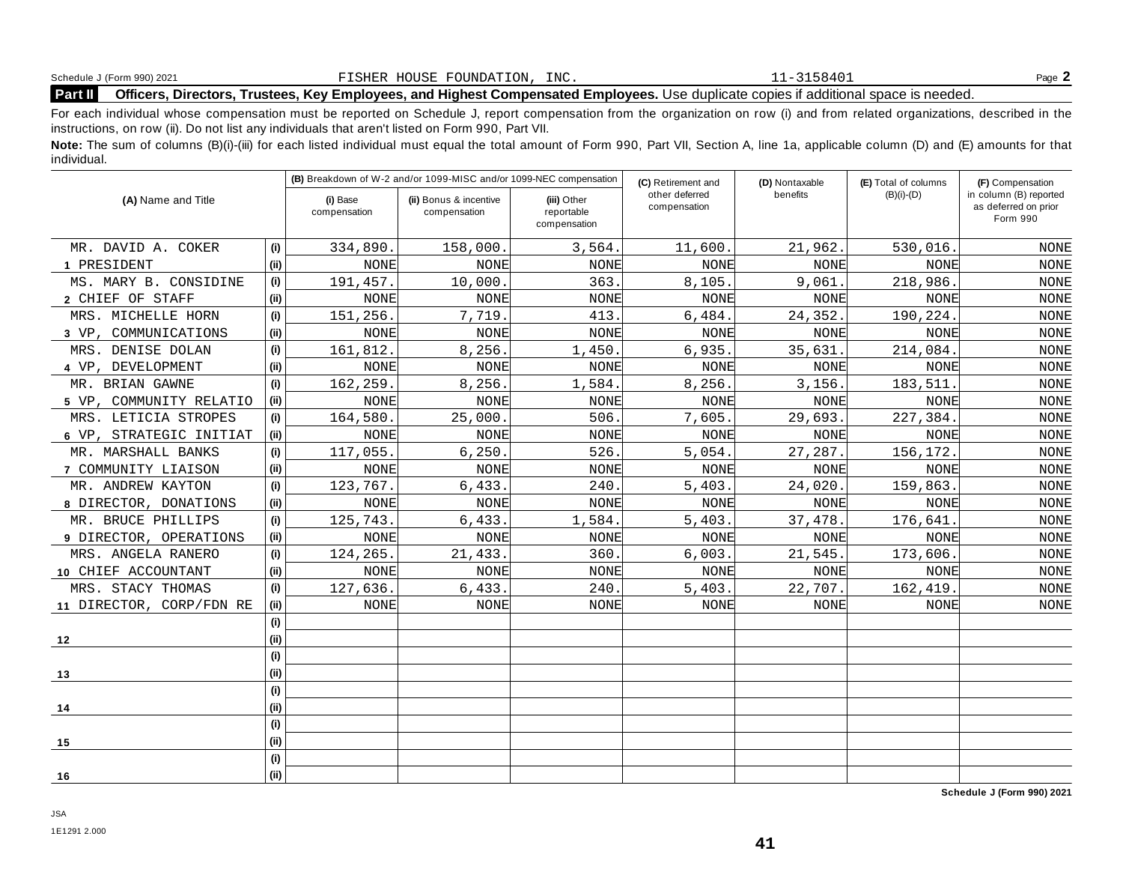#### **Part II Officers, Directors, Trustees, Key Employees, and Highest Compensated Employees.** Use duplicate copies ifadditional space is needed.

For each individual whose compensation must be reported on Schedule J, report compensation from the organization on row (i) and from related organizations, described in the instructions, on row (ii). Do not list any individuals that aren't listed on Form 990, Part VII.

Note: The sum of columns (B)(i)-(iii) for each listed individual must equal the total amount of Form 990, Part VII, Section A, line 1a, applicable column (D) and (E) amounts for that individual.

|                          |      | (B) Breakdown of W-2 and/or 1099-MISC and/or 1099-NEC compensation |                                        |                                           | (C) Retirement and             | (D) Nontaxable | (E) Total of columns | (F) Compensation                                           |  |
|--------------------------|------|--------------------------------------------------------------------|----------------------------------------|-------------------------------------------|--------------------------------|----------------|----------------------|------------------------------------------------------------|--|
| (A) Name and Title       |      | (i) Base<br>compensation                                           | (ii) Bonus & incentive<br>compensation | (iii) Other<br>reportable<br>compensation | other deferred<br>compensation | benefits       | $(B)(i)-(D)$         | in column (B) reported<br>as deferred on prior<br>Form 990 |  |
| MR. DAVID A. COKER       | (i)  | 334,890.                                                           | 158,000.                               | 3,564.                                    | 11,600.                        | 21,962.        | 530,016.             | <b>NONE</b>                                                |  |
| 1 PRESIDENT              | (i)  | NONE                                                               | <b>NONE</b>                            | NONE                                      | <b>NONE</b>                    | <b>NONE</b>    | <b>NONE</b>          | <b>NONE</b>                                                |  |
| MS. MARY B. CONSIDINE    | (i)  | 191,457.                                                           | 10,000.                                | 363.                                      | 8,105.                         | 9,061.         | 218,986.             | <b>NONE</b>                                                |  |
| 2 CHIEF OF STAFF         | (ii) | NONE                                                               | NONE                                   | NONE                                      | <b>NONE</b>                    | <b>NONE</b>    | <b>NONE</b>          | <b>NONE</b>                                                |  |
| MRS. MICHELLE HORN       | (i)  | 151,256.                                                           | 7,719.                                 | 413.                                      | 6,484.                         | 24,352.        | 190,224.             | NONE                                                       |  |
| 3 VP, COMMUNICATIONS     | (ii) | NONE                                                               | NONE                                   | NONE                                      | <b>NONE</b>                    | <b>NONE</b>    | <b>NONE</b>          | <b>NONE</b>                                                |  |
| MRS. DENISE DOLAN        | (i)  | 161,812.                                                           | 8,256.                                 | 1,450.                                    | 6,935                          | 35,631.        | 214,084.             | <b>NONE</b>                                                |  |
| 4 VP, DEVELOPMENT        | (ii) | NONE                                                               | <b>NONE</b>                            | <b>NONE</b>                               | <b>NONE</b>                    | <b>NONE</b>    | <b>NONE</b>          | <b>NONE</b>                                                |  |
| MR. BRIAN GAWNE          | (i)  | 162,259.                                                           | 8,256.                                 | 1,584.                                    | 8,256.                         | 3,156.         | 183,511.             | <b>NONE</b>                                                |  |
| 5 VP, COMMUNITY RELATIO  | (ii) | <b>NONE</b>                                                        | NONE                                   | NONE                                      | <b>NONE</b>                    | <b>NONE</b>    | <b>NONE</b>          | <b>NONE</b>                                                |  |
| MRS. LETICIA STROPES     | (i)  | 164,580.                                                           | 25,000.                                | 506.                                      | 7,605                          | 29,693.        | 227,384.             | <b>NONE</b>                                                |  |
| 6 VP, STRATEGIC INITIAT  | (ii) | NONE                                                               | NONE                                   | NONE                                      | <b>NONE</b>                    | <b>NONE</b>    | NONE                 | NONE                                                       |  |
| MR. MARSHALL BANKS       | (i)  | 117,055.                                                           | 6, 250.                                | 526.                                      | 5,054.                         | 27,287.        | 156,172.             | <b>NONE</b>                                                |  |
| 7 COMMUNITY LIAISON      | (i)  | NONE                                                               | <b>NONE</b>                            | <b>NONE</b>                               | <b>NONE</b>                    | <b>NONE</b>    | <b>NONE</b>          | <b>NONE</b>                                                |  |
| MR. ANDREW KAYTON        | (i)  | 123,767.                                                           | 6,433.                                 | 240.                                      | 5,403.                         | 24,020.        | 159,863.             | <b>NONE</b>                                                |  |
| 8 DIRECTOR, DONATIONS    | (ii) | NONE                                                               | NONE                                   | <b>NONE</b>                               | <b>NONE</b>                    | NONE           | <b>NONE</b>          | <b>NONE</b>                                                |  |
| MR. BRUCE PHILLIPS       | (i)  | 125,743.                                                           | 6,433.                                 | 1,584.                                    | 5,403.                         | 37,478.        | 176,641.             | NONE                                                       |  |
| 9 DIRECTOR, OPERATIONS   | (ii) | <b>NONE</b>                                                        | NONE                                   | NONE                                      | <b>NONE</b>                    | <b>NONE</b>    | <b>NONE</b>          | <b>NONE</b>                                                |  |
| MRS. ANGELA RANERO       | (i)  | 124,265.                                                           | 21,433.                                | 360.                                      | 6,003.                         | 21,545.        | 173,606.             | <b>NONE</b>                                                |  |
| 10 CHIEF ACCOUNTANT      | (ii) | NONE                                                               | <b>NONE</b>                            | <b>NONE</b>                               | <b>NONE</b>                    | <b>NONE</b>    | <b>NONE</b>          | NONE                                                       |  |
| MRS. STACY THOMAS        | (i)  | 127,636.                                                           | 6,433.                                 | 240.                                      | 5,403.                         | 22,707.        | 162,419.             | <b>NONE</b>                                                |  |
| 11 DIRECTOR, CORP/FDN RE | (i)  | <b>NONE</b>                                                        | <b>NONE</b>                            | NONE                                      | <b>NONE</b>                    | <b>NONE</b>    | <b>NONE</b>          | NONE                                                       |  |
|                          | (i)  |                                                                    |                                        |                                           |                                |                |                      |                                                            |  |
| 12                       | (ii) |                                                                    |                                        |                                           |                                |                |                      |                                                            |  |
|                          | (i)  |                                                                    |                                        |                                           |                                |                |                      |                                                            |  |
| 13                       | (ii) |                                                                    |                                        |                                           |                                |                |                      |                                                            |  |
|                          | (i)  |                                                                    |                                        |                                           |                                |                |                      |                                                            |  |
| 14                       | (ii) |                                                                    |                                        |                                           |                                |                |                      |                                                            |  |
|                          | (i)  |                                                                    |                                        |                                           |                                |                |                      |                                                            |  |
| 15                       | (ii) |                                                                    |                                        |                                           |                                |                |                      |                                                            |  |
|                          | (i)  |                                                                    |                                        |                                           |                                |                |                      |                                                            |  |
| 16                       | (ii) |                                                                    |                                        |                                           |                                |                |                      |                                                            |  |

**Schedule J (Form 990) 2021**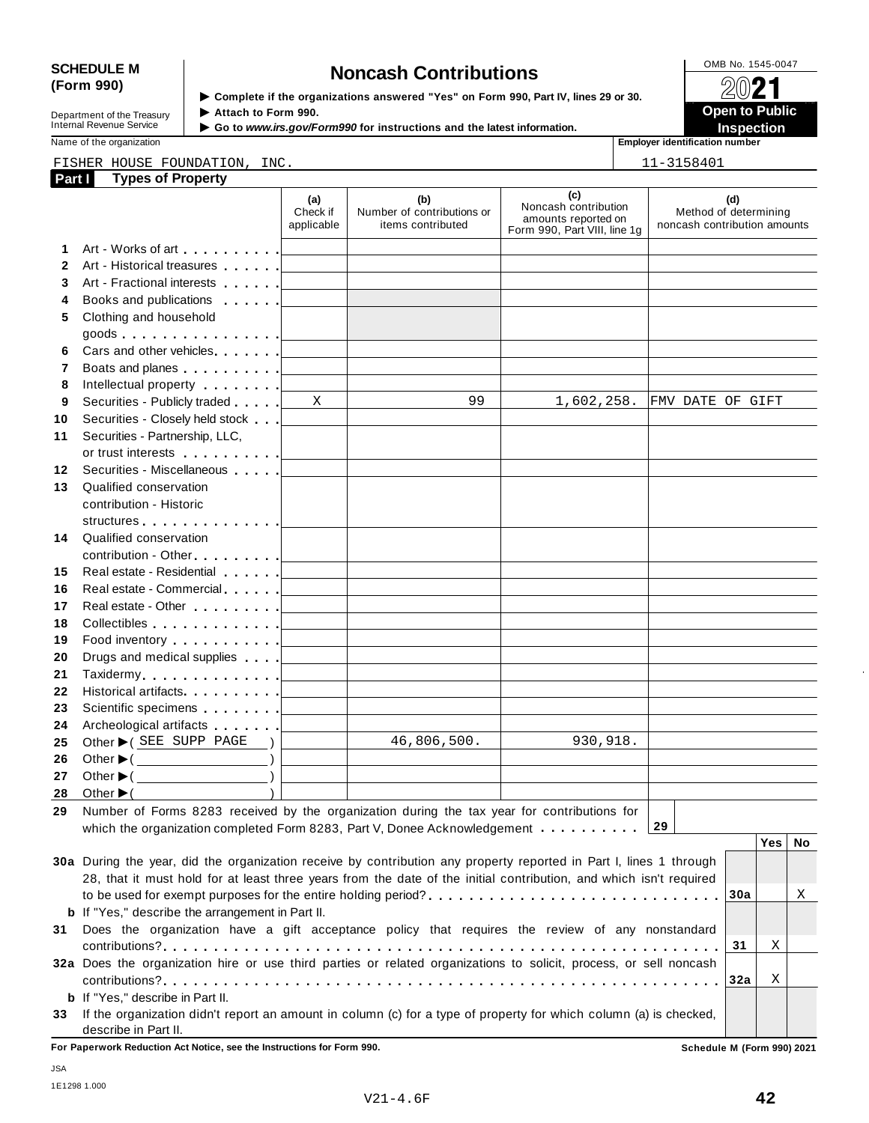# SCHEDULE M<br>
(Form 990) **Schedule Moncash Contributions**<br>  $\begin{array}{r} \boxed{\text{OMB No. 1545-0047}} \\ \text{Form 990 Part IV lines 29 or 30} \end{array}$

**Department of the Treasury<br>Internal Revenue Service** 

**Examplete** if the organizations answered "Yes" on Form 990, Part Ⅳ, lines 29 or 30. 
<br>● Attach to Form 990. **Department of the Treasury ▶ Attach to Form 990.**<br>Internal Revenue Service ▶ Go to *www.irs.gov/Form990* for instructions and the latest information.<br>Nome of the organization aumhor



## Name of the organization **intervalse and the original contract of the original contract of the original contract of the original contract of the original contract of the original contract of the original contract of the or**

FISHER HOUSE FOUNDATION, INC. 11-3158401

|  | <b>Part Types of Property</b> |  |
|--|-------------------------------|--|
|  | FISHER HOUSE FOUNDATION, INC. |  |

|    |                                                                                                                                                                                                                                | (a)<br>Check if | (b)<br>Number of contributions or                                                                                     | (c)<br>Noncash contribution<br>amounts reported on | (d)<br>Method of determining |
|----|--------------------------------------------------------------------------------------------------------------------------------------------------------------------------------------------------------------------------------|-----------------|-----------------------------------------------------------------------------------------------------------------------|----------------------------------------------------|------------------------------|
|    |                                                                                                                                                                                                                                | applicable      | items contributed                                                                                                     | Form 990, Part VIII, line 1g                       | noncash contribution amounts |
| 1  |                                                                                                                                                                                                                                |                 |                                                                                                                       |                                                    |                              |
| 2  | Art - Historical treasures                                                                                                                                                                                                     |                 | <u> 1989 - John Harry Harry Harry Harry Harry Harry Harry Harry Harry Harry Harry Harry Harry Harry Harry Harry H</u> |                                                    |                              |
| 3  |                                                                                                                                                                                                                                |                 |                                                                                                                       |                                                    |                              |
| 4  | Books and publications <b>Learning</b>                                                                                                                                                                                         |                 |                                                                                                                       |                                                    |                              |
| 5  | Clothing and household                                                                                                                                                                                                         |                 |                                                                                                                       |                                                    |                              |
|    |                                                                                                                                                                                                                                |                 |                                                                                                                       |                                                    |                              |
| 6  |                                                                                                                                                                                                                                |                 |                                                                                                                       |                                                    |                              |
| 7  |                                                                                                                                                                                                                                |                 |                                                                                                                       |                                                    |                              |
| 8  |                                                                                                                                                                                                                                |                 | the control of the control of the control of                                                                          |                                                    |                              |
| 9  | Securities - Publicly traded                                                                                                                                                                                                   | X<br>$\sim 10$  | 99                                                                                                                    | 1,602,258.                                         | FMV DATE OF GIFT             |
| 10 | Securities - Closely held stock                                                                                                                                                                                                |                 |                                                                                                                       |                                                    |                              |
| 11 | Securities - Partnership, LLC,                                                                                                                                                                                                 |                 |                                                                                                                       |                                                    |                              |
|    | or trust interests <u>  _ _ _ _ _</u>                                                                                                                                                                                          |                 | <u> 1980 - Johann Barbara, martxa alemaniar a</u>                                                                     |                                                    |                              |
| 12 | Securities - Miscellaneous                                                                                                                                                                                                     |                 |                                                                                                                       |                                                    |                              |
| 13 | Qualified conservation                                                                                                                                                                                                         |                 |                                                                                                                       |                                                    |                              |
|    | contribution - Historic                                                                                                                                                                                                        |                 |                                                                                                                       |                                                    |                              |
|    | structures [                                                                                                                                                                                                                   |                 |                                                                                                                       |                                                    |                              |
| 14 | Qualified conservation                                                                                                                                                                                                         |                 |                                                                                                                       |                                                    |                              |
|    |                                                                                                                                                                                                                                |                 |                                                                                                                       |                                                    |                              |
| 15 |                                                                                                                                                                                                                                |                 |                                                                                                                       |                                                    |                              |
| 16 |                                                                                                                                                                                                                                |                 |                                                                                                                       |                                                    |                              |
| 17 |                                                                                                                                                                                                                                |                 |                                                                                                                       |                                                    |                              |
| 18 |                                                                                                                                                                                                                                |                 |                                                                                                                       |                                                    |                              |
| 19 | Food inventory $\ldots \ldots \ldots$ . $\downarrow$ $\qquad \qquad$                                                                                                                                                           |                 |                                                                                                                       |                                                    |                              |
| 20 | Drugs and medical supplies equal to the contract of the contract of the contract of the contract of the contract of the contract of the contract of the contract of the contract of the contract of the contract of the contra |                 |                                                                                                                       |                                                    |                              |
| 21 |                                                                                                                                                                                                                                |                 |                                                                                                                       |                                                    |                              |
| 22 | Historical artifacts. <u>  _ _ _ _ _   _ _ _ _ _ _ _ _ _ _ _ _</u> _ _                                                                                                                                                         |                 |                                                                                                                       |                                                    |                              |
| 23 |                                                                                                                                                                                                                                |                 |                                                                                                                       |                                                    |                              |
| 24 | Archeological artifacts [100]                                                                                                                                                                                                  |                 |                                                                                                                       |                                                    |                              |
| 25 | Other (SEE SUPP PAGE )                                                                                                                                                                                                         |                 | 46,806,500.                                                                                                           | 930,918.                                           |                              |
| 26 | Other ▶( <u>_____________</u> ) <u>  ____</u>                                                                                                                                                                                  |                 |                                                                                                                       |                                                    |                              |
| 27 | Other $\blacktriangleright$ ( $\qquad \qquad$                                                                                                                                                                                  |                 |                                                                                                                       |                                                    |                              |
| 28 | Other $\blacktriangleright$ (                                                                                                                                                                                                  |                 |                                                                                                                       |                                                    |                              |
| 29 | Number of Forms 8283 received by the organization during the tax year for contributions for                                                                                                                                    |                 |                                                                                                                       |                                                    |                              |
|    | which the organization completed Form 8283, Part V, Donee Acknowledgement 29                                                                                                                                                   |                 |                                                                                                                       |                                                    |                              |
|    |                                                                                                                                                                                                                                |                 |                                                                                                                       |                                                    | Yes   No                     |
|    | 30a During the year, did the organization receive by contribution any property reported in Part I, lines 1 through                                                                                                             |                 |                                                                                                                       |                                                    |                              |
|    | 28, that it must hold for at least three years from the date of the initial contribution, and which isn't required                                                                                                             |                 |                                                                                                                       |                                                    |                              |
|    |                                                                                                                                                                                                                                |                 |                                                                                                                       |                                                    | 30a<br>Χ                     |
|    | <b>b</b> If "Yes," describe the arrangement in Part II.                                                                                                                                                                        |                 |                                                                                                                       |                                                    |                              |
| 31 | Does the organization have a gift acceptance policy that requires the review of any nonstandard                                                                                                                                |                 |                                                                                                                       |                                                    |                              |
|    |                                                                                                                                                                                                                                |                 |                                                                                                                       |                                                    | 31<br>Χ                      |
|    | 32a Does the organization hire or use third parties or related organizations to solicit, process, or sell noncash                                                                                                              |                 |                                                                                                                       |                                                    |                              |
|    |                                                                                                                                                                                                                                |                 |                                                                                                                       |                                                    | Χ<br>32a                     |
|    | <b>b</b> If "Yes," describe in Part II.                                                                                                                                                                                        |                 |                                                                                                                       |                                                    |                              |
|    | 33 If the organization didn't report an amount in column (c) for a type of property for which column (a) is checked,                                                                                                           |                 |                                                                                                                       |                                                    |                              |
|    | describe in Part II.                                                                                                                                                                                                           |                 |                                                                                                                       |                                                    |                              |

**For Paperwork Reduction Act Notice, see the Instructions for Form 990. Schedule M (Form 990) 2021**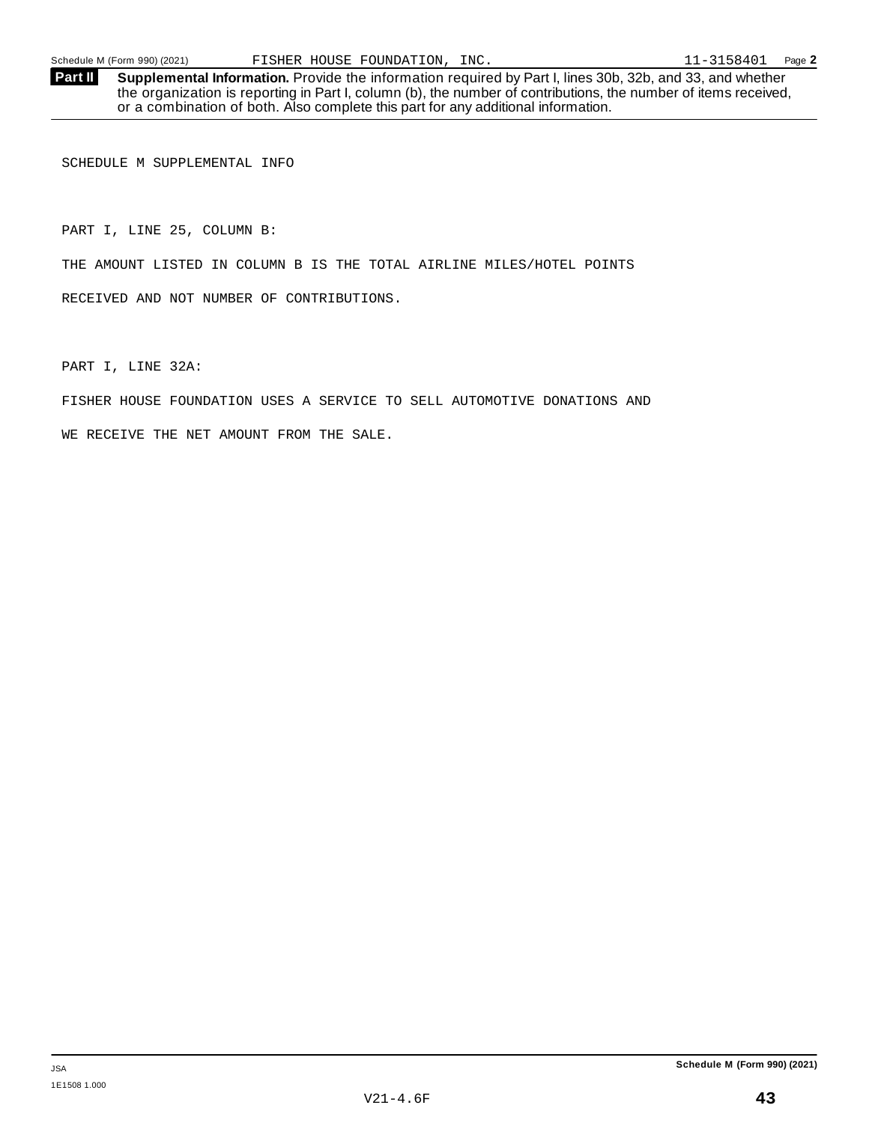**Supplemental Information.** Provide the information required by Part I, lines 30b, 32b, and 33, and whether the organization is reporting in Part I, column (b), the number of contributions, the number of items received, or a combination of both. Also complete this part for any additional information. **Part II**

SCHEDULE M SUPPLEMENTAL INFO

PART I, LINE 25, COLUMN B:

THE AMOUNT LISTED IN COLUMN B IS THE TOTAL AIRLINE MILES/HOTEL POINTS

RECEIVED AND NOT NUMBER OF CONTRIBUTIONS.

PART I, LINE 32A:

FISHER HOUSE FOUNDATION USES A SERVICE TO SELL AUTOMOTIVE DONATIONS AND

WE RECEIVE THE NET AMOUNT FROM THE SALE.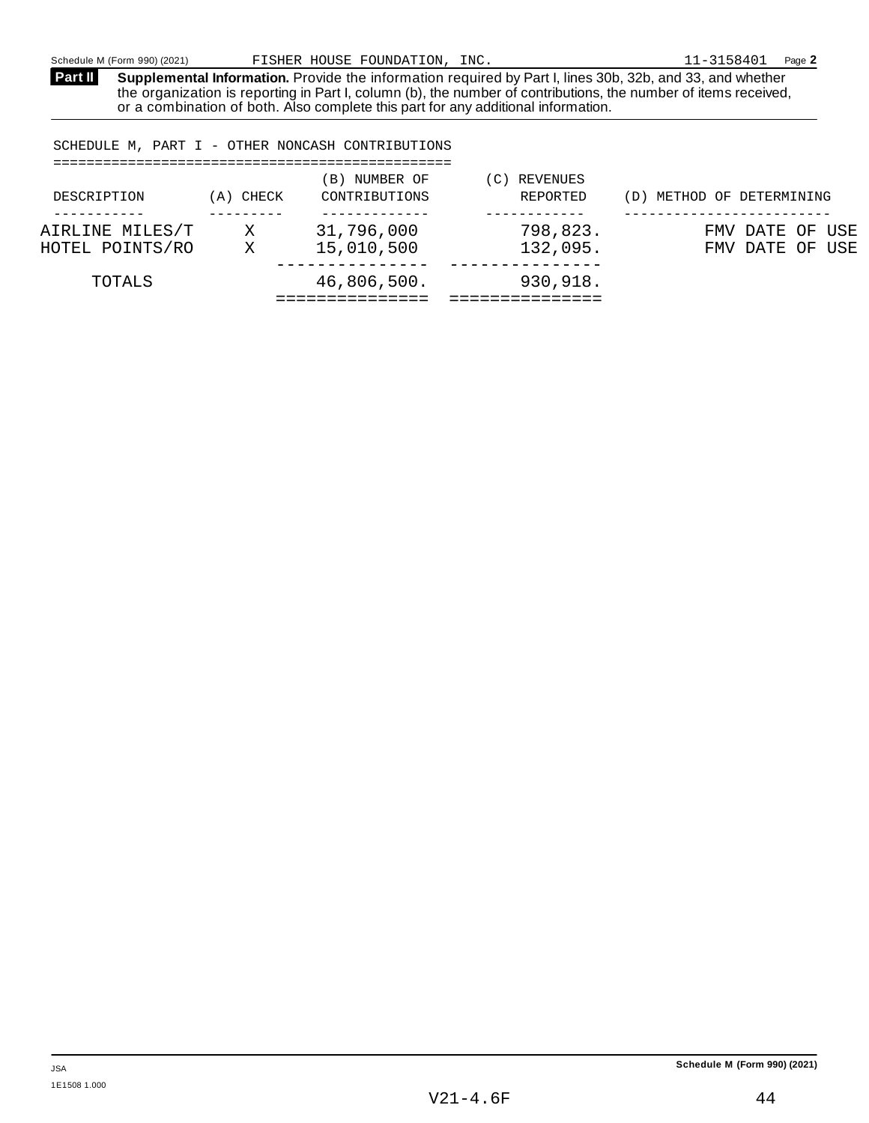Schedule M (Form 990) (2021) **PISHER HOUSE FOUNDATION, INC.** 11 Page 2

**Supplemental Information.** Provide the information required by Part I, lines 30b, 32b, and 33, and whether the organization is reporting in Part I, column (b), the number of contributions, the number of items received, or a combination of both. Also complete this part for any additional information. **Part II**

|                                    |           | SCHEDULE M, PART I - OTHER NONCASH CONTRIBUTIONS |                             |                       |                                    |  |
|------------------------------------|-----------|--------------------------------------------------|-----------------------------|-----------------------|------------------------------------|--|
| DESCRIPTION                        | (A) CHECK | NUMBER OF<br>$\mathbf{B}$ )<br>CONTRIBUTIONS     | REVENUES<br>(C)<br>REPORTED | METHOD OF DETERMINING |                                    |  |
| AIRLINE MILES/T<br>HOTEL POINTS/RO | X<br>X    | 31,796,000<br>15,010,500                         | 798,823.<br>132,095.        |                       | FMV DATE OF USE<br>FMV DATE OF USE |  |
| TOTALS                             |           | 46,806,500.                                      | 930,918.                    |                       |                                    |  |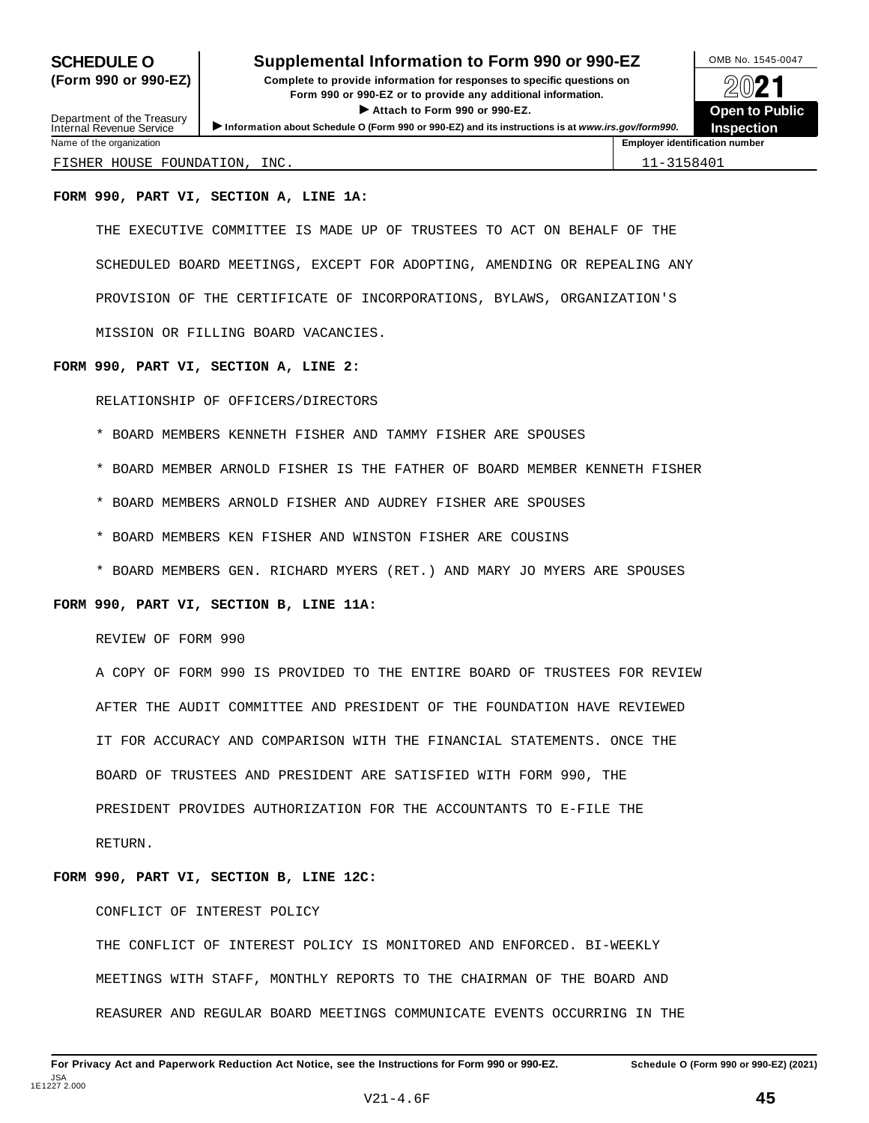### **SCHEDULE O** Supplemental Information to Form 990 or 990-EZ DAMB No. 1545-0047

**(Form 990 or 990-EZ) Complete to provide information for responses to specific questions on** plete to provide information for responses to specific questions on  $\bigotimes_{\mathbb{Z}}\mathbb{Q}$  21 I **Attach to Form <sup>990</sup> or 990-EZ. Open to Public** Department of the Treasury <br>Depen to Public<br>Name of the organization<br>Name of the organization<br>Name of the organization<br>Name of the organization



Department of the Treasury<br>Internal Revenue Service

FISHER HOUSE FOUNDATION, INC. 11-3158401

#### **FORM 990, PART VI, SECTION A, LINE 1A:**

THE EXECUTIVE COMMITTEE IS MADE UP OF TRUSTEES TO ACT ON BEHALF OF THE SCHEDULED BOARD MEETINGS, EXCEPT FOR ADOPTING, AMENDING OR REPEALING ANY PROVISION OF THE CERTIFICATE OF INCORPORATIONS, BYLAWS, ORGANIZATION'S MISSION OR FILLING BOARD VACANCIES.

#### **FORM 990, PART VI, SECTION A, LINE 2:**

RELATIONSHIP OF OFFICERS/DIRECTORS

- \* BOARD MEMBERS KENNETH FISHER AND TAMMY FISHER ARE SPOUSES
- \* BOARD MEMBER ARNOLD FISHER IS THE FATHER OF BOARD MEMBER KENNETH FISHER
- \* BOARD MEMBERS ARNOLD FISHER AND AUDREY FISHER ARE SPOUSES
- \* BOARD MEMBERS KEN FISHER AND WINSTON FISHER ARE COUSINS
- \* BOARD MEMBERS GEN. RICHARD MYERS (RET.) AND MARY JO MYERS ARE SPOUSES

#### **FORM 990, PART VI, SECTION B, LINE 11A:**

REVIEW OF FORM 990

A COPY OF FORM 990 IS PROVIDED TO THE ENTIRE BOARD OF TRUSTEES FOR REVIEW AFTER THE AUDIT COMMITTEE AND PRESIDENT OF THE FOUNDATION HAVE REVIEWED IT FOR ACCURACY AND COMPARISON WITH THE FINANCIAL STATEMENTS. ONCE THE BOARD OF TRUSTEES AND PRESIDENT ARE SATISFIED WITH FORM 990, THE PRESIDENT PROVIDES AUTHORIZATION FOR THE ACCOUNTANTS TO E-FILE THE RETURN.

#### **FORM 990, PART VI, SECTION B, LINE 12C:**

CONFLICT OF INTEREST POLICY

THE CONFLICT OF INTEREST POLICY IS MONITORED AND ENFORCED. BI-WEEKLY MEETINGS WITH STAFF, MONTHLY REPORTS TO THE CHAIRMAN OF THE BOARD AND REASURER AND REGULAR BOARD MEETINGS COMMUNICATE EVENTS OCCURRING IN THE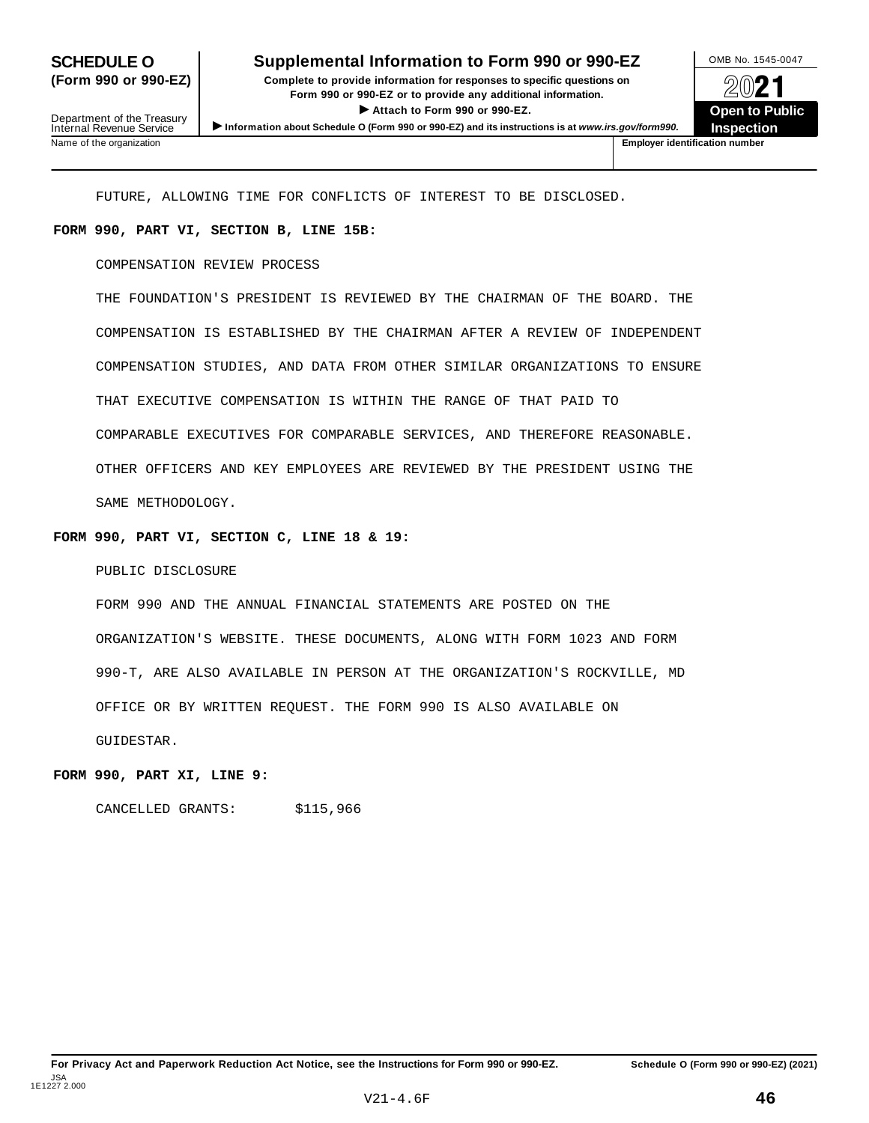Department of the Treasury<br>Internal Revenue Service

## **SCHEDULE O** Supplemental Information to Form 990 or 990-EZ DAMB No. 1545-0047

**(Form 990 or 990-EZ) Complete to provide information for responses to specific questions on** plete to provide information for responses to specific questions on  $\bigotimes_{\mathbb{Z}}\mathbb{Q}$  21 I **Attach to Form <sup>990</sup> or 990-EZ. Open to Public** Department of the Treasury <br>Depen to Public<br>Name of the organization<br>Name of the organization<br>Name of the organization<br>Name of the organization

**Inspection**

FUTURE, ALLOWING TIME FOR CONFLICTS OF INTEREST TO BE DISCLOSED.

#### **FORM 990, PART VI, SECTION B, LINE 15B:**

COMPENSATION REVIEW PROCESS

THE FOUNDATION'S PRESIDENT IS REVIEWED BY THE CHAIRMAN OF THE BOARD. THE COMPENSATION IS ESTABLISHED BY THE CHAIRMAN AFTER A REVIEW OF INDEPENDENT COMPENSATION STUDIES, AND DATA FROM OTHER SIMILAR ORGANIZATIONS TO ENSURE THAT EXECUTIVE COMPENSATION IS WITHIN THE RANGE OF THAT PAID TO COMPARABLE EXECUTIVES FOR COMPARABLE SERVICES, AND THEREFORE REASONABLE. OTHER OFFICERS AND KEY EMPLOYEES ARE REVIEWED BY THE PRESIDENT USING THE SAME METHODOLOGY.

#### **FORM 990, PART VI, SECTION C, LINE 18 & 19:**

PUBLIC DISCLOSURE

FORM 990 AND THE ANNUAL FINANCIAL STATEMENTS ARE POSTED ON THE ORGANIZATION'S WEBSITE. THESE DOCUMENTS, ALONG WITH FORM 1023 AND FORM 990-T, ARE ALSO AVAILABLE IN PERSON AT THE ORGANIZATION'S ROCKVILLE, MD OFFICE OR BY WRITTEN REQUEST. THE FORM 990 IS ALSO AVAILABLE ON GUIDESTAR.

#### **FORM 990, PART XI, LINE 9:**

CANCELLED GRANTS: \$115,966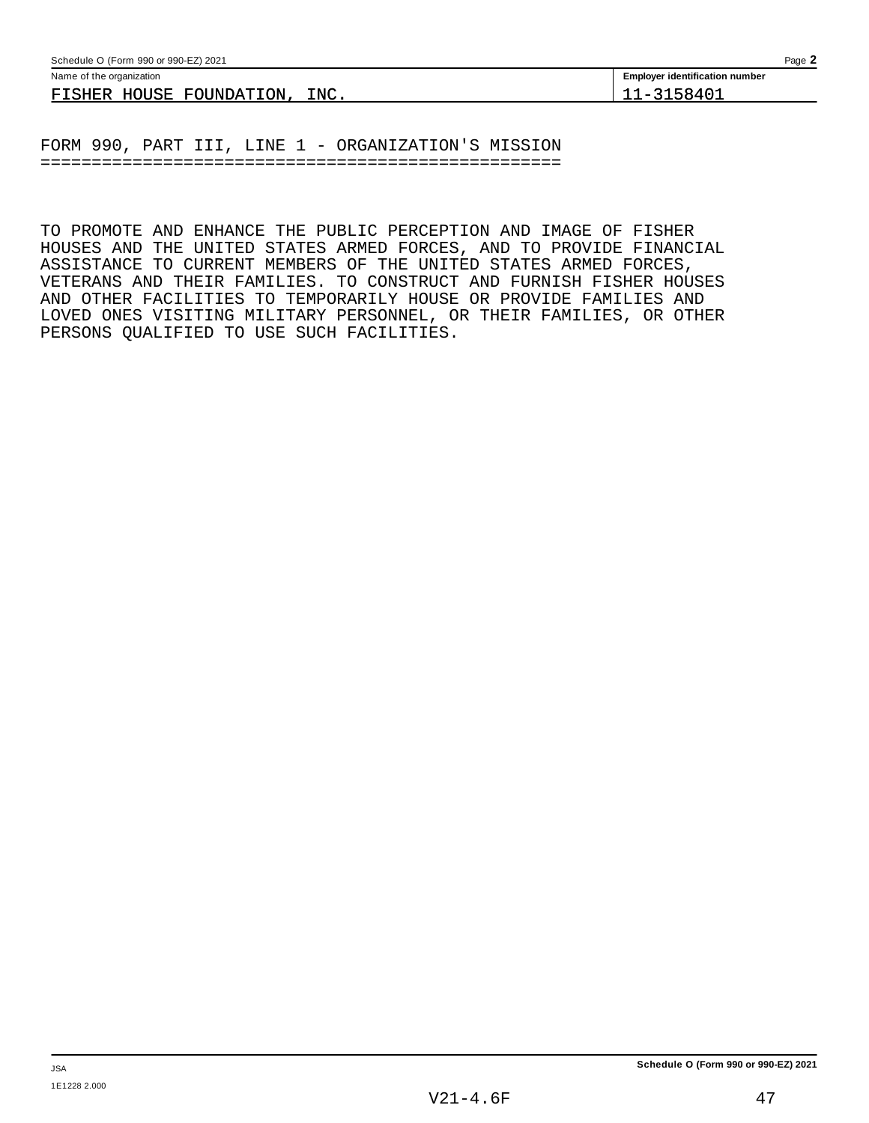| Schedule O (Form 990 or 990-EZ) 2021 |                                       |  |  |  |
|--------------------------------------|---------------------------------------|--|--|--|
| Name of the organization             | <b>Employer identification number</b> |  |  |  |
| INC.<br>FOUNDATION<br>HOUSE<br>SHEF  |                                       |  |  |  |

FORM 990, PART III, LINE 1 - ORGANIZATION'S MISSION ===================================================

TO PROMOTE AND ENHANCE THE PUBLIC PERCEPTION AND IMAGE OF FISHER HOUSES AND THE UNITED STATES ARMED FORCES, AND TO PROVIDE FINANCIAL ASSISTANCE TO CURRENT MEMBERS OF THE UNITED STATES ARMED FORCES, VETERANS AND THEIR FAMILIES. TO CONSTRUCT AND FURNISH FISHER HOUSES AND OTHER FACILITIES TO TEMPORARILY HOUSE OR PROVIDE FAMILIES AND LOVED ONES VISITING MILITARY PERSONNEL, OR THEIR FAMILIES, OR OTHER PERSONS QUALIFIED TO USE SUCH FACILITIES.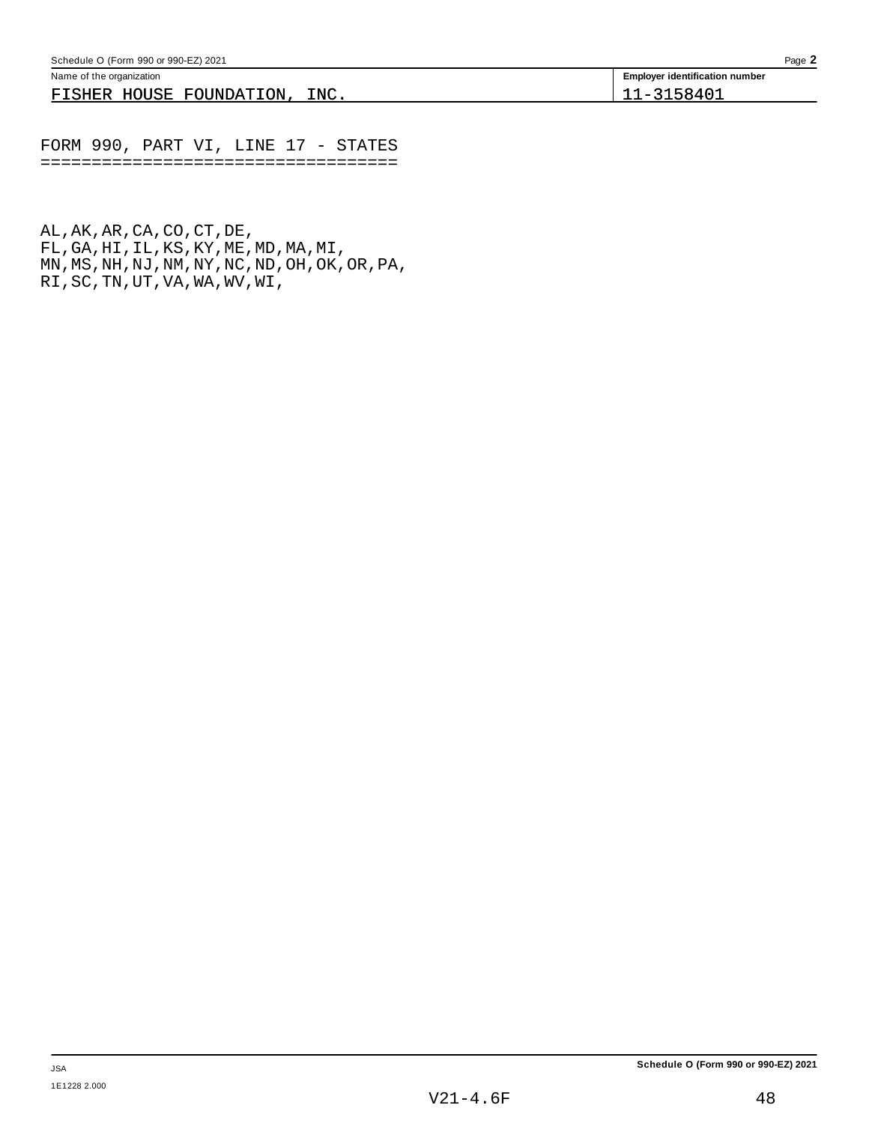Name of the organization **intervalse and the original of the original of the original of the original of the original of the original of the original of the original of the original of the original of the original of the o** 

FORM 990, PART VI, LINE 17 - STATES ===================================

AL,AK,AR,CA,CO,CT,DE, FL,GA,HI,IL,KS,KY,ME,MD,MA,MI, MN,MS,NH,NJ,NM,NY,NC,ND,OH,OK,OR,PA, RI,SC,TN,UT,VA,WA,WV,WI,